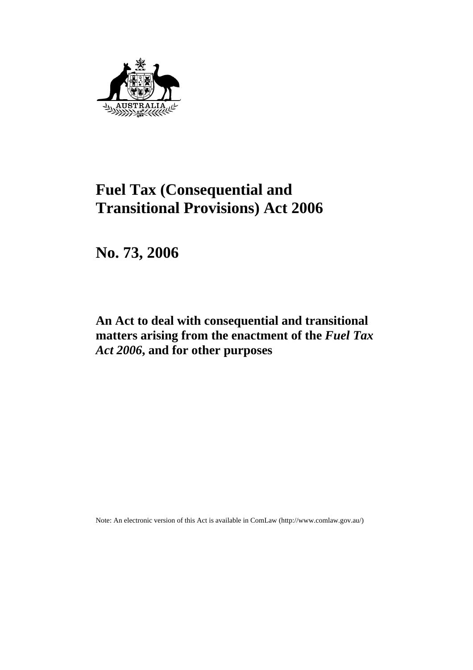

# **Fuel Tax (Consequential and Transitional Provisions) Act 2006**

**No. 73, 2006** 

## **An Act to deal with consequential and transitional matters arising from the enactment of the** *Fuel Tax Act 2006***, and for other purposes**

Note: An electronic version of this Act is available in ComLaw (http://www.comlaw.gov.au/)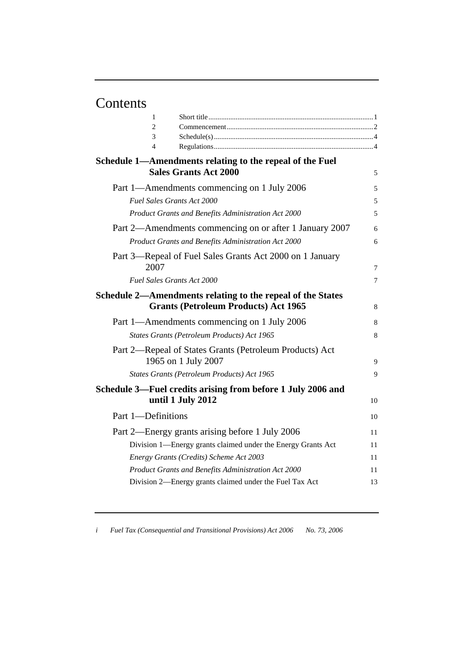# Contents

| 1                                                            |    |
|--------------------------------------------------------------|----|
| $\overline{c}$                                               |    |
| 3                                                            |    |
| 4                                                            |    |
| Schedule 1—Amendments relating to the repeal of the Fuel     |    |
| <b>Sales Grants Act 2000</b>                                 | 5  |
| Part 1—Amendments commencing on 1 July 2006                  | 5  |
| <b>Fuel Sales Grants Act 2000</b>                            | 5  |
| Product Grants and Benefits Administration Act 2000          | 5  |
| Part 2—Amendments commencing on or after 1 January 2007      | 6  |
| Product Grants and Benefits Administration Act 2000          | 6  |
| Part 3—Repeal of Fuel Sales Grants Act 2000 on 1 January     |    |
| 2007                                                         | 7  |
| <b>Fuel Sales Grants Act 2000</b>                            | 7  |
| Schedule 2—Amendments relating to the repeal of the States   |    |
| <b>Grants (Petroleum Products) Act 1965</b>                  | 8  |
| Part 1—Amendments commencing on 1 July 2006                  | 8  |
| States Grants (Petroleum Products) Act 1965                  | 8  |
| Part 2—Repeal of States Grants (Petroleum Products) Act      |    |
| 1965 on 1 July 2007                                          | 9  |
| States Grants (Petroleum Products) Act 1965                  | 9  |
| Schedule 3—Fuel credits arising from before 1 July 2006 and  |    |
| until 1 July 2012                                            | 10 |
| Part 1-Definitions                                           | 10 |
| Part 2—Energy grants arising before 1 July 2006              | 11 |
| Division 1—Energy grants claimed under the Energy Grants Act | 11 |
| Energy Grants (Credits) Scheme Act 2003                      | 11 |
| Product Grants and Benefits Administration Act 2000          | 11 |
| Division 2—Energy grants claimed under the Fuel Tax Act      | 13 |
|                                                              |    |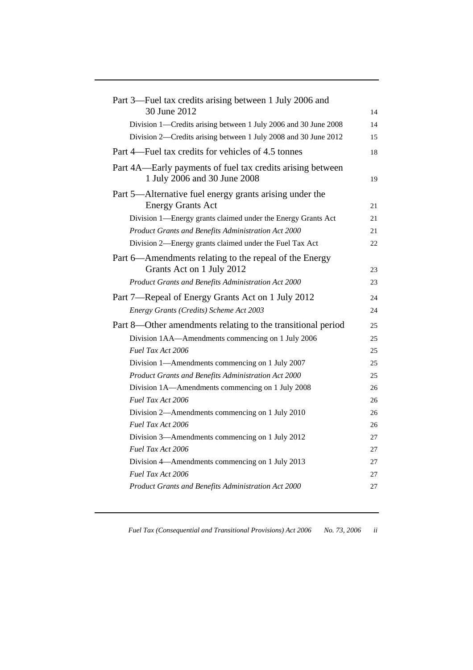| Part 3—Fuel tax credits arising between 1 July 2006 and<br>30 June 2012                                 | 14       |
|---------------------------------------------------------------------------------------------------------|----------|
| Division 1—Credits arising between 1 July 2006 and 30 June 2008                                         | 14       |
| Division 2—Credits arising between 1 July 2008 and 30 June 2012                                         | 15       |
| Part 4—Fuel tax credits for vehicles of 4.5 tonnes                                                      | 18       |
| Part 4A—Early payments of fuel tax credits arising between<br>1 July 2006 and 30 June 2008              | 19       |
| Part 5—Alternative fuel energy grants arising under the<br><b>Energy Grants Act</b>                     | 21       |
| Division 1—Energy grants claimed under the Energy Grants Act                                            | 21       |
| Product Grants and Benefits Administration Act 2000                                                     | 21       |
| Division 2—Energy grants claimed under the Fuel Tax Act                                                 | 22       |
| Part 6—Amendments relating to the repeal of the Energy<br>Grants Act on 1 July 2012                     | 23       |
| Product Grants and Benefits Administration Act 2000                                                     | 23       |
| Part 7—Repeal of Energy Grants Act on 1 July 2012                                                       | 24       |
| Energy Grants (Credits) Scheme Act 2003                                                                 | 24       |
|                                                                                                         |          |
| Part 8—Other amendments relating to the transitional period                                             | 25       |
| Division 1AA—Amendments commencing on 1 July 2006                                                       | 25       |
| Fuel Tax Act 2006                                                                                       | 25       |
| Division 1—Amendments commencing on 1 July 2007                                                         | 25       |
| Product Grants and Benefits Administration Act 2000<br>Division 1A—Amendments commencing on 1 July 2008 | 25<br>26 |
| Fuel Tax Act 2006                                                                                       | 26       |
| Division 2—Amendments commencing on 1 July 2010                                                         | 26       |
| Fuel Tax Act 2006                                                                                       | 26       |
| Division 3—Amendments commencing on 1 July 2012                                                         | 27       |
| Fuel Tax Act 2006                                                                                       | 27       |
| Division 4—Amendments commencing on 1 July 2013                                                         | 27       |
| Fuel Tax Act 2006                                                                                       | 27       |
| Product Grants and Benefits Administration Act 2000                                                     | 27       |
|                                                                                                         |          |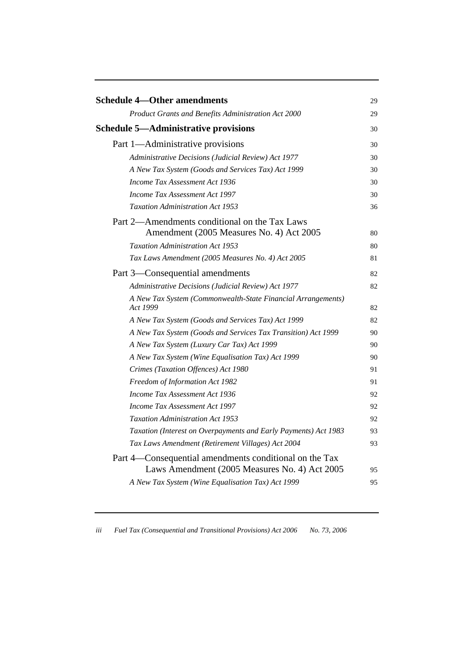| <b>Schedule 4—Other amendments</b>                                                                      | 29 |
|---------------------------------------------------------------------------------------------------------|----|
| Product Grants and Benefits Administration Act 2000                                                     | 29 |
| <b>Schedule 5-Administrative provisions</b>                                                             | 30 |
| Part 1—Administrative provisions                                                                        | 30 |
| Administrative Decisions (Judicial Review) Act 1977                                                     | 30 |
| A New Tax System (Goods and Services Tax) Act 1999                                                      | 30 |
| Income Tax Assessment Act 1936                                                                          | 30 |
| Income Tax Assessment Act 1997                                                                          | 30 |
| <b>Taxation Administration Act 1953</b>                                                                 | 36 |
| Part 2—Amendments conditional on the Tax Laws<br>Amendment (2005 Measures No. 4) Act 2005               | 80 |
| <b>Taxation Administration Act 1953</b>                                                                 | 80 |
| Tax Laws Amendment (2005 Measures No. 4) Act 2005                                                       | 81 |
| Part 3—Consequential amendments                                                                         | 82 |
| Administrative Decisions (Judicial Review) Act 1977                                                     | 82 |
| A New Tax System (Commonwealth-State Financial Arrangements)<br>Act 1999                                | 82 |
| A New Tax System (Goods and Services Tax) Act 1999                                                      | 82 |
| A New Tax System (Goods and Services Tax Transition) Act 1999                                           | 90 |
| A New Tax System (Luxury Car Tax) Act 1999                                                              | 90 |
| A New Tax System (Wine Equalisation Tax) Act 1999                                                       | 90 |
| Crimes (Taxation Offences) Act 1980                                                                     | 91 |
| Freedom of Information Act 1982                                                                         | 91 |
| Income Tax Assessment Act 1936                                                                          | 92 |
| Income Tax Assessment Act 1997                                                                          | 92 |
| <b>Taxation Administration Act 1953</b>                                                                 | 92 |
| Taxation (Interest on Overpayments and Early Payments) Act 1983                                         | 93 |
| Tax Laws Amendment (Retirement Villages) Act 2004                                                       | 93 |
| Part 4—Consequential amendments conditional on the Tax<br>Laws Amendment (2005 Measures No. 4) Act 2005 | 95 |
| A New Tax System (Wine Equalisation Tax) Act 1999                                                       | 95 |
|                                                                                                         |    |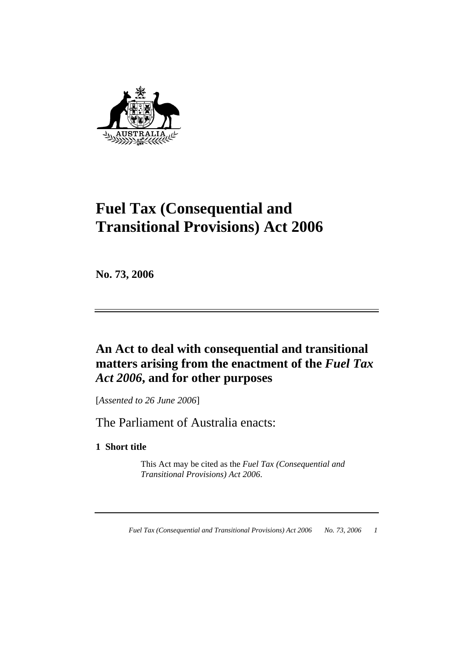

# **Fuel Tax (Consequential and Transitional Provisions) Act 2006**

**No. 73, 2006** 

## **An Act to deal with consequential and transitional matters arising from the enactment of the** *Fuel Tax Act 2006***, and for other purposes**

[*Assented to 26 June 2006*]

The Parliament of Australia enacts:

**1 Short title** 

 This Act may be cited as the *Fuel Tax (Consequential and Transitional Provisions) Act 2006*.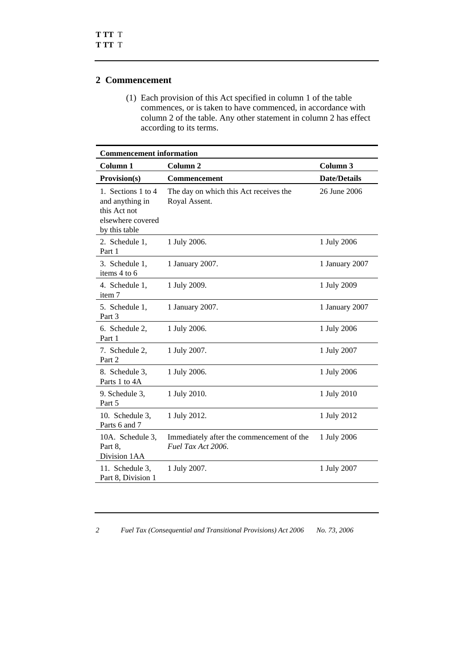#### **2 Commencement**

 (1) Each provision of this Act specified in column 1 of the table commences, or is taken to have commenced, in accordance with column 2 of the table. Any other statement in column 2 has effect according to its terms.

| <b>Commencement information</b>                                                             |                                                                 |                     |
|---------------------------------------------------------------------------------------------|-----------------------------------------------------------------|---------------------|
| Column <sub>1</sub>                                                                         | Column <sub>2</sub>                                             | Column 3            |
| <b>Provision(s)</b>                                                                         | <b>Commencement</b>                                             | <b>Date/Details</b> |
| 1. Sections 1 to 4<br>and anything in<br>this Act not<br>elsewhere covered<br>by this table | The day on which this Act receives the<br>Royal Assent.         | 26 June 2006        |
| 2. Schedule 1,<br>Part 1                                                                    | 1 July 2006.                                                    | 1 July 2006         |
| 3. Schedule 1,<br>items 4 to 6                                                              | 1 January 2007.                                                 | 1 January 2007      |
| 4. Schedule 1,<br>item 7                                                                    | 1 July 2009.                                                    | 1 July 2009         |
| 5. Schedule 1,<br>Part 3                                                                    | 1 January 2007.                                                 | 1 January 2007      |
| 6. Schedule 2,<br>Part 1                                                                    | 1 July 2006.                                                    | 1 July 2006         |
| 7. Schedule 2,<br>Part 2                                                                    | 1 July 2007.                                                    | 1 July 2007         |
| 8. Schedule 3,<br>Parts 1 to 4A                                                             | 1 July 2006.                                                    | 1 July 2006         |
| 9. Schedule 3,<br>Part 5                                                                    | 1 July 2010.                                                    | 1 July 2010         |
| 10. Schedule 3,<br>Parts 6 and 7                                                            | 1 July 2012.                                                    | 1 July 2012         |
| 10A. Schedule 3,<br>Part 8,<br>Division 1AA                                                 | Immediately after the commencement of the<br>Fuel Tax Act 2006. | 1 July 2006         |
| 11. Schedule 3,<br>Part 8, Division 1                                                       | 1 July 2007.                                                    | 1 July 2007         |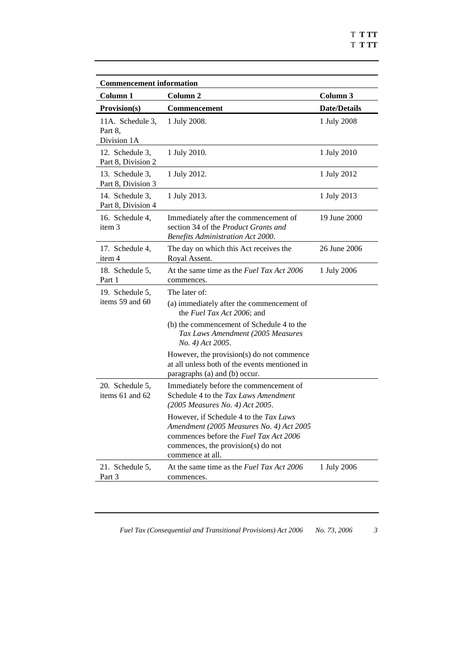| <b>Commencement information</b>            |                                                                                                                                                                                               |                     |
|--------------------------------------------|-----------------------------------------------------------------------------------------------------------------------------------------------------------------------------------------------|---------------------|
| Column 1                                   | Column 2                                                                                                                                                                                      | Column 3            |
| Provision(s)                               | Commencement                                                                                                                                                                                  | <b>Date/Details</b> |
| 11A. Schedule 3.<br>Part 8,<br>Division 1A | 1 July 2008.                                                                                                                                                                                  | 1 July 2008         |
| 12. Schedule 3.<br>Part 8, Division 2      | 1 July 2010.                                                                                                                                                                                  | 1 July 2010         |
| 13. Schedule 3,<br>Part 8, Division 3      | 1 July 2012.                                                                                                                                                                                  | 1 July 2012         |
| 14. Schedule 3,<br>Part 8, Division 4      | 1 July 2013.                                                                                                                                                                                  | 1 July 2013         |
| 16. Schedule 4,<br>item 3                  | Immediately after the commencement of<br>section 34 of the <i>Product Grants and</i><br>Benefits Administration Act 2000.                                                                     | 19 June 2000        |
| 17. Schedule 4,<br>item 4                  | The day on which this Act receives the<br>Royal Assent.                                                                                                                                       | 26 June 2006        |
| 18. Schedule 5,<br>Part 1                  | At the same time as the Fuel Tax Act 2006<br>commences.                                                                                                                                       | 1 July 2006         |
| 19. Schedule 5,<br>items 59 and 60         | The later of:                                                                                                                                                                                 |                     |
|                                            | (a) immediately after the commencement of<br>the Fuel Tax Act 2006; and                                                                                                                       |                     |
|                                            | (b) the commencement of Schedule 4 to the<br>Tax Laws Amendment (2005 Measures<br>No. 4) Act 2005.                                                                                            |                     |
|                                            | However, the provision(s) do not commence<br>at all unless both of the events mentioned in<br>paragraphs (a) and (b) occur.                                                                   |                     |
| 20. Schedule 5.<br>items $61$ and $62$     | Immediately before the commencement of<br>Schedule 4 to the Tax Laws Amendment<br>(2005 Measures No. 4) Act 2005.                                                                             |                     |
|                                            | However, if Schedule 4 to the Tax Laws<br>Amendment (2005 Measures No. 4) Act 2005<br>commences before the <i>Fuel Tax Act 2006</i><br>commences, the provision(s) do not<br>commence at all. |                     |
| 21. Schedule 5,<br>Part 3                  | At the same time as the Fuel Tax Act 2006<br>commences.                                                                                                                                       | 1 July 2006         |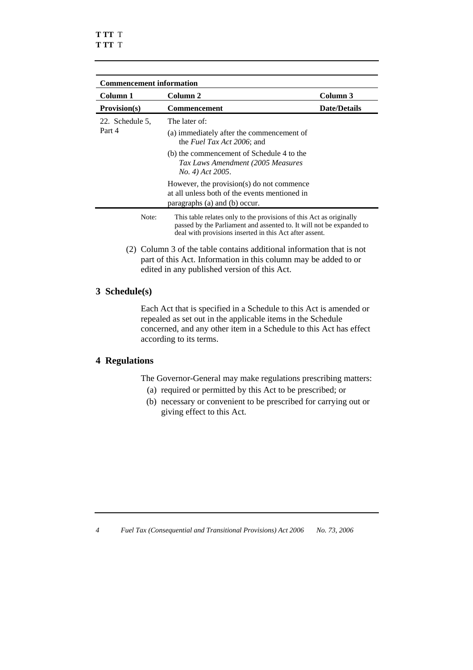| <b>Commencement information</b> |                                                                                                                                                                                                        |                     |
|---------------------------------|--------------------------------------------------------------------------------------------------------------------------------------------------------------------------------------------------------|---------------------|
| Column 1                        | Column 2                                                                                                                                                                                               | Column 3            |
| <b>Provision(s)</b>             | <b>Commencement</b>                                                                                                                                                                                    | <b>Date/Details</b> |
| 22. Schedule 5,<br>Part 4       | The later of:<br>(a) immediately after the commencement of<br>the <i>Fuel Tax Act 2006</i> ; and                                                                                                       |                     |
|                                 | (b) the commencement of Schedule 4 to the<br>Tax Laws Amendment (2005 Measures<br>No. 4) Act 2005.                                                                                                     |                     |
|                                 | However, the provision(s) do not commence<br>at all unless both of the events mentioned in<br>paragraphs (a) and (b) occur.                                                                            |                     |
| Note:                           | This table relates only to the provisions of this Act as originally<br>passed by the Parliament and assented to. It will not be expanded to<br>deal with provisions inserted in this Act after assent. |                     |
| 2)                              | Column 3 of the table contains additional information that is not                                                                                                                                      |                     |

part of this Act. Information in this column may be added to or edited in any published version of this Act.

#### **3 Schedule(s)**

 Each Act that is specified in a Schedule to this Act is amended or repealed as set out in the applicable items in the Schedule concerned, and any other item in a Schedule to this Act has effect according to its terms.

#### **4 Regulations**

The Governor-General may make regulations prescribing matters:

- (a) required or permitted by this Act to be prescribed; or
- (b) necessary or convenient to be prescribed for carrying out or giving effect to this Act.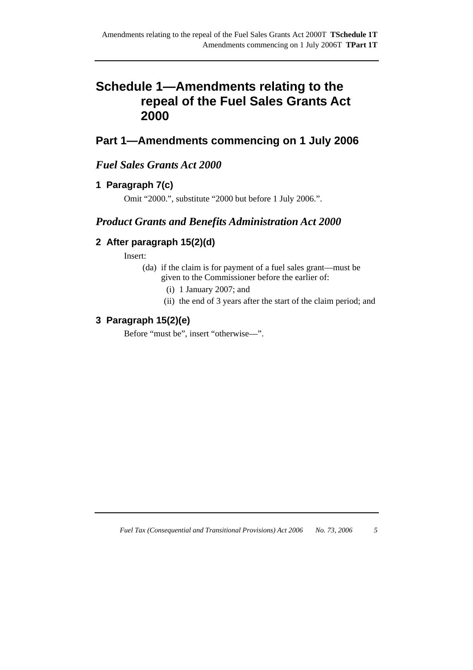## **Schedule 1—Amendments relating to the repeal of the Fuel Sales Grants Act 2000**

## **Part 1—Amendments commencing on 1 July 2006**

## *Fuel Sales Grants Act 2000*

### **1 Paragraph 7(c)**

Omit "2000.", substitute "2000 but before 1 July 2006.".

## *Product Grants and Benefits Administration Act 2000*

## **2 After paragraph 15(2)(d)**

Insert:

- (da) if the claim is for payment of a fuel sales grant—must be given to the Commissioner before the earlier of:
	- (i) 1 January 2007; and
	- (ii) the end of 3 years after the start of the claim period; and

### **3 Paragraph 15(2)(e)**

Before "must be", insert "otherwise—".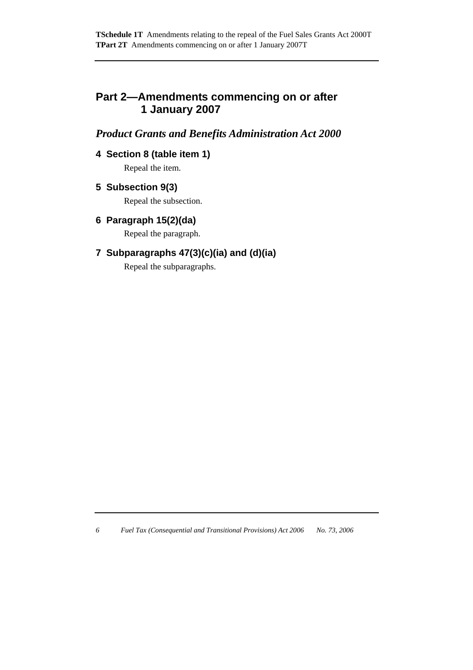## **Part 2—Amendments commencing on or after 1 January 2007**

## *Product Grants and Benefits Administration Act 2000*

## **4 Section 8 (table item 1)**

Repeal the item.

**5 Subsection 9(3)** 

Repeal the subsection.

**6 Paragraph 15(2)(da)** 

Repeal the paragraph.

## **7 Subparagraphs 47(3)(c)(ia) and (d)(ia)**

Repeal the subparagraphs.

*6 Fuel Tax (Consequential and Transitional Provisions) Act 2006 No. 73, 2006*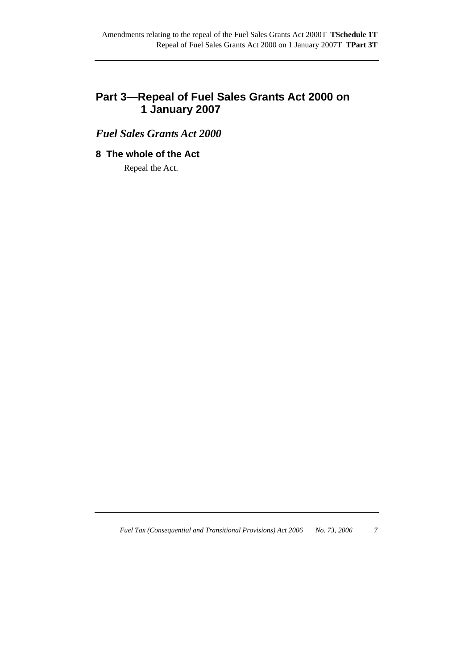## **Part 3—Repeal of Fuel Sales Grants Act 2000 on 1 January 2007**

*Fuel Sales Grants Act 2000* 

## **8 The whole of the Act**

Repeal the Act.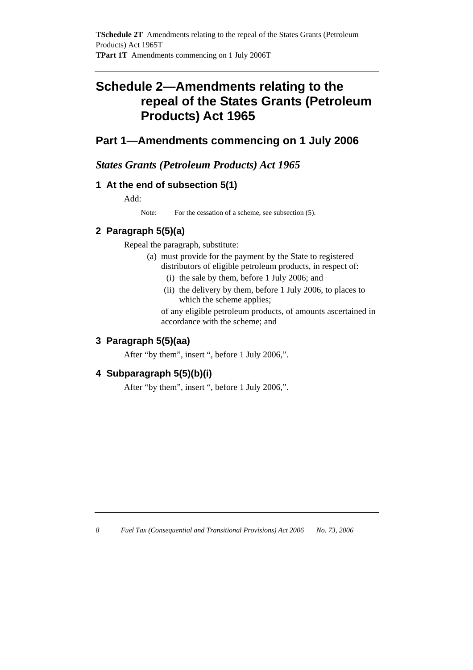## **Schedule 2—Amendments relating to the repeal of the States Grants (Petroleum Products) Act 1965**

## **Part 1—Amendments commencing on 1 July 2006**

*States Grants (Petroleum Products) Act 1965* 

## **1 At the end of subsection 5(1)**

Add:

Note: For the cessation of a scheme, see subsection (5).

## **2 Paragraph 5(5)(a)**

Repeal the paragraph, substitute:

- (a) must provide for the payment by the State to registered distributors of eligible petroleum products, in respect of:
	- (i) the sale by them, before 1 July 2006; and
	- (ii) the delivery by them, before 1 July 2006, to places to which the scheme applies;

 of any eligible petroleum products, of amounts ascertained in accordance with the scheme; and

### **3 Paragraph 5(5)(aa)**

After "by them", insert ", before 1 July 2006,".

### **4 Subparagraph 5(5)(b)(i)**

After "by them", insert ", before 1 July 2006,".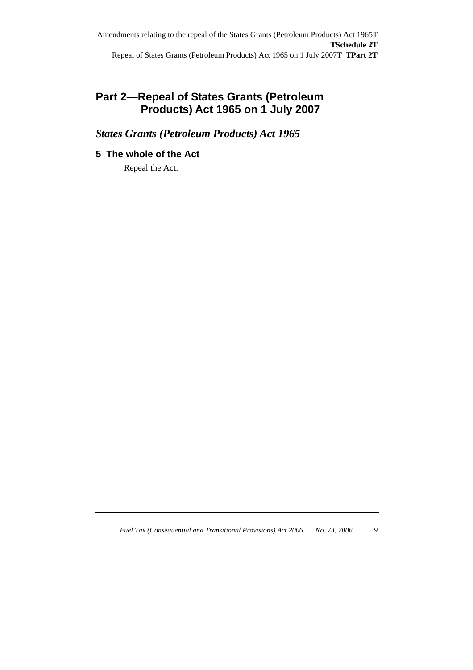## **Part 2—Repeal of States Grants (Petroleum Products) Act 1965 on 1 July 2007**

*States Grants (Petroleum Products) Act 1965* 

## **5 The whole of the Act**

Repeal the Act.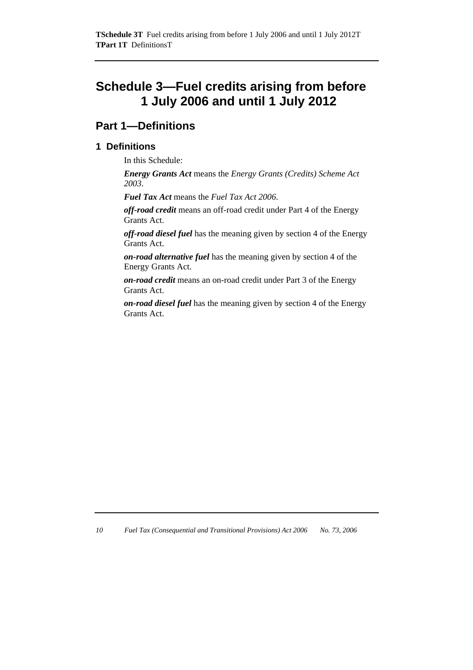## **Schedule 3—Fuel credits arising from before 1 July 2006 and until 1 July 2012**

## **Part 1—Definitions**

### **1 Definitions**

In this Schedule:

*Energy Grants Act* means the *Energy Grants (Credits) Scheme Act 2003*.

*Fuel Tax Act* means the *Fuel Tax Act 2006*.

*off-road credit* means an off-road credit under Part 4 of the Energy Grants Act.

*off-road diesel fuel* has the meaning given by section 4 of the Energy Grants Act.

*on-road alternative fuel* has the meaning given by section 4 of the Energy Grants Act.

*on-road credit* means an on-road credit under Part 3 of the Energy Grants Act.

*on-road diesel fuel* has the meaning given by section 4 of the Energy Grants Act.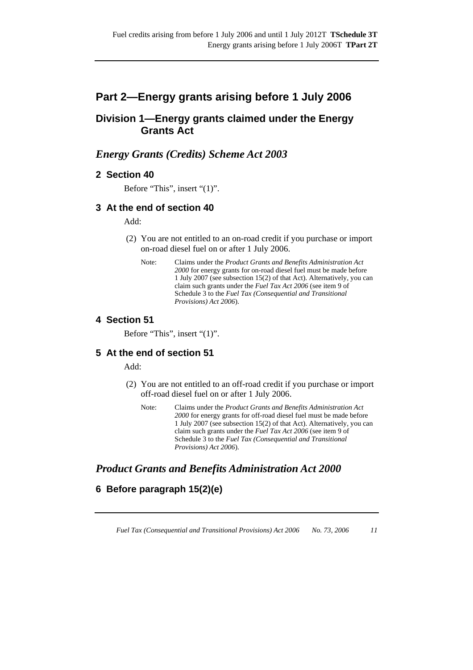## **Part 2—Energy grants arising before 1 July 2006**

## **Division 1—Energy grants claimed under the Energy Grants Act**

## *Energy Grants (Credits) Scheme Act 2003*

#### **2 Section 40**

Before "This", insert "(1)".

#### **3 At the end of section 40**

Add:

- (2) You are not entitled to an on-road credit if you purchase or import on-road diesel fuel on or after 1 July 2006.
	- Note: Claims under the *Product Grants and Benefits Administration Act 2000* for energy grants for on-road diesel fuel must be made before 1 July 2007 (see subsection 15(2) of that Act). Alternatively, you can claim such grants under the *Fuel Tax Act 2006* (see item 9 of Schedule 3 to the *Fuel Tax (Consequential and Transitional Provisions) Act 2006*).

#### **4 Section 51**

Before "This", insert "(1)".

#### **5 At the end of section 51**

Add:

- (2) You are not entitled to an off-road credit if you purchase or import off-road diesel fuel on or after 1 July 2006.
	- Note: Claims under the *Product Grants and Benefits Administration Act 2000* for energy grants for off-road diesel fuel must be made before 1 July 2007 (see subsection 15(2) of that Act). Alternatively, you can claim such grants under the *Fuel Tax Act 2006* (see item 9 of Schedule 3 to the *Fuel Tax (Consequential and Transitional Provisions) Act 2006*).

### *Product Grants and Benefits Administration Act 2000*

### **6 Before paragraph 15(2)(e)**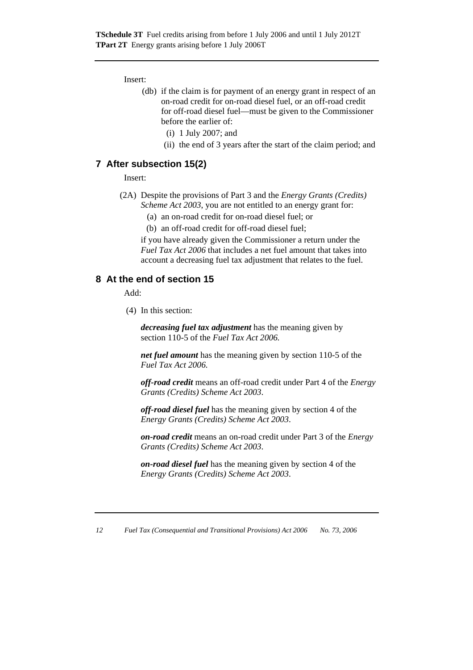Insert:

- (db) if the claim is for payment of an energy grant in respect of an on-road credit for on-road diesel fuel, or an off-road credit for off-road diesel fuel—must be given to the Commissioner before the earlier of:
	- (i) 1 July 2007; and
	- (ii) the end of 3 years after the start of the claim period; and

#### **7 After subsection 15(2)**

Insert:

- (2A) Despite the provisions of Part 3 and the *Energy Grants (Credits) Scheme Act 2003*, you are not entitled to an energy grant for:
	- (a) an on-road credit for on-road diesel fuel; or
	- (b) an off-road credit for off-road diesel fuel;

if you have already given the Commissioner a return under the *Fuel Tax Act 2006* that includes a net fuel amount that takes into account a decreasing fuel tax adjustment that relates to the fuel.

#### **8 At the end of section 15**

Add:

(4) In this section:

*decreasing fuel tax adjustment* has the meaning given by section 110-5 of the *Fuel Tax Act 2006.*

*net fuel amount* has the meaning given by section 110-5 of the *Fuel Tax Act 2006.* 

*off-road credit* means an off-road credit under Part 4 of the *Energy Grants (Credits) Scheme Act 2003*.

*off-road diesel fuel* has the meaning given by section 4 of the *Energy Grants (Credits) Scheme Act 2003*.

*on-road credit* means an on-road credit under Part 3 of the *Energy Grants (Credits) Scheme Act 2003*.

*on-road diesel fuel* has the meaning given by section 4 of the *Energy Grants (Credits) Scheme Act 2003*.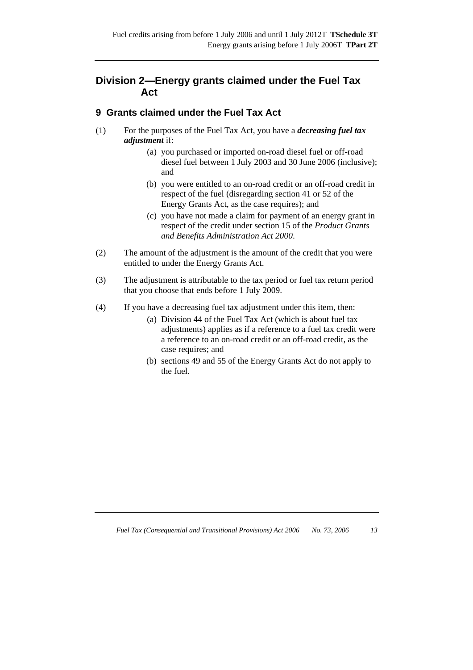## **Division 2—Energy grants claimed under the Fuel Tax Act**

### **9 Grants claimed under the Fuel Tax Act**

- (1) For the purposes of the Fuel Tax Act, you have a *decreasing fuel tax adjustment* if:
	- (a) you purchased or imported on-road diesel fuel or off-road diesel fuel between 1 July 2003 and 30 June 2006 (inclusive); and
	- (b) you were entitled to an on-road credit or an off-road credit in respect of the fuel (disregarding section 41 or 52 of the Energy Grants Act, as the case requires); and
	- (c) you have not made a claim for payment of an energy grant in respect of the credit under section 15 of the *Product Grants and Benefits Administration Act 2000*.
- (2) The amount of the adjustment is the amount of the credit that you were entitled to under the Energy Grants Act.
- (3) The adjustment is attributable to the tax period or fuel tax return period that you choose that ends before 1 July 2009.
- (4) If you have a decreasing fuel tax adjustment under this item, then:
	- (a) Division 44 of the Fuel Tax Act (which is about fuel tax adjustments) applies as if a reference to a fuel tax credit were a reference to an on-road credit or an off-road credit, as the case requires; and
	- (b) sections 49 and 55 of the Energy Grants Act do not apply to the fuel.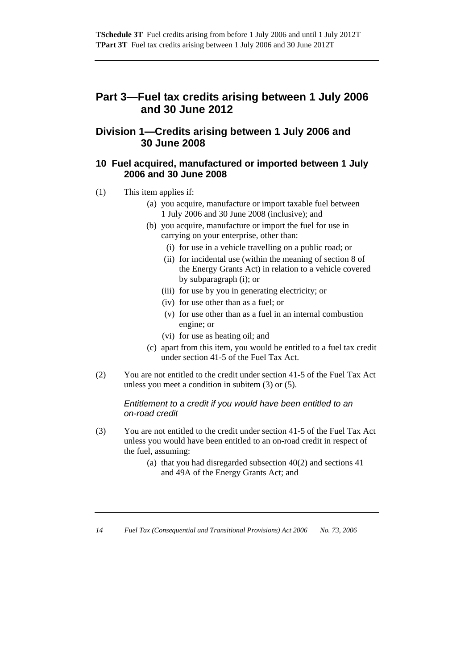## **Part 3—Fuel tax credits arising between 1 July 2006 and 30 June 2012**

## **Division 1—Credits arising between 1 July 2006 and 30 June 2008**

#### **10 Fuel acquired, manufactured or imported between 1 July 2006 and 30 June 2008**

- (1) This item applies if:
	- (a) you acquire, manufacture or import taxable fuel between 1 July 2006 and 30 June 2008 (inclusive); and
	- (b) you acquire, manufacture or import the fuel for use in carrying on your enterprise, other than:
		- (i) for use in a vehicle travelling on a public road; or
		- (ii) for incidental use (within the meaning of section 8 of the Energy Grants Act) in relation to a vehicle covered by subparagraph (i); or
		- (iii) for use by you in generating electricity; or
		- (iv) for use other than as a fuel; or
		- (v) for use other than as a fuel in an internal combustion engine; or
		- (vi) for use as heating oil; and
	- (c) apart from this item, you would be entitled to a fuel tax credit under section 41-5 of the Fuel Tax Act.
- (2) You are not entitled to the credit under section 41-5 of the Fuel Tax Act unless you meet a condition in subitem (3) or (5).

#### *Entitlement to a credit if you would have been entitled to an on-road credit*

- (3) You are not entitled to the credit under section 41-5 of the Fuel Tax Act unless you would have been entitled to an on-road credit in respect of the fuel, assuming:
	- (a) that you had disregarded subsection 40(2) and sections 41 and 49A of the Energy Grants Act; and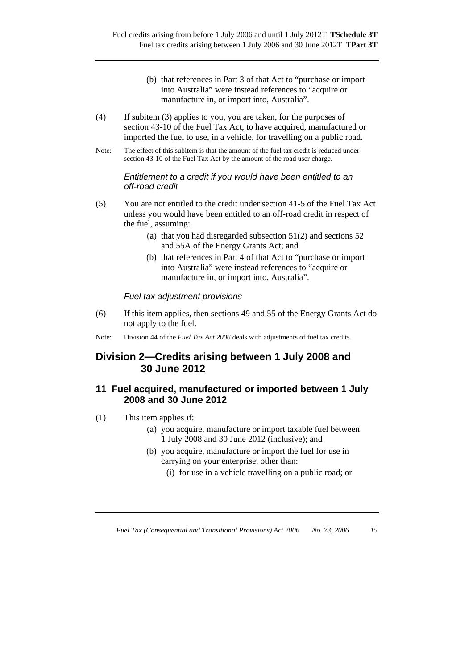- (b) that references in Part 3 of that Act to "purchase or import into Australia" were instead references to "acquire or manufacture in, or import into, Australia".
- (4) If subitem (3) applies to you, you are taken, for the purposes of section 43-10 of the Fuel Tax Act, to have acquired, manufactured or imported the fuel to use, in a vehicle, for travelling on a public road.
- Note: The effect of this subitem is that the amount of the fuel tax credit is reduced under section 43-10 of the Fuel Tax Act by the amount of the road user charge.

#### *Entitlement to a credit if you would have been entitled to an off-road credit*

- (5) You are not entitled to the credit under section 41-5 of the Fuel Tax Act unless you would have been entitled to an off-road credit in respect of the fuel, assuming:
	- (a) that you had disregarded subsection 51(2) and sections 52 and 55A of the Energy Grants Act; and
	- (b) that references in Part 4 of that Act to "purchase or import into Australia" were instead references to "acquire or manufacture in, or import into, Australia".

#### *Fuel tax adjustment provisions*

- (6) If this item applies, then sections 49 and 55 of the Energy Grants Act do not apply to the fuel.
- Note: Division 44 of the *Fuel Tax Act 2006* deals with adjustments of fuel tax credits.

### **Division 2—Credits arising between 1 July 2008 and 30 June 2012**

#### **11 Fuel acquired, manufactured or imported between 1 July 2008 and 30 June 2012**

- (1) This item applies if:
	- (a) you acquire, manufacture or import taxable fuel between 1 July 2008 and 30 June 2012 (inclusive); and
	- (b) you acquire, manufacture or import the fuel for use in carrying on your enterprise, other than:
		- (i) for use in a vehicle travelling on a public road; or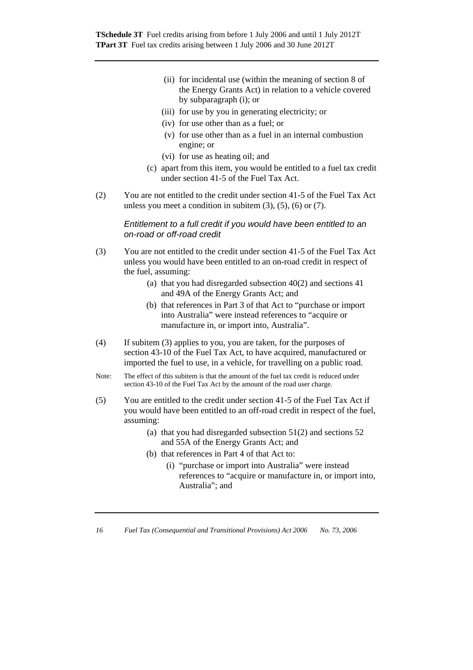**TSchedule 3T** Fuel credits arising from before 1 July 2006 and until 1 July 2012T **TPart 3T** Fuel tax credits arising between 1 July 2006 and 30 June 2012T

- (ii) for incidental use (within the meaning of section 8 of the Energy Grants Act) in relation to a vehicle covered by subparagraph (i); or
- (iii) for use by you in generating electricity; or
- (iv) for use other than as a fuel; or
- (v) for use other than as a fuel in an internal combustion engine; or
- (vi) for use as heating oil; and
- (c) apart from this item, you would be entitled to a fuel tax credit under section 41-5 of the Fuel Tax Act.
- (2) You are not entitled to the credit under section 41-5 of the Fuel Tax Act unless you meet a condition in subitem  $(3)$ ,  $(5)$ ,  $(6)$  or  $(7)$ .

*Entitlement to a full credit if you would have been entitled to an on-road or off-road credit* 

- (3) You are not entitled to the credit under section 41-5 of the Fuel Tax Act unless you would have been entitled to an on-road credit in respect of the fuel, assuming:
	- (a) that you had disregarded subsection 40(2) and sections 41 and 49A of the Energy Grants Act; and
	- (b) that references in Part 3 of that Act to "purchase or import into Australia" were instead references to "acquire or manufacture in, or import into, Australia".
- (4) If subitem (3) applies to you, you are taken, for the purposes of section 43-10 of the Fuel Tax Act, to have acquired, manufactured or imported the fuel to use, in a vehicle, for travelling on a public road.
- Note: The effect of this subitem is that the amount of the fuel tax credit is reduced under section 43-10 of the Fuel Tax Act by the amount of the road user charge.
- (5) You are entitled to the credit under section 41-5 of the Fuel Tax Act if you would have been entitled to an off-road credit in respect of the fuel, assuming:
	- (a) that you had disregarded subsection  $51(2)$  and sections  $52$ and 55A of the Energy Grants Act; and
	- (b) that references in Part 4 of that Act to:
		- (i) "purchase or import into Australia" were instead references to "acquire or manufacture in, or import into, Australia"; and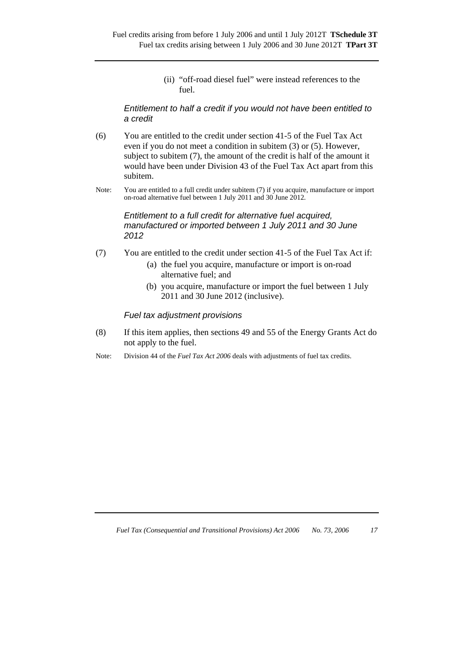(ii) "off-road diesel fuel" were instead references to the fuel.

#### *Entitlement to half a credit if you would not have been entitled to a credit*

- (6) You are entitled to the credit under section 41-5 of the Fuel Tax Act even if you do not meet a condition in subitem (3) or (5). However, subject to subitem (7), the amount of the credit is half of the amount it would have been under Division 43 of the Fuel Tax Act apart from this subitem.
- Note: You are entitled to a full credit under subitem (7) if you acquire, manufacture or import on-road alternative fuel between 1 July 2011 and 30 June 2012.

#### *Entitlement to a full credit for alternative fuel acquired, manufactured or imported between 1 July 2011 and 30 June 2012*

- (7) You are entitled to the credit under section 41-5 of the Fuel Tax Act if:
	- (a) the fuel you acquire, manufacture or import is on-road alternative fuel; and
	- (b) you acquire, manufacture or import the fuel between 1 July 2011 and 30 June 2012 (inclusive).

#### *Fuel tax adjustment provisions*

- (8) If this item applies, then sections 49 and 55 of the Energy Grants Act do not apply to the fuel.
- Note: Division 44 of the *Fuel Tax Act 2006* deals with adjustments of fuel tax credits.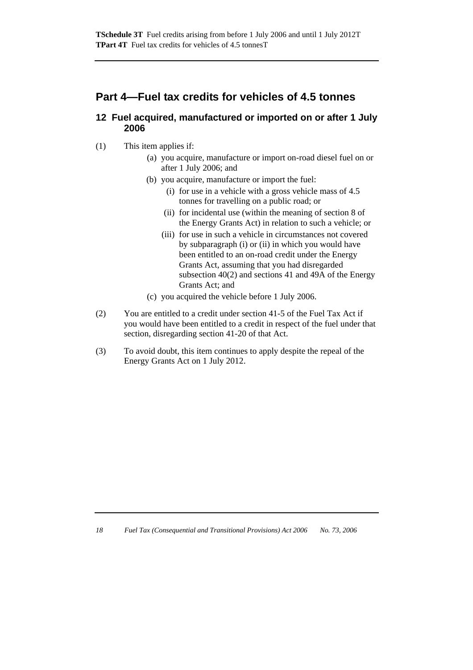## **Part 4—Fuel tax credits for vehicles of 4.5 tonnes**

#### **12 Fuel acquired, manufactured or imported on or after 1 July 2006**

- (1) This item applies if:
	- (a) you acquire, manufacture or import on-road diesel fuel on or after 1 July 2006; and
	- (b) you acquire, manufacture or import the fuel:
		- (i) for use in a vehicle with a gross vehicle mass of 4.5 tonnes for travelling on a public road; or
		- (ii) for incidental use (within the meaning of section 8 of the Energy Grants Act) in relation to such a vehicle; or
		- (iii) for use in such a vehicle in circumstances not covered by subparagraph (i) or (ii) in which you would have been entitled to an on-road credit under the Energy Grants Act, assuming that you had disregarded subsection 40(2) and sections 41 and 49A of the Energy Grants Act; and
	- (c) you acquired the vehicle before 1 July 2006.
- (2) You are entitled to a credit under section 41-5 of the Fuel Tax Act if you would have been entitled to a credit in respect of the fuel under that section, disregarding section 41-20 of that Act.
- (3) To avoid doubt, this item continues to apply despite the repeal of the Energy Grants Act on 1 July 2012.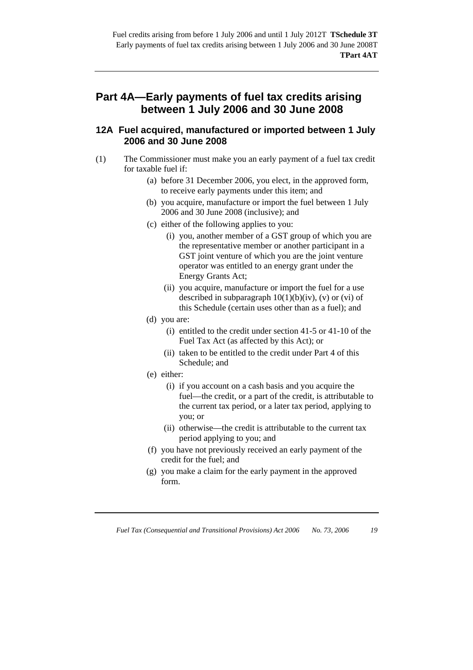## **Part 4A—Early payments of fuel tax credits arising between 1 July 2006 and 30 June 2008**

#### **12A Fuel acquired, manufactured or imported between 1 July 2006 and 30 June 2008**

- (1) The Commissioner must make you an early payment of a fuel tax credit for taxable fuel if:
	- (a) before 31 December 2006, you elect, in the approved form, to receive early payments under this item; and
	- (b) you acquire, manufacture or import the fuel between 1 July 2006 and 30 June 2008 (inclusive); and
	- (c) either of the following applies to you:
		- (i) you, another member of a GST group of which you are the representative member or another participant in a GST joint venture of which you are the joint venture operator was entitled to an energy grant under the Energy Grants Act;
		- (ii) you acquire, manufacture or import the fuel for a use described in subparagraph  $10(1)(b)(iv)$ , (v) or (vi) of this Schedule (certain uses other than as a fuel); and
	- (d) you are:
		- (i) entitled to the credit under section 41-5 or 41-10 of the Fuel Tax Act (as affected by this Act); or
		- (ii) taken to be entitled to the credit under Part 4 of this Schedule; and
	- (e) either:
		- (i) if you account on a cash basis and you acquire the fuel—the credit, or a part of the credit, is attributable to the current tax period, or a later tax period, applying to you; or
		- (ii) otherwise—the credit is attributable to the current tax period applying to you; and
	- (f) you have not previously received an early payment of the credit for the fuel; and
	- (g) you make a claim for the early payment in the approved form.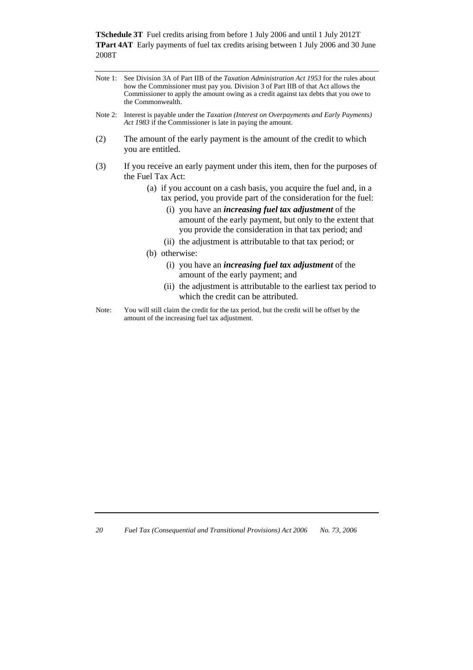**TSchedule 3T** Fuel credits arising from before 1 July 2006 and until 1 July 2012T **TPart 4AT** Early payments of fuel tax credits arising between 1 July 2006 and 30 June 2008T

| Note 1: See Division 3A of Part IIB of the <i>Taxation Administration Act 1953</i> for the rules about |
|--------------------------------------------------------------------------------------------------------|
| how the Commissioner must pay you. Division 3 of Part IIB of that Act allows the                       |
| Commissioner to apply the amount owing as a credit against tax debts that you owe to                   |
| the Commonwealth.                                                                                      |

- Note 2: Interest is payable under the *Taxation (Interest on Overpayments and Early Payments) Act 1983* if the Commissioner is late in paying the amount.
- (2) The amount of the early payment is the amount of the credit to which you are entitled.
- (3) If you receive an early payment under this item, then for the purposes of the Fuel Tax Act:
	- (a) if you account on a cash basis, you acquire the fuel and, in a tax period, you provide part of the consideration for the fuel:
		- (i) you have an *increasing fuel tax adjustment* of the amount of the early payment, but only to the extent that you provide the consideration in that tax period; and
		- (ii) the adjustment is attributable to that tax period; or
	- (b) otherwise:
		- (i) you have an *increasing fuel tax adjustment* of the amount of the early payment; and
		- (ii) the adjustment is attributable to the earliest tax period to which the credit can be attributed.
- Note: You will still claim the credit for the tax period, but the credit will be offset by the amount of the increasing fuel tax adjustment.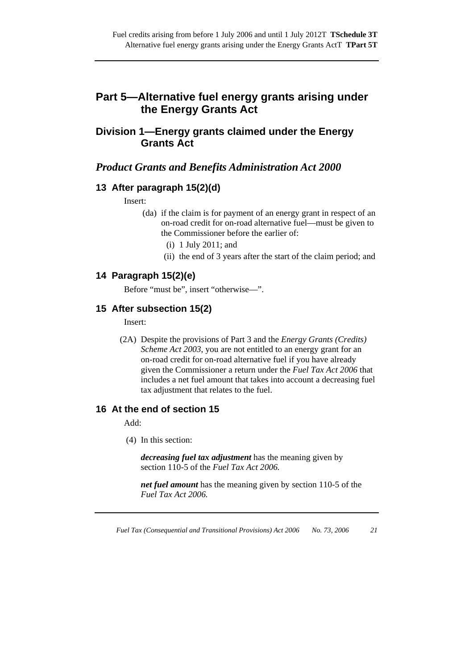## **Part 5—Alternative fuel energy grants arising under the Energy Grants Act**

## **Division 1—Energy grants claimed under the Energy Grants Act**

### *Product Grants and Benefits Administration Act 2000*

#### **13 After paragraph 15(2)(d)**

Insert:

- (da) if the claim is for payment of an energy grant in respect of an on-road credit for on-road alternative fuel—must be given to the Commissioner before the earlier of:
	- (i) 1 July 2011; and
	- (ii) the end of 3 years after the start of the claim period; and

#### **14 Paragraph 15(2)(e)**

Before "must be", insert "otherwise—".

#### **15 After subsection 15(2)**

Insert:

 (2A) Despite the provisions of Part 3 and the *Energy Grants (Credits) Scheme Act 2003*, you are not entitled to an energy grant for an on-road credit for on-road alternative fuel if you have already given the Commissioner a return under the *Fuel Tax Act 2006* that includes a net fuel amount that takes into account a decreasing fuel tax adjustment that relates to the fuel.

#### **16 At the end of section 15**

Add:

(4) In this section:

*decreasing fuel tax adjustment* has the meaning given by section 110-5 of the *Fuel Tax Act 2006.*

*net fuel amount* has the meaning given by section 110-5 of the *Fuel Tax Act 2006.*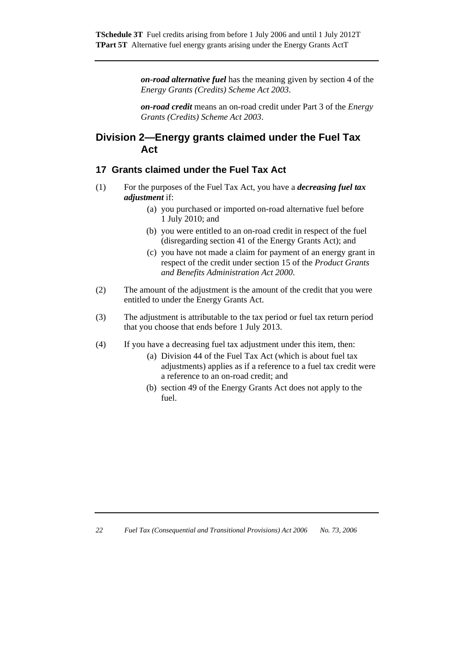*on-road alternative fuel* has the meaning given by section 4 of the *Energy Grants (Credits) Scheme Act 2003*.

*on-road credit* means an on-road credit under Part 3 of the *Energy Grants (Credits) Scheme Act 2003*.

## **Division 2—Energy grants claimed under the Fuel Tax Act**

#### **17 Grants claimed under the Fuel Tax Act**

- (1) For the purposes of the Fuel Tax Act, you have a *decreasing fuel tax adjustment* if:
	- (a) you purchased or imported on-road alternative fuel before 1 July 2010; and
	- (b) you were entitled to an on-road credit in respect of the fuel (disregarding section 41 of the Energy Grants Act); and
	- (c) you have not made a claim for payment of an energy grant in respect of the credit under section 15 of the *Product Grants and Benefits Administration Act 2000*.
- (2) The amount of the adjustment is the amount of the credit that you were entitled to under the Energy Grants Act.
- (3) The adjustment is attributable to the tax period or fuel tax return period that you choose that ends before 1 July 2013.
- (4) If you have a decreasing fuel tax adjustment under this item, then:
	- (a) Division 44 of the Fuel Tax Act (which is about fuel tax adjustments) applies as if a reference to a fuel tax credit were a reference to an on-road credit; and
	- (b) section 49 of the Energy Grants Act does not apply to the fuel.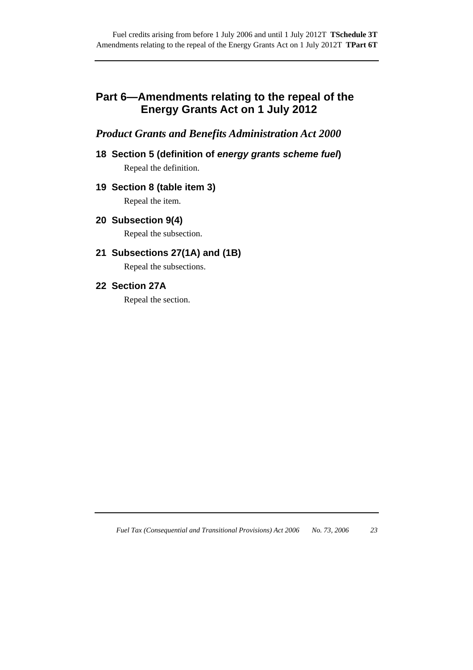## **Part 6—Amendments relating to the repeal of the Energy Grants Act on 1 July 2012**

## *Product Grants and Benefits Administration Act 2000*

**18 Section 5 (definition of** *energy grants scheme fuel***)**  Repeal the definition.

#### **19 Section 8 (table item 3)**

Repeal the item.

**20 Subsection 9(4)** 

Repeal the subsection.

### **21 Subsections 27(1A) and (1B)**

Repeal the subsections.

#### **22 Section 27A**

Repeal the section.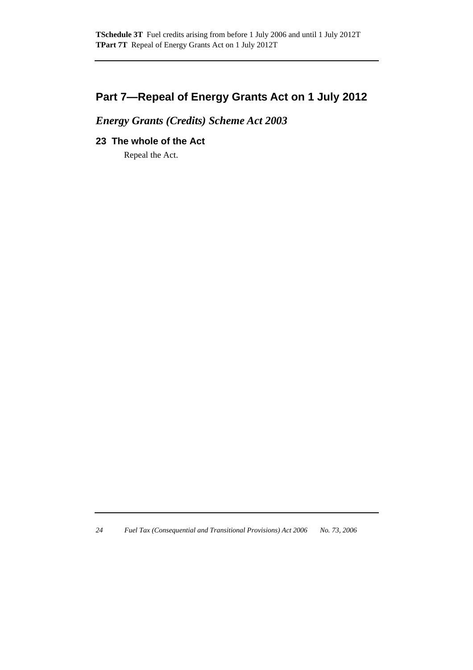## **Part 7—Repeal of Energy Grants Act on 1 July 2012**

## *Energy Grants (Credits) Scheme Act 2003*

#### **23 The whole of the Act**

Repeal the Act.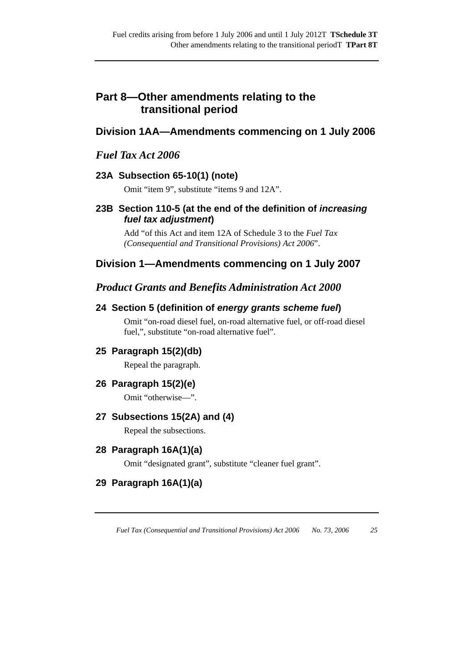## **Part 8—Other amendments relating to the transitional period**

## **Division 1AA—Amendments commencing on 1 July 2006**

## *Fuel Tax Act 2006*

## **23A Subsection 65-10(1) (note)**

Omit "item 9", substitute "items 9 and 12A".

### **23B Section 110-5 (at the end of the definition of** *increasing fuel tax adjustment***)**

Add "of this Act and item 12A of Schedule 3 to the *Fuel Tax (Consequential and Transitional Provisions) Act 2006*".

## **Division 1—Amendments commencing on 1 July 2007**

## *Product Grants and Benefits Administration Act 2000*

### **24 Section 5 (definition of** *energy grants scheme fuel***)**

Omit "on-road diesel fuel, on-road alternative fuel, or off-road diesel fuel,", substitute "on-road alternative fuel".

### **25 Paragraph 15(2)(db)**

Repeal the paragraph.

### **26 Paragraph 15(2)(e)**

Omit "otherwise—".

#### **27 Subsections 15(2A) and (4)**

Repeal the subsections.

### **28 Paragraph 16A(1)(a)**

Omit "designated grant", substitute "cleaner fuel grant".

## **29 Paragraph 16A(1)(a)**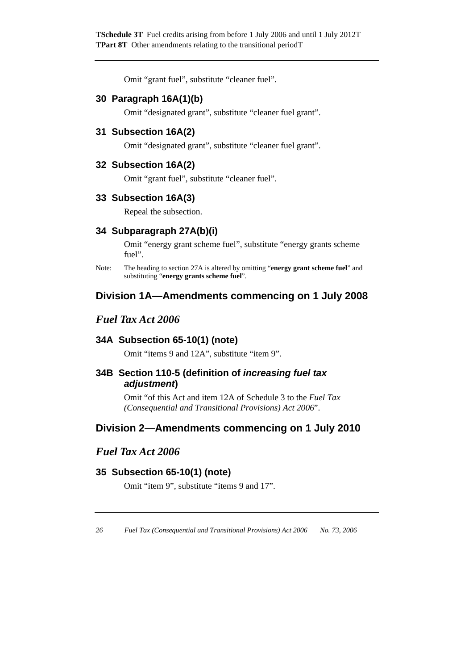Omit "grant fuel", substitute "cleaner fuel".

#### **30 Paragraph 16A(1)(b)**

Omit "designated grant", substitute "cleaner fuel grant".

### **31 Subsection 16A(2)**

Omit "designated grant", substitute "cleaner fuel grant".

#### **32 Subsection 16A(2)**

Omit "grant fuel", substitute "cleaner fuel".

#### **33 Subsection 16A(3)**

Repeal the subsection.

#### **34 Subparagraph 27A(b)(i)**

Omit "energy grant scheme fuel", substitute "energy grants scheme fuel".

Note: The heading to section 27A is altered by omitting "**energy grant scheme fuel**" and substituting "**energy grants scheme fuel**".

### **Division 1A—Amendments commencing on 1 July 2008**

### *Fuel Tax Act 2006*

#### **34A Subsection 65-10(1) (note)**

Omit "items 9 and 12A", substitute "item 9".

#### **34B Section 110-5 (definition of** *increasing fuel tax adjustment***)**

Omit "of this Act and item 12A of Schedule 3 to the *Fuel Tax (Consequential and Transitional Provisions) Act 2006*".

### **Division 2—Amendments commencing on 1 July 2010**

## *Fuel Tax Act 2006*

#### **35 Subsection 65-10(1) (note)**

Omit "item 9", substitute "items 9 and 17".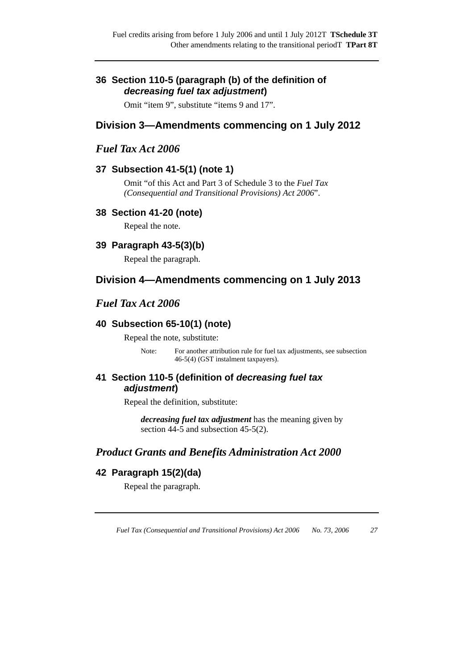#### **36 Section 110-5 (paragraph (b) of the definition of**  *decreasing fuel tax adjustment***)**

Omit "item 9", substitute "items 9 and 17".

## **Division 3—Amendments commencing on 1 July 2012**

### *Fuel Tax Act 2006*

#### **37 Subsection 41-5(1) (note 1)**

Omit "of this Act and Part 3 of Schedule 3 to the *Fuel Tax (Consequential and Transitional Provisions) Act 2006*".

#### **38 Section 41-20 (note)**

Repeal the note.

#### **39 Paragraph 43-5(3)(b)**

Repeal the paragraph.

## **Division 4—Amendments commencing on 1 July 2013**

#### *Fuel Tax Act 2006*

#### **40 Subsection 65-10(1) (note)**

Repeal the note, substitute:

Note: For another attribution rule for fuel tax adjustments, see subsection 46-5(4) (GST instalment taxpayers).

#### **41 Section 110-5 (definition of** *decreasing fuel tax adjustment***)**

Repeal the definition, substitute:

*decreasing fuel tax adjustment* has the meaning given by section 44-5 and subsection 45-5(2).

## *Product Grants and Benefits Administration Act 2000*

### **42 Paragraph 15(2)(da)**

Repeal the paragraph.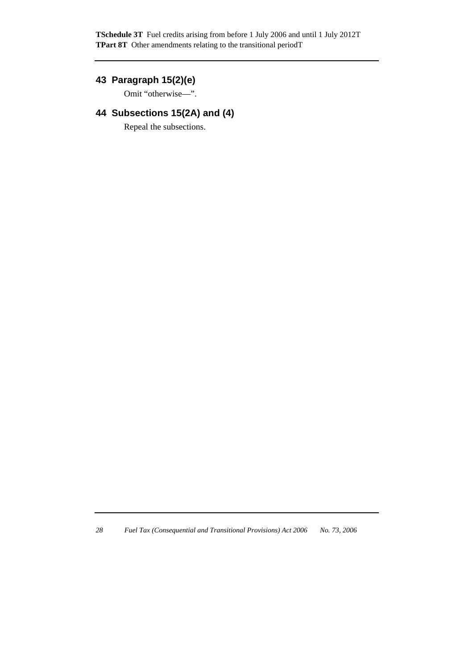**TSchedule 3T** Fuel credits arising from before 1 July 2006 and until 1 July 2012T **TPart 8T** Other amendments relating to the transitional periodT

## **43 Paragraph 15(2)(e)**

Omit "otherwise—".

## **44 Subsections 15(2A) and (4)**

Repeal the subsections.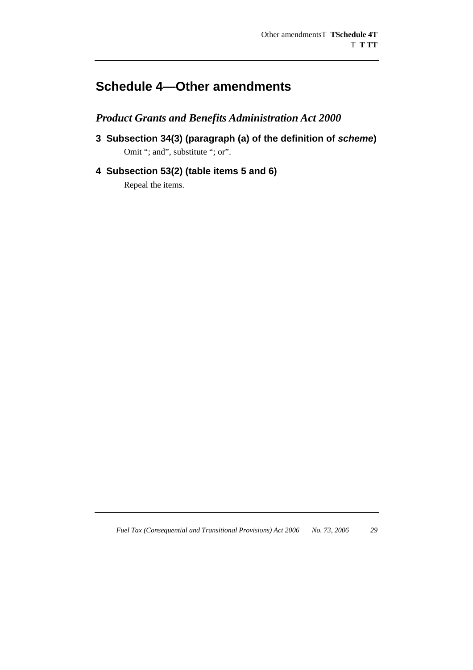# **Schedule 4—Other amendments**

*Product Grants and Benefits Administration Act 2000* 

- **3 Subsection 34(3) (paragraph (a) of the definition of** *scheme***)**  Omit "; and", substitute "; or".
- **4 Subsection 53(2) (table items 5 and 6)**

Repeal the items.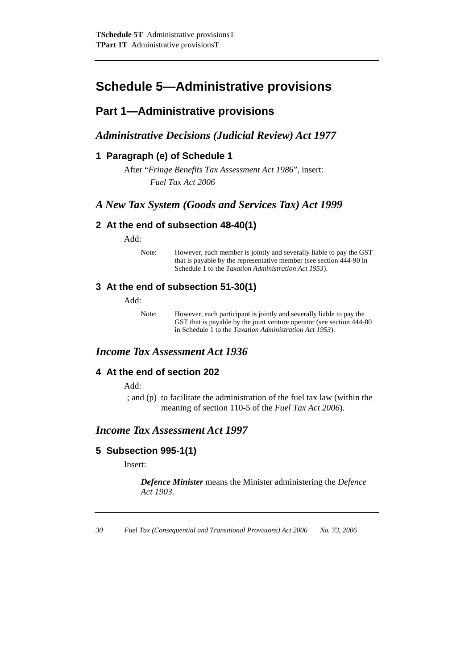## **Schedule 5—Administrative provisions**

## **Part 1—Administrative provisions**

### *Administrative Decisions (Judicial Review) Act 1977*

#### **1 Paragraph (e) of Schedule 1**

After "*Fringe Benefits Tax Assessment Act 1986*", insert: *Fuel Tax Act 2006*

### *A New Tax System (Goods and Services Tax) Act 1999*

#### **2 At the end of subsection 48-40(1)**

Add:

Note: However, each member is jointly and severally liable to pay the GST that is payable by the representative member (see section 444-90 in Schedule 1 to the *Taxation Administration Act 1953*).

#### **3 At the end of subsection 51-30(1)**

Add:

Note: However, each participant is jointly and severally liable to pay the GST that is payable by the joint venture operator (see section 444-80 in Schedule 1 to the *Taxation Administration Act 1953*).

### *Income Tax Assessment Act 1936*

#### **4 At the end of section 202**

Add:

 ; and (p) to facilitate the administration of the fuel tax law (within the meaning of section 110-5 of the *Fuel Tax Act 2006*).

#### *Income Tax Assessment Act 1997*

#### **5 Subsection 995-1(1)**

Insert:

*Defence Minister* means the Minister administering the *Defence Act 1903*.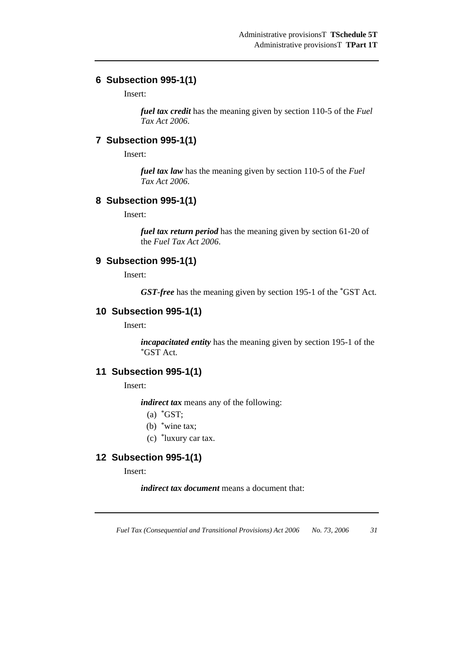# **6 Subsection 995-1(1)**

Insert:

*fuel tax credit* has the meaning given by section 110-5 of the *Fuel Tax Act 2006*.

### **7 Subsection 995-1(1)**

Insert:

*fuel tax law* has the meaning given by section 110-5 of the *Fuel Tax Act 2006*.

### **8 Subsection 995-1(1)**

Insert:

*fuel tax return period* has the meaning given by section 61-20 of the *Fuel Tax Act 2006*.

# **9 Subsection 995-1(1)**

Insert:

*GST-free* has the meaning given by section 195-1 of the \*GST Act.

### **10 Subsection 995-1(1)**

Insert:

*incapacitated entity* has the meaning given by section 195-1 of the \*GST Act.

# **11 Subsection 995-1(1)**

Insert:

*indirect tax* means any of the following:

- (a)  $*GST$ :
- (b) \*wine tax;
- (c) \*luxury car tax.

# **12 Subsection 995-1(1)**

Insert:

*indirect tax document* means a document that: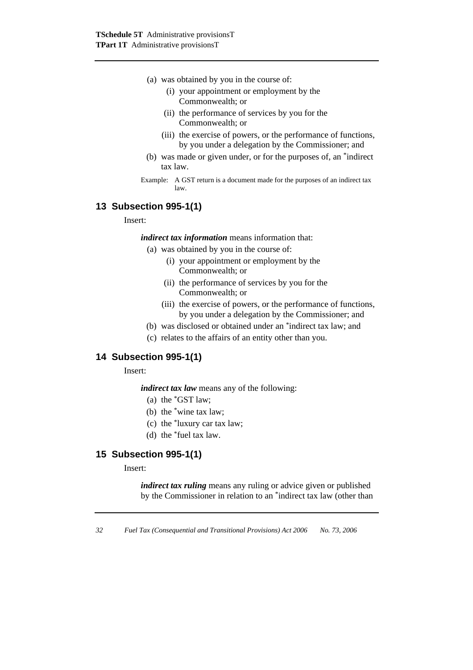- (a) was obtained by you in the course of:
	- (i) your appointment or employment by the Commonwealth; or
	- (ii) the performance of services by you for the Commonwealth; or
	- (iii) the exercise of powers, or the performance of functions, by you under a delegation by the Commissioner; and
- (b) was made or given under, or for the purposes of, an \*indirect tax law.
- Example: A GST return is a document made for the purposes of an indirect tax law.

# **13 Subsection 995-1(1)**

#### Insert:

*indirect tax information* means information that:

- (a) was obtained by you in the course of:
	- (i) your appointment or employment by the Commonwealth; or
	- (ii) the performance of services by you for the Commonwealth; or
	- (iii) the exercise of powers, or the performance of functions, by you under a delegation by the Commissioner; and
- (b) was disclosed or obtained under an \*indirect tax law; and
- (c) relates to the affairs of an entity other than you.

## **14 Subsection 995-1(1)**

Insert:

*indirect tax law* means any of the following:

- (a) the \*GST law;
- (b) the \*wine tax law;
- (c) the \*luxury car tax law;
- (d) the \*fuel tax law.

# **15 Subsection 995-1(1)**

### Insert:

*indirect tax ruling* means any ruling or advice given or published by the Commissioner in relation to an \*indirect tax law (other than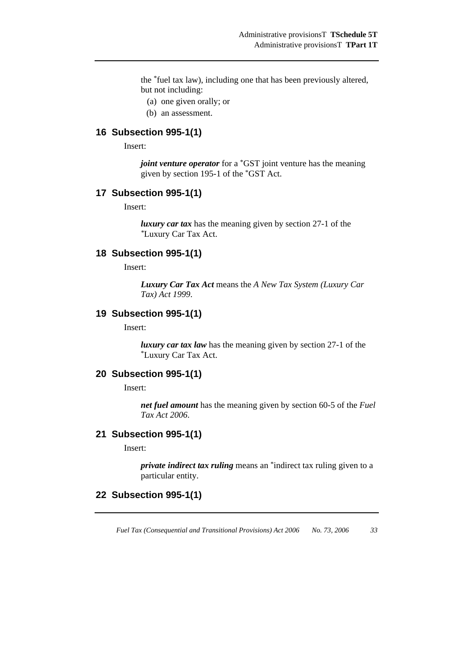the \*fuel tax law), including one that has been previously altered, but not including:

- (a) one given orally; or
- (b) an assessment.

### **16 Subsection 995-1(1)**

Insert:

*joint venture operator* for a <sup>\*</sup>GST joint venture has the meaning given by section 195-1 of the \*GST Act.

### **17 Subsection 995-1(1)**

Insert:

*luxury car tax* has the meaning given by section 27-1 of the *\**Luxury Car Tax Act.

### **18 Subsection 995-1(1)**

Insert:

*Luxury Car Tax Act* means the *A New Tax System (Luxury Car Tax) Act 1999*.

### **19 Subsection 995-1(1)**

Insert:

*luxury car tax law* has the meaning given by section 27-1 of the \*Luxury Car Tax Act.

### **20 Subsection 995-1(1)**

Insert:

*net fuel amount* has the meaning given by section 60-5 of the *Fuel Tax Act 2006*.

### **21 Subsection 995-1(1)**

Insert:

*private indirect tax ruling* means an \*indirect tax ruling given to a particular entity.

### **22 Subsection 995-1(1)**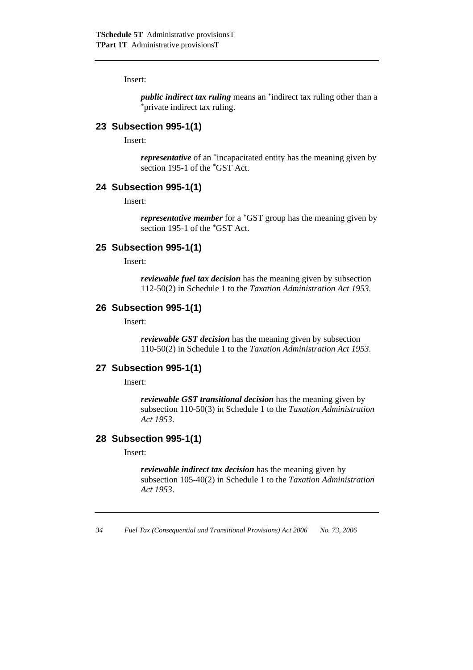Insert:

*public indirect tax ruling* means an \*indirect tax ruling other than a \*private indirect tax ruling.

### **23 Subsection 995-1(1)**

Insert:

*representative* of an \*incapacitated entity has the meaning given by section 195-1 of the \*GST Act.

### **24 Subsection 995-1(1)**

Insert:

*representative member* for a \*GST group has the meaning given by section 195-1 of the \*GST Act.

### **25 Subsection 995-1(1)**

Insert:

*reviewable fuel tax decision* has the meaning given by subsection 112-50(2) in Schedule 1 to the *Taxation Administration Act 1953*.

### **26 Subsection 995-1(1)**

Insert:

*reviewable GST decision* has the meaning given by subsection 110-50(2) in Schedule 1 to the *Taxation Administration Act 1953*.

### **27 Subsection 995-1(1)**

Insert:

*reviewable GST transitional decision* has the meaning given by subsection 110-50(3) in Schedule 1 to the *Taxation Administration Act 1953*.

### **28 Subsection 995-1(1)**

Insert:

*reviewable indirect tax decision* has the meaning given by subsection 105-40(2) in Schedule 1 to the *Taxation Administration Act 1953*.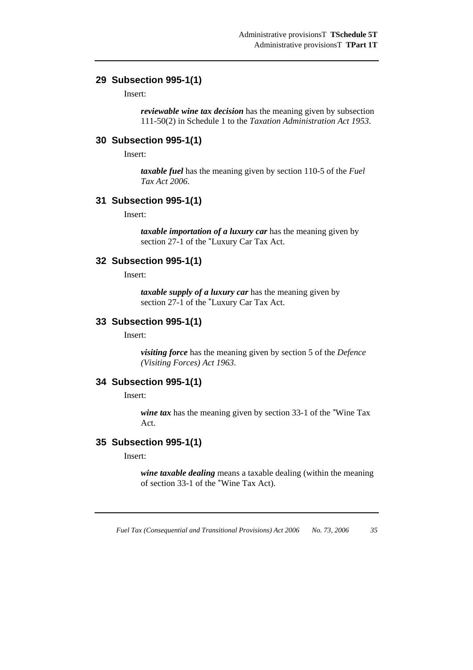### **29 Subsection 995-1(1)**

Insert:

*reviewable wine tax decision* has the meaning given by subsection 111-50(2) in Schedule 1 to the *Taxation Administration Act 1953*.

### **30 Subsection 995-1(1)**

Insert:

*taxable fuel* has the meaning given by section 110-5 of the *Fuel Tax Act 2006*.

### **31 Subsection 995-1(1)**

Insert:

*taxable importation of a luxury car* has the meaning given by section 27-1 of the \*Luxury Car Tax Act.

### **32 Subsection 995-1(1)**

Insert:

*taxable supply of a luxury car* has the meaning given by section 27-1 of the \*Luxury Car Tax Act.

### **33 Subsection 995-1(1)**

Insert:

*visiting force* has the meaning given by section 5 of the *Defence (Visiting Forces) Act 1963*.

### **34 Subsection 995-1(1)**

Insert:

*wine tax* has the meaning given by section 33-1 of the *\**Wine Tax Act.

### **35 Subsection 995-1(1)**

Insert:

*wine taxable dealing* means a taxable dealing (within the meaning of section 33-1 of the \*Wine Tax Act).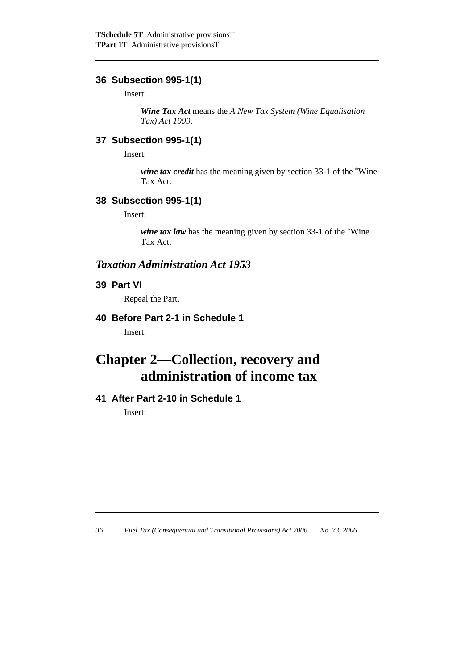# **36 Subsection 995-1(1)**

Insert:

*Wine Tax Act* means the *A New Tax System (Wine Equalisation Tax) Act 1999*.

# **37 Subsection 995-1(1)**

Insert:

*wine tax credit* has the meaning given by section 33-1 of the \*Wine Tax Act.

# **38 Subsection 995-1(1)**

Insert:

*wine tax law* has the meaning given by section 33-1 of the *\**Wine Tax Act.

# *Taxation Administration Act 1953*

# **39 Part VI**

Repeal the Part.

# **40 Before Part 2-1 in Schedule 1**

Insert:

# **Chapter 2—Collection, recovery and administration of income tax**

# **41 After Part 2-10 in Schedule 1**

Insert: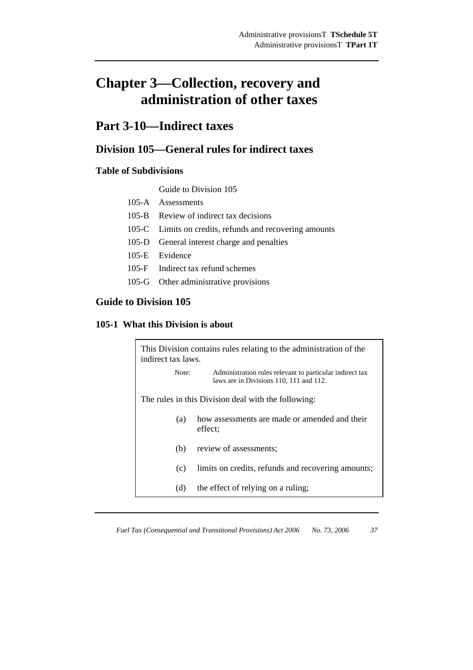# **Chapter 3—Collection, recovery and administration of other taxes**

# **Part 3-10—Indirect taxes**

# **Division 105—General rules for indirect taxes**

# **Table of Subdivisions**

Guide to Division 105

- 105-A Assessments
- 105-B Review of indirect tax decisions
- 105-C Limits on credits, refunds and recovering amounts
- 105-D General interest charge and penalties
- 105-E Evidence
- 105-F Indirect tax refund schemes
- 105-G Other administrative provisions

## **Guide to Division 105**

### **105-1 What this Division is about**

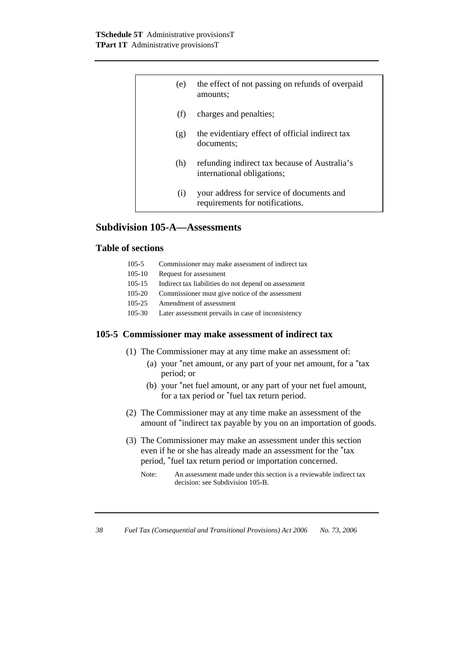| (e) | the effect of not passing on refunds of overpaid<br>amounts:                 |
|-----|------------------------------------------------------------------------------|
| (f) | charges and penalties;                                                       |
| (g) | the evidentiary effect of official indirect tax<br>documents:                |
| (h) | refunding indirect tax because of Australia's<br>international obligations;  |
| (i) | your address for service of documents and<br>requirements for notifications. |

# **Subdivision 105-A—Assessments**

## **Table of sections**

| $105 - 5$ | Commissioner may make assessment of indirect tax |  |  |
|-----------|--------------------------------------------------|--|--|
|-----------|--------------------------------------------------|--|--|

- 105-10 Request for assessment
- 105-15 Indirect tax liabilities do not depend on assessment
- 105-20 Commissioner must give notice of the assessment
- 105-25 Amendment of assessment
- 105-30 Later assessment prevails in case of inconsistency

### **105-5 Commissioner may make assessment of indirect tax**

- (1) The Commissioner may at any time make an assessment of:
	- (a) your \*net amount, or any part of your net amount, for a \*tax period; or
	- (b) your \*net fuel amount, or any part of your net fuel amount, for a tax period or \*fuel tax return period.
- (2) The Commissioner may at any time make an assessment of the amount of \*indirect tax payable by you on an importation of goods.
- (3) The Commissioner may make an assessment under this section even if he or she has already made an assessment for the \*tax period, \*fuel tax return period or importation concerned.
	- Note: An assessment made under this section is a reviewable indirect tax decision: see Subdivision 105-B.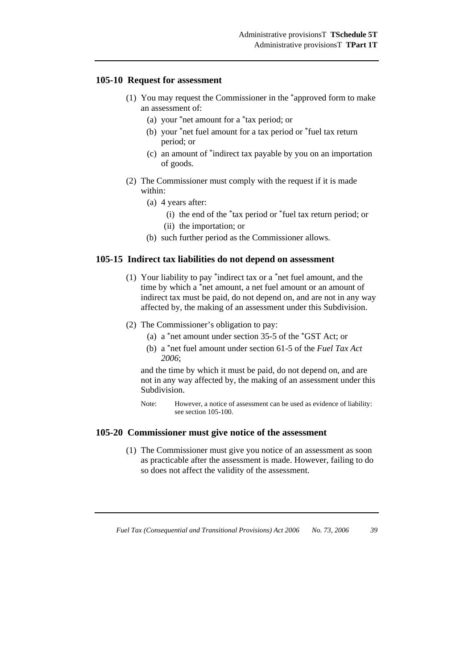### **105-10 Request for assessment**

- (1) You may request the Commissioner in the \*approved form to make an assessment of:
	- (a) your \*net amount for a \*tax period; or
	- (b) your \*net fuel amount for a tax period or \*fuel tax return period; or
	- (c) an amount of \*indirect tax payable by you on an importation of goods.
- (2) The Commissioner must comply with the request if it is made within:
	- (a) 4 years after:
		- (i) the end of the \*tax period or \*fuel tax return period; or
		- (ii) the importation; or
	- (b) such further period as the Commissioner allows.

### **105-15 Indirect tax liabilities do not depend on assessment**

- (1) Your liability to pay \*indirect tax or a \*net fuel amount, and the time by which a \*net amount, a net fuel amount or an amount of indirect tax must be paid, do not depend on, and are not in any way affected by, the making of an assessment under this Subdivision.
- (2) The Commissioner's obligation to pay:
	- (a) a \*net amount under section 35-5 of the \*GST Act; or
	- (b) a \*net fuel amount under section 61-5 of the *Fuel Tax Act 2006*;

and the time by which it must be paid, do not depend on, and are not in any way affected by, the making of an assessment under this Subdivision.

Note: However, a notice of assessment can be used as evidence of liability: see section 105-100.

#### **105-20 Commissioner must give notice of the assessment**

 (1) The Commissioner must give you notice of an assessment as soon as practicable after the assessment is made. However, failing to do so does not affect the validity of the assessment.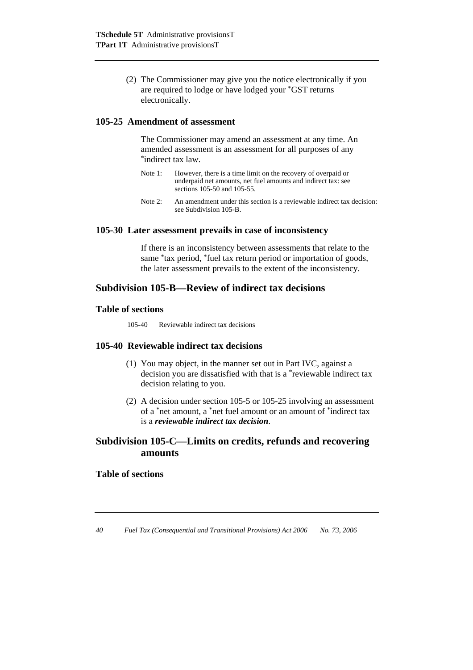(2) The Commissioner may give you the notice electronically if you are required to lodge or have lodged your \*GST returns electronically.

### **105-25 Amendment of assessment**

 The Commissioner may amend an assessment at any time. An amended assessment is an assessment for all purposes of any \*indirect tax law.

- Note 1: However, there is a time limit on the recovery of overpaid or underpaid net amounts, net fuel amounts and indirect tax: see sections 105-50 and 105-55.
- Note 2: An amendment under this section is a reviewable indirect tax decision: see Subdivision 105-B.

### **105-30 Later assessment prevails in case of inconsistency**

 If there is an inconsistency between assessments that relate to the same \*tax period, \*fuel tax return period or importation of goods, the later assessment prevails to the extent of the inconsistency.

## **Subdivision 105-B—Review of indirect tax decisions**

### **Table of sections**

105-40 Reviewable indirect tax decisions

### **105-40 Reviewable indirect tax decisions**

- (1) You may object, in the manner set out in Part IVC, against a decision you are dissatisfied with that is a \*reviewable indirect tax decision relating to you.
- (2) A decision under section 105-5 or 105-25 involving an assessment of a \*net amount, a \*net fuel amount or an amount of \*indirect tax is a *reviewable indirect tax decision*.

# **Subdivision 105-C—Limits on credits, refunds and recovering amounts**

### **Table of sections**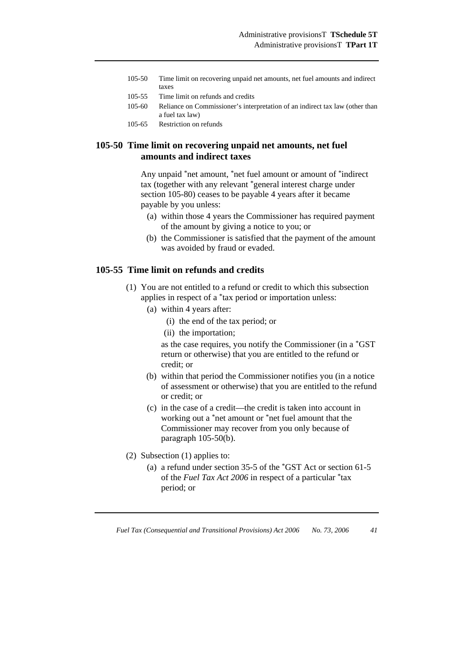- 105-50 Time limit on recovering unpaid net amounts, net fuel amounts and indirect taxes
- 105-55 Time limit on refunds and credits
- 105-60 Reliance on Commissioner's interpretation of an indirect tax law (other than a fuel tax law)
- 105-65 Restriction on refunds

### **105-50 Time limit on recovering unpaid net amounts, net fuel amounts and indirect taxes**

 Any unpaid \*net amount, \*net fuel amount or amount of \*indirect tax (together with any relevant \*general interest charge under section 105-80) ceases to be payable 4 years after it became payable by you unless:

- (a) within those 4 years the Commissioner has required payment of the amount by giving a notice to you; or
- (b) the Commissioner is satisfied that the payment of the amount was avoided by fraud or evaded.

### **105-55 Time limit on refunds and credits**

- (1) You are not entitled to a refund or credit to which this subsection applies in respect of a \*tax period or importation unless:
	- (a) within 4 years after:
		- (i) the end of the tax period; or
		- (ii) the importation;

 as the case requires, you notify the Commissioner (in a \*GST return or otherwise) that you are entitled to the refund or credit; or

- (b) within that period the Commissioner notifies you (in a notice of assessment or otherwise) that you are entitled to the refund or credit; or
- (c) in the case of a credit—the credit is taken into account in working out a \*net amount or \*net fuel amount that the Commissioner may recover from you only because of paragraph 105-50(b).
- (2) Subsection (1) applies to:
	- (a) a refund under section 35-5 of the \*GST Act or section 61-5 of the *Fuel Tax Act 2006* in respect of a particular \*tax period; or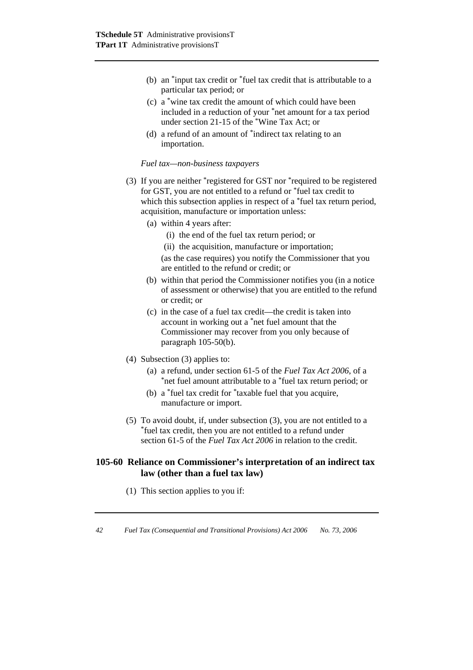- (b) an \*input tax credit or \*fuel tax credit that is attributable to a particular tax period; or
- (c) a \*wine tax credit the amount of which could have been included in a reduction of your \*net amount for a tax period under section 21-15 of the \*Wine Tax Act; or
- (d) a refund of an amount of \*indirect tax relating to an importation.

#### *Fuel tax—non-business taxpayers*

- (3) If you are neither \*registered for GST nor \*required to be registered for GST, you are not entitled to a refund or \*fuel tax credit to which this subsection applies in respect of a \*fuel tax return period, acquisition, manufacture or importation unless:
	- (a) within 4 years after:
		- (i) the end of the fuel tax return period; or
		- (ii) the acquisition, manufacture or importation;

 (as the case requires) you notify the Commissioner that you are entitled to the refund or credit; or

- (b) within that period the Commissioner notifies you (in a notice of assessment or otherwise) that you are entitled to the refund or credit; or
- (c) in the case of a fuel tax credit—the credit is taken into account in working out a \*net fuel amount that the Commissioner may recover from you only because of paragraph 105-50(b).
- (4) Subsection (3) applies to:
	- (a) a refund, under section 61-5 of the *Fuel Tax Act 2006*, of a \*net fuel amount attributable to a \*fuel tax return period; or
	- (b) a \*fuel tax credit for \*taxable fuel that you acquire, manufacture or import.
- (5) To avoid doubt, if, under subsection (3), you are not entitled to a  $*$ fuel tax credit, then you are not entitled to a refund under section 61-5 of the *Fuel Tax Act 2006* in relation to the credit.

### **105-60 Reliance on Commissioner's interpretation of an indirect tax law (other than a fuel tax law)**

(1) This section applies to you if: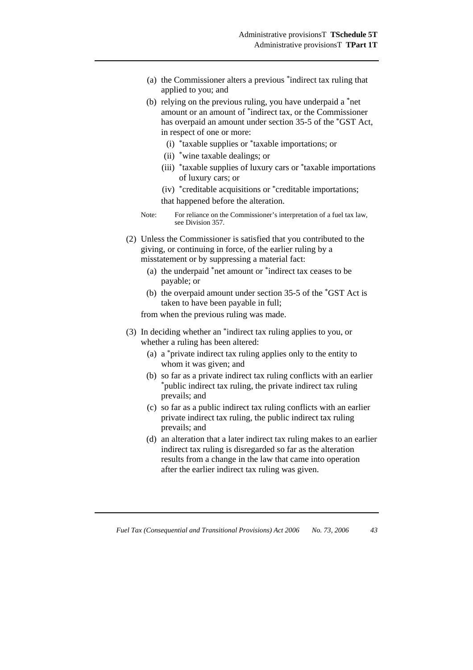- (a) the Commissioner alters a previous \*indirect tax ruling that applied to you; and
- (b) relying on the previous ruling, you have underpaid a \*net amount or an amount of \*indirect tax, or the Commissioner has overpaid an amount under section 35-5 of the \*GST Act, in respect of one or more:
	- (i) \*taxable supplies or \*taxable importations; or
	- (ii) \*wine taxable dealings; or
	- (iii) \*taxable supplies of luxury cars or \*taxable importations of luxury cars; or
	- (iv) \*creditable acquisitions or \*creditable importations;

that happened before the alteration.

- Note: For reliance on the Commissioner's interpretation of a fuel tax law, see Division 357.
- (2) Unless the Commissioner is satisfied that you contributed to the giving, or continuing in force, of the earlier ruling by a misstatement or by suppressing a material fact:
	- (a) the underpaid \*net amount or \*indirect tax ceases to be payable; or
	- (b) the overpaid amount under section 35-5 of the \*GST Act is taken to have been payable in full;

from when the previous ruling was made.

- (3) In deciding whether an \*indirect tax ruling applies to you, or whether a ruling has been altered:
	- (a) a \*private indirect tax ruling applies only to the entity to whom it was given; and
	- (b) so far as a private indirect tax ruling conflicts with an earlier \*public indirect tax ruling, the private indirect tax ruling prevails; and
	- (c) so far as a public indirect tax ruling conflicts with an earlier private indirect tax ruling, the public indirect tax ruling prevails; and
	- (d) an alteration that a later indirect tax ruling makes to an earlier indirect tax ruling is disregarded so far as the alteration results from a change in the law that came into operation after the earlier indirect tax ruling was given.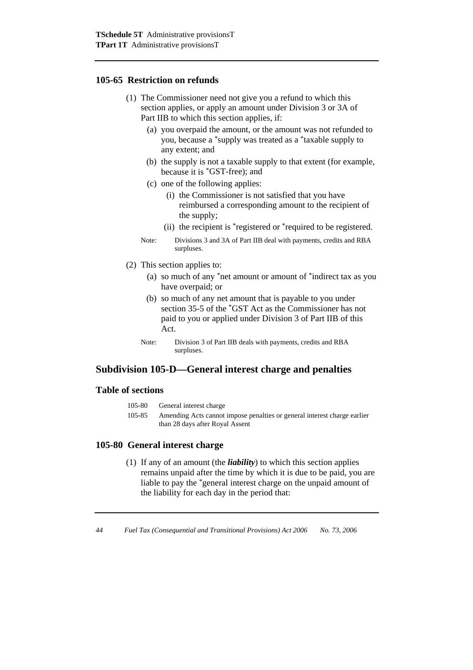### **105-65 Restriction on refunds**

- (1) The Commissioner need not give you a refund to which this section applies, or apply an amount under Division 3 or 3A of Part IIB to which this section applies, if:
	- (a) you overpaid the amount, or the amount was not refunded to you, because a \*supply was treated as a \*taxable supply to any extent; and
	- (b) the supply is not a taxable supply to that extent (for example, because it is \*GST-free); and
	- (c) one of the following applies:
		- (i) the Commissioner is not satisfied that you have reimbursed a corresponding amount to the recipient of the supply;
		- (ii) the recipient is \*registered or \*required to be registered.
	- Note: Divisions 3 and 3A of Part IIB deal with payments, credits and RBA surpluses.
- (2) This section applies to:
	- (a) so much of any \*net amount or amount of \*indirect tax as you have overpaid; or
	- (b) so much of any net amount that is payable to you under section 35-5 of the \*GST Act as the Commissioner has not paid to you or applied under Division 3 of Part IIB of this Act.
	- Note: Division 3 of Part IIB deals with payments, credits and RBA surpluses.

# **Subdivision 105-D—General interest charge and penalties**

### **Table of sections**

| 105-80 | General interest charge |
|--------|-------------------------|
|        |                         |

105-85 Amending Acts cannot impose penalties or general interest charge earlier than 28 days after Royal Assent

### **105-80 General interest charge**

 (1) If any of an amount (the *liability*) to which this section applies remains unpaid after the time by which it is due to be paid, you are liable to pay the \*general interest charge on the unpaid amount of the liability for each day in the period that: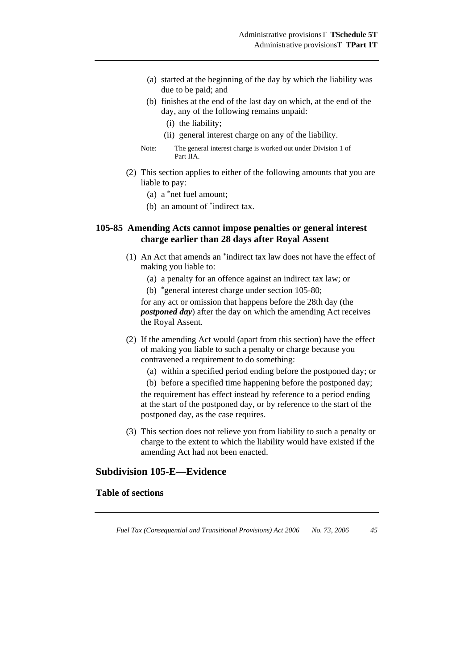- (a) started at the beginning of the day by which the liability was due to be paid; and
- (b) finishes at the end of the last day on which, at the end of the day, any of the following remains unpaid:
	- (i) the liability;
	- (ii) general interest charge on any of the liability.
- Note: The general interest charge is worked out under Division 1 of Part IIA.
- (2) This section applies to either of the following amounts that you are liable to pay:
	- (a) a \*net fuel amount;
	- (b) an amount of \*indirect tax.

### **105-85 Amending Acts cannot impose penalties or general interest charge earlier than 28 days after Royal Assent**

- (1) An Act that amends an \*indirect tax law does not have the effect of making you liable to:
	- (a) a penalty for an offence against an indirect tax law; or
	- (b) \*general interest charge under section 105-80;

for any act or omission that happens before the 28th day (the *postponed day*) after the day on which the amending Act receives the Royal Assent.

- (2) If the amending Act would (apart from this section) have the effect of making you liable to such a penalty or charge because you contravened a requirement to do something:
	- (a) within a specified period ending before the postponed day; or
	- (b) before a specified time happening before the postponed day;

the requirement has effect instead by reference to a period ending at the start of the postponed day, or by reference to the start of the postponed day, as the case requires.

 (3) This section does not relieve you from liability to such a penalty or charge to the extent to which the liability would have existed if the amending Act had not been enacted.

### **Subdivision 105-E—Evidence**

### **Table of sections**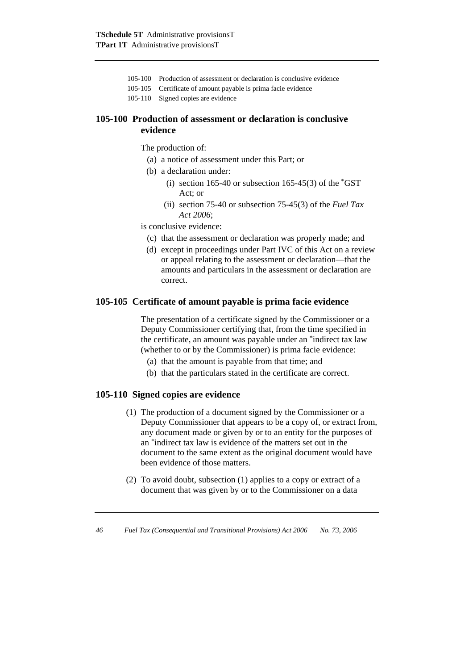- 105-100 Production of assessment or declaration is conclusive evidence
- 105-105 Certificate of amount payable is prima facie evidence
- 105-110 Signed copies are evidence

### **105-100 Production of assessment or declaration is conclusive evidence**

The production of:

- (a) a notice of assessment under this Part; or
- (b) a declaration under:
	- (i) section 165-40 or subsection 165-45(3) of the  $*$ GST Act; or
	- (ii) section 75-40 or subsection 75-45(3) of the *Fuel Tax Act 2006*;

is conclusive evidence:

- (c) that the assessment or declaration was properly made; and
- (d) except in proceedings under Part IVC of this Act on a review or appeal relating to the assessment or declaration—that the amounts and particulars in the assessment or declaration are correct.

### **105-105 Certificate of amount payable is prima facie evidence**

 The presentation of a certificate signed by the Commissioner or a Deputy Commissioner certifying that, from the time specified in the certificate, an amount was payable under an \*indirect tax law (whether to or by the Commissioner) is prima facie evidence:

- (a) that the amount is payable from that time; and
- (b) that the particulars stated in the certificate are correct.

### **105-110 Signed copies are evidence**

- (1) The production of a document signed by the Commissioner or a Deputy Commissioner that appears to be a copy of, or extract from, any document made or given by or to an entity for the purposes of an \*indirect tax law is evidence of the matters set out in the document to the same extent as the original document would have been evidence of those matters.
- (2) To avoid doubt, subsection (1) applies to a copy or extract of a document that was given by or to the Commissioner on a data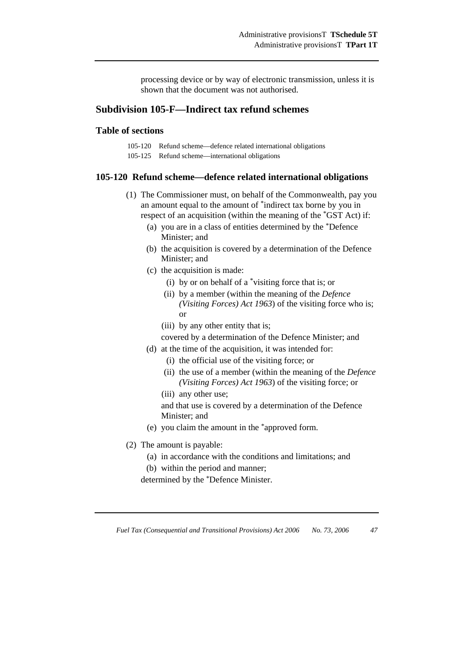processing device or by way of electronic transmission, unless it is shown that the document was not authorised.

# **Subdivision 105-F—Indirect tax refund schemes**

### **Table of sections**

- 105-120 Refund scheme—defence related international obligations
- 105-125 Refund scheme—international obligations

#### **105-120 Refund scheme—defence related international obligations**

- (1) The Commissioner must, on behalf of the Commonwealth, pay you an amount equal to the amount of \*indirect tax borne by you in respect of an acquisition (within the meaning of the \*GST Act) if:
	- (a) you are in a class of entities determined by the \*Defence Minister; and
	- (b) the acquisition is covered by a determination of the Defence Minister; and
	- (c) the acquisition is made:
		- (i) by or on behalf of a \*visiting force that is; or
		- (ii) by a member (within the meaning of the *Defence (Visiting Forces) Act 1963*) of the visiting force who is; or
		- (iii) by any other entity that is;

covered by a determination of the Defence Minister; and

- (d) at the time of the acquisition, it was intended for:
	- (i) the official use of the visiting force; or
	- (ii) the use of a member (within the meaning of the *Defence (Visiting Forces) Act 1963*) of the visiting force; or
	- (iii) any other use;

 and that use is covered by a determination of the Defence Minister; and

- (e) you claim the amount in the \*approved form.
- (2) The amount is payable:
	- (a) in accordance with the conditions and limitations; and
	- (b) within the period and manner;

determined by the \*Defence Minister.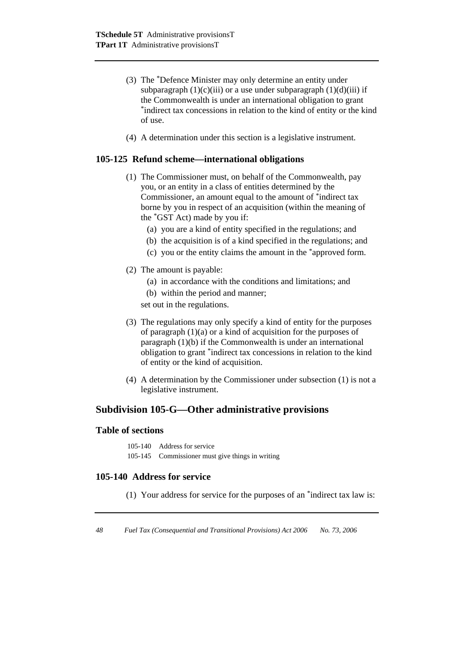- (3) The \*Defence Minister may only determine an entity under subparagraph  $(1)(c)(iii)$  or a use under subparagraph  $(1)(d)(iii)$  if the Commonwealth is under an international obligation to grant \*indirect tax concessions in relation to the kind of entity or the kind of use.
- (4) A determination under this section is a legislative instrument.

### **105-125 Refund scheme—international obligations**

- (1) The Commissioner must, on behalf of the Commonwealth, pay you, or an entity in a class of entities determined by the Commissioner, an amount equal to the amount of \*indirect tax borne by you in respect of an acquisition (within the meaning of the \*GST Act) made by you if:
	- (a) you are a kind of entity specified in the regulations; and
	- (b) the acquisition is of a kind specified in the regulations; and
	- (c) you or the entity claims the amount in the \*approved form.
- (2) The amount is payable:
	- (a) in accordance with the conditions and limitations; and
	- (b) within the period and manner;
	- set out in the regulations.
- (3) The regulations may only specify a kind of entity for the purposes of paragraph (1)(a) or a kind of acquisition for the purposes of paragraph (1)(b) if the Commonwealth is under an international obligation to grant \*indirect tax concessions in relation to the kind of entity or the kind of acquisition.
- (4) A determination by the Commissioner under subsection (1) is not a legislative instrument.

### **Subdivision 105-G—Other administrative provisions**

#### **Table of sections**

```
105-140 Address for service 
105-145 Commissioner must give things in writing
```
### **105-140 Address for service**

(1) Your address for service for the purposes of an \*indirect tax law is: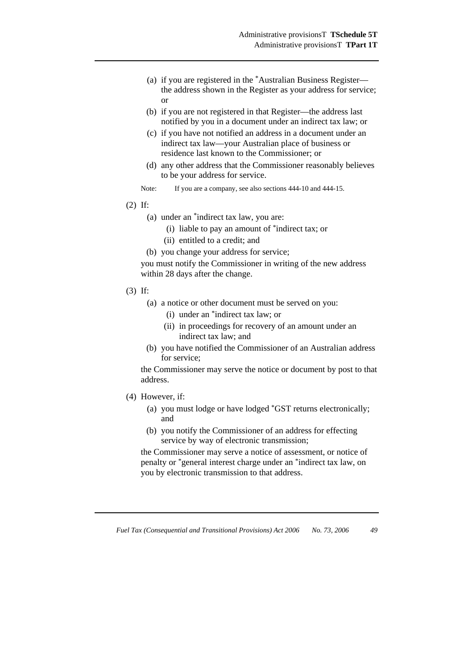- (a) if you are registered in the \*Australian Business Register the address shown in the Register as your address for service; or
- (b) if you are not registered in that Register—the address last notified by you in a document under an indirect tax law; or
- (c) if you have not notified an address in a document under an indirect tax law—your Australian place of business or residence last known to the Commissioner; or
- (d) any other address that the Commissioner reasonably believes to be your address for service.
- Note: If you are a company, see also sections  $444-10$  and  $444-15$ .
- (2) If:
	- (a) under an \*indirect tax law, you are:
		- (i) liable to pay an amount of \*indirect tax; or
		- (ii) entitled to a credit; and
	- (b) you change your address for service;

you must notify the Commissioner in writing of the new address within 28 days after the change.

- (3) If:
	- (a) a notice or other document must be served on you:
		- (i) under an \*indirect tax law; or
		- (ii) in proceedings for recovery of an amount under an indirect tax law; and
	- (b) you have notified the Commissioner of an Australian address for service;

the Commissioner may serve the notice or document by post to that address.

- (4) However, if:
	- (a) you must lodge or have lodged \*GST returns electronically; and
	- (b) you notify the Commissioner of an address for effecting service by way of electronic transmission;

the Commissioner may serve a notice of assessment, or notice of penalty or \*general interest charge under an \*indirect tax law, on you by electronic transmission to that address.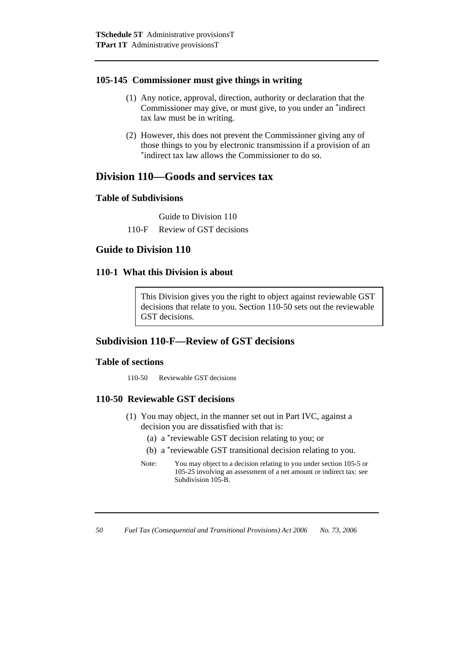### **105-145 Commissioner must give things in writing**

- (1) Any notice, approval, direction, authority or declaration that the Commissioner may give, or must give, to you under an \*indirect tax law must be in writing.
- (2) However, this does not prevent the Commissioner giving any of those things to you by electronic transmission if a provision of an \*indirect tax law allows the Commissioner to do so.

# **Division 110—Goods and services tax**

## **Table of Subdivisions**

Guide to Division 110

110-F Review of GST decisions

# **Guide to Division 110**

## **110-1 What this Division is about**

This Division gives you the right to object against reviewable GST decisions that relate to you. Section 110-50 sets out the reviewable GST decisions.

# **Subdivision 110-F—Review of GST decisions**

### **Table of sections**

110-50 Reviewable GST decisions

# **110-50 Reviewable GST decisions**

- (1) You may object, in the manner set out in Part IVC, against a decision you are dissatisfied with that is:
	- (a) a \*reviewable GST decision relating to you; or
	- (b) a \*reviewable GST transitional decision relating to you.
	- Note: You may object to a decision relating to you under section 105-5 or 105-25 involving an assessment of a net amount or indirect tax: see Subdivision 105-B.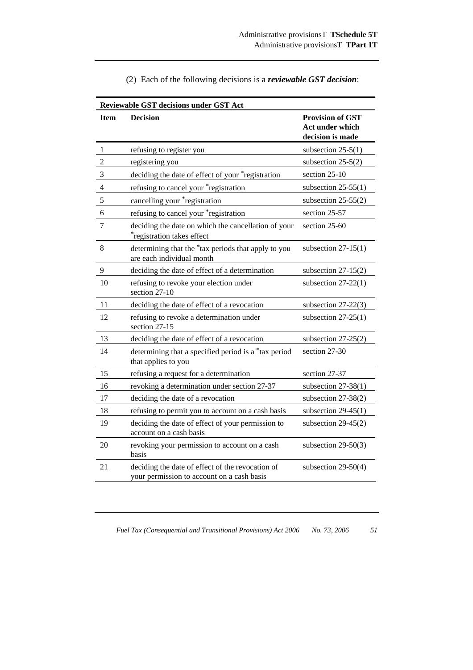| Reviewable GST decisions under GST Act |                                                                                                |                                                                |  |
|----------------------------------------|------------------------------------------------------------------------------------------------|----------------------------------------------------------------|--|
| <b>Item</b>                            | <b>Decision</b>                                                                                | <b>Provision of GST</b><br>Act under which<br>decision is made |  |
| $\mathbf{1}$                           | refusing to register you                                                                       | subsection $25-5(1)$                                           |  |
| $\overline{2}$                         | registering you                                                                                | subsection $25-5(2)$                                           |  |
| 3                                      | deciding the date of effect of your *registration                                              | section 25-10                                                  |  |
| $\overline{4}$                         | refusing to cancel your *registration                                                          | subsection $25-55(1)$                                          |  |
| 5                                      | cancelling your *registration                                                                  | subsection $25-55(2)$                                          |  |
| 6                                      | refusing to cancel your *registration                                                          | section 25-57                                                  |  |
| 7                                      | deciding the date on which the cancellation of your<br>registration takes effect               | section 25-60                                                  |  |
| 8                                      | determining that the *tax periods that apply to you<br>are each individual month               | subsection $27-15(1)$                                          |  |
| $\mathbf{9}$                           | deciding the date of effect of a determination                                                 | subsection $27-15(2)$                                          |  |
| 10                                     | refusing to revoke your election under<br>section 27-10                                        | subsection $27-22(1)$                                          |  |
| 11                                     | deciding the date of effect of a revocation                                                    | subsection $27-22(3)$                                          |  |
| 12                                     | refusing to revoke a determination under<br>section 27-15                                      | subsection $27-25(1)$                                          |  |
| 13                                     | deciding the date of effect of a revocation                                                    | subsection $27-25(2)$                                          |  |
| 14                                     | determining that a specified period is a *tax period<br>that applies to you                    | section 27-30                                                  |  |
| 15                                     | refusing a request for a determination                                                         | section 27-37                                                  |  |
| 16                                     | revoking a determination under section 27-37                                                   | subsection $27-38(1)$                                          |  |
| 17                                     | deciding the date of a revocation                                                              | subsection 27-38(2)                                            |  |
| 18                                     | refusing to permit you to account on a cash basis                                              | subsection $29-45(1)$                                          |  |
| 19                                     | deciding the date of effect of your permission to<br>account on a cash basis                   | subsection $29-45(2)$                                          |  |
| 20                                     | revoking your permission to account on a cash<br>basis                                         | subsection $29-50(3)$                                          |  |
| 21                                     | deciding the date of effect of the revocation of<br>your permission to account on a cash basis | subsection $29-50(4)$                                          |  |

|  |  | (2) Each of the following decisions is a <i>reviewable GST decision</i> : |
|--|--|---------------------------------------------------------------------------|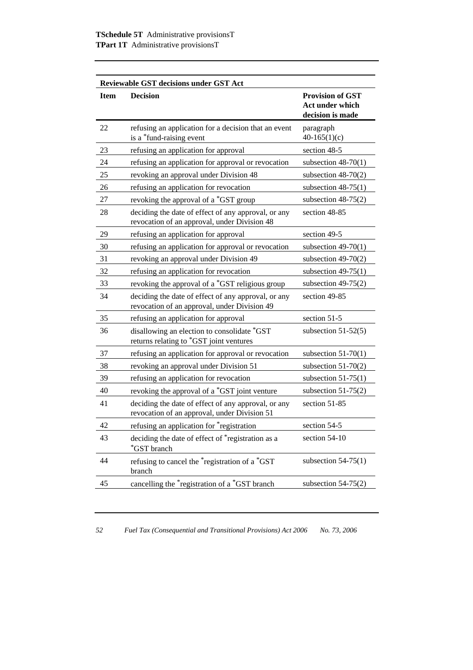| <b>Reviewable GST decisions under GST Act</b> |                                                                                                     |                                                                |  |
|-----------------------------------------------|-----------------------------------------------------------------------------------------------------|----------------------------------------------------------------|--|
| <b>Item</b>                                   | <b>Decision</b>                                                                                     | <b>Provision of GST</b><br>Act under which<br>decision is made |  |
| 22                                            | refusing an application for a decision that an event<br>is a *fund-raising event                    | paragraph<br>$40-165(1)(c)$                                    |  |
| 23                                            | refusing an application for approval                                                                | section 48-5                                                   |  |
| 24                                            | refusing an application for approval or revocation                                                  | subsection $48-70(1)$                                          |  |
| 25                                            | revoking an approval under Division 48                                                              | subsection $48-70(2)$                                          |  |
| 26                                            | refusing an application for revocation                                                              | subsection $48-75(1)$                                          |  |
| 27                                            | revoking the approval of a *GST group                                                               | subsection $48-75(2)$                                          |  |
| 28                                            | deciding the date of effect of any approval, or any<br>revocation of an approval, under Division 48 | section 48-85                                                  |  |
| 29                                            | refusing an application for approval                                                                | section 49-5                                                   |  |
| 30                                            | refusing an application for approval or revocation                                                  | subsection $49-70(1)$                                          |  |
| 31                                            | revoking an approval under Division 49                                                              | subsection $49-70(2)$                                          |  |
| 32                                            | refusing an application for revocation                                                              | subsection $49-75(1)$                                          |  |
| 33                                            | revoking the approval of a *GST religious group                                                     | subsection $49-75(2)$                                          |  |
| 34                                            | deciding the date of effect of any approval, or any<br>revocation of an approval, under Division 49 | section 49-85                                                  |  |
| 35                                            | refusing an application for approval                                                                | section 51-5                                                   |  |
| 36                                            | disallowing an election to consolidate *GST<br>returns relating to *GST joint ventures              | subsection $51-52(5)$                                          |  |
| 37                                            | refusing an application for approval or revocation                                                  | subsection $51-70(1)$                                          |  |
| 38                                            | revoking an approval under Division 51                                                              | subsection $51-70(2)$                                          |  |
| 39                                            | refusing an application for revocation                                                              | subsection $51-75(1)$                                          |  |
| 40                                            | revoking the approval of a *GST joint venture                                                       | subsection $51-75(2)$                                          |  |
| 41                                            | deciding the date of effect of any approval, or any<br>revocation of an approval, under Division 51 | section 51-85                                                  |  |
| 42                                            | refusing an application for *registration                                                           | section 54-5                                                   |  |
| 43                                            | deciding the date of effect of *registration as a<br>*GST branch                                    | section 54-10                                                  |  |
| 44                                            | refusing to cancel the *registration of a *GST<br>branch                                            | subsection $54-75(1)$                                          |  |
| 45                                            | cancelling the *registration of a *GST branch                                                       | subsection $54-75(2)$                                          |  |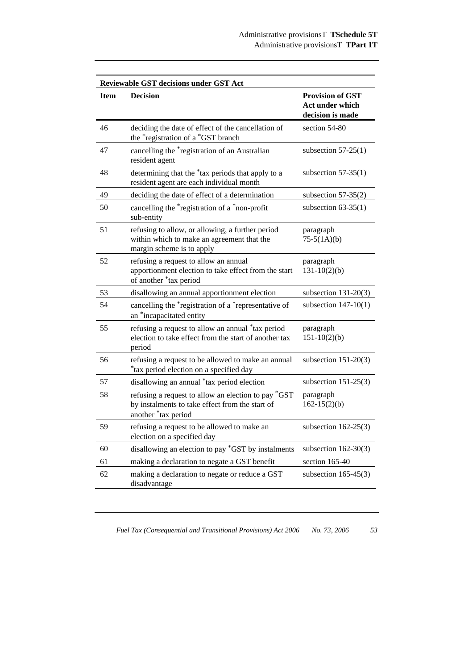|             | <b>Reviewable GST decisions under GST Act</b>                                                                                 |                                                                |  |  |
|-------------|-------------------------------------------------------------------------------------------------------------------------------|----------------------------------------------------------------|--|--|
| <b>Item</b> | <b>Decision</b>                                                                                                               | <b>Provision of GST</b><br>Act under which<br>decision is made |  |  |
| 46          | deciding the date of effect of the cancellation of<br>the *registration of a *GST branch                                      | section 54-80                                                  |  |  |
| 47          | cancelling the *registration of an Australian<br>resident agent                                                               | subsection $57-25(1)$                                          |  |  |
| 48          | determining that the *tax periods that apply to a<br>resident agent are each individual month                                 | subsection $57-35(1)$                                          |  |  |
| 49          | deciding the date of effect of a determination                                                                                | subsection $57-35(2)$                                          |  |  |
| 50          | cancelling the *registration of a *non-profit<br>sub-entity                                                                   | subsection $63-35(1)$                                          |  |  |
| 51          | refusing to allow, or allowing, a further period<br>within which to make an agreement that the<br>margin scheme is to apply   | paragraph<br>$75-5(1A)(b)$                                     |  |  |
| 52          | refusing a request to allow an annual<br>apportionment election to take effect from the start<br>of another *tax period       | paragraph<br>$131-10(2)(b)$                                    |  |  |
| 53          | disallowing an annual apportionment election                                                                                  | subsection $131-20(3)$                                         |  |  |
| 54          | cancelling the *registration of a *representative of<br>an *incapacitated entity                                              | subsection $147-10(1)$                                         |  |  |
| 55          | refusing a request to allow an annual *tax period<br>election to take effect from the start of another tax<br>period          | paragraph<br>$151 - 10(2)(b)$                                  |  |  |
| 56          | refusing a request to be allowed to make an annual<br>*tax period election on a specified day                                 | subsection $151-20(3)$                                         |  |  |
| 57          | disallowing an annual *tax period election                                                                                    | subsection $151-25(3)$                                         |  |  |
| 58          | refusing a request to allow an election to pay *GST<br>by instalments to take effect from the start of<br>another *tax period | paragraph<br>$162 - 15(2)(b)$                                  |  |  |
| 59          | refusing a request to be allowed to make an<br>election on a specified day                                                    | subsection $162-25(3)$                                         |  |  |
| 60          | disallowing an election to pay *GST by instalments                                                                            | subsection $162-30(3)$                                         |  |  |
| 61          | making a declaration to negate a GST benefit                                                                                  | section 165-40                                                 |  |  |
| 62          | making a declaration to negate or reduce a GST<br>disadvantage                                                                | subsection $165-45(3)$                                         |  |  |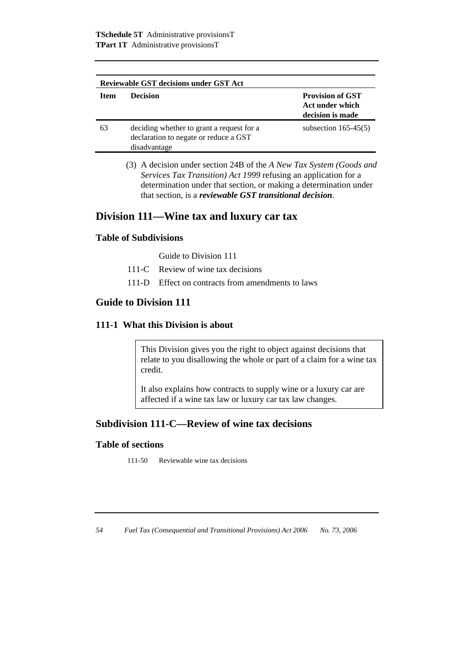| <b>Reviewable GST decisions under GST Act</b> |                                                                                                    |                                                                |
|-----------------------------------------------|----------------------------------------------------------------------------------------------------|----------------------------------------------------------------|
| <b>Item</b>                                   | <b>Decision</b>                                                                                    | <b>Provision of GST</b><br>Act under which<br>decision is made |
| 63                                            | deciding whether to grant a request for a<br>declaration to negate or reduce a GST<br>disadvantage | subsection $165-45(5)$                                         |

 (3) A decision under section 24B of the *A New Tax System (Goods and Services Tax Transition) Act 1999* refusing an application for a determination under that section, or making a determination under that section, is a *reviewable GST transitional decision*.

# **Division 111—Wine tax and luxury car tax**

### **Table of Subdivisions**

Guide to Division 111

- 111-C Review of wine tax decisions
- 111-D Effect on contracts from amendments to laws

# **Guide to Division 111**

### **111-1 What this Division is about**

This Division gives you the right to object against decisions that relate to you disallowing the whole or part of a claim for a wine tax credit.

It also explains how contracts to supply wine or a luxury car are affected if a wine tax law or luxury car tax law changes.

# **Subdivision 111-C—Review of wine tax decisions**

### **Table of sections**

111-50 Reviewable wine tax decisions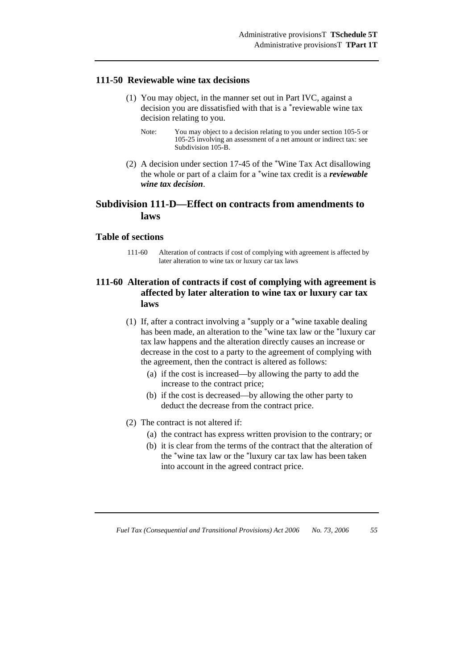### **111-50 Reviewable wine tax decisions**

- (1) You may object, in the manner set out in Part IVC, against a decision you are dissatisfied with that is a \*reviewable wine tax decision relating to you.
	- Note: You may object to a decision relating to you under section 105-5 or 105-25 involving an assessment of a net amount or indirect tax: see Subdivision 105-B.
- (2) A decision under section 17-45 of the \*Wine Tax Act disallowing the whole or part of a claim for a \*wine tax credit is a *reviewable wine tax decision*.

# **Subdivision 111-D—Effect on contracts from amendments to laws**

### **Table of sections**

111-60 Alteration of contracts if cost of complying with agreement is affected by later alteration to wine tax or luxury car tax laws

## **111-60 Alteration of contracts if cost of complying with agreement is affected by later alteration to wine tax or luxury car tax laws**

- (1) If, after a contract involving a \*supply or a \*wine taxable dealing has been made, an alteration to the \*wine tax law or the \*luxury car tax law happens and the alteration directly causes an increase or decrease in the cost to a party to the agreement of complying with the agreement, then the contract is altered as follows:
	- (a) if the cost is increased—by allowing the party to add the increase to the contract price;
	- (b) if the cost is decreased—by allowing the other party to deduct the decrease from the contract price.
- (2) The contract is not altered if:
	- (a) the contract has express written provision to the contrary; or
	- (b) it is clear from the terms of the contract that the alteration of the \*wine tax law or the \*luxury car tax law has been taken into account in the agreed contract price.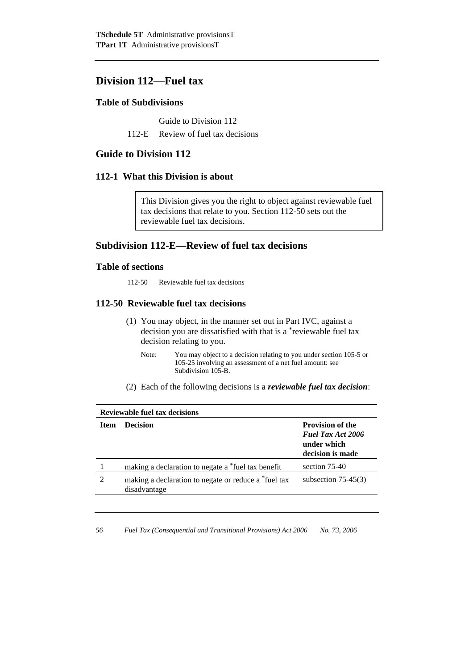# **Division 112—Fuel tax**

### **Table of Subdivisions**

Guide to Division 112

112-E Review of fuel tax decisions

# **Guide to Division 112**

### **112-1 What this Division is about**

This Division gives you the right to object against reviewable fuel tax decisions that relate to you. Section 112-50 sets out the reviewable fuel tax decisions.

# **Subdivision 112-E—Review of fuel tax decisions**

### **Table of sections**

112-50 Reviewable fuel tax decisions

### **112-50 Reviewable fuel tax decisions**

- (1) You may object, in the manner set out in Part IVC, against a decision you are dissatisfied with that is a \*reviewable fuel tax decision relating to you.
	- Note: You may object to a decision relating to you under section 105-5 or 105-25 involving an assessment of a net fuel amount: see Subdivision 105-B.
- (2) Each of the following decisions is a *reviewable fuel tax decision*:

| <b>Reviewable fuel tax decisions</b> |                                                                      |                                                                                        |  |
|--------------------------------------|----------------------------------------------------------------------|----------------------------------------------------------------------------------------|--|
| <b>Item</b>                          | <b>Decision</b>                                                      | <b>Provision of the</b><br><b>Fuel Tax Act 2006</b><br>under which<br>decision is made |  |
|                                      | making a declaration to negate a *fuel tax benefit                   | section $75-40$                                                                        |  |
| $\mathcal{D}_{\mathcal{L}}$          | making a declaration to negate or reduce a *fuel tax<br>disadvantage | subsection $75-45(3)$                                                                  |  |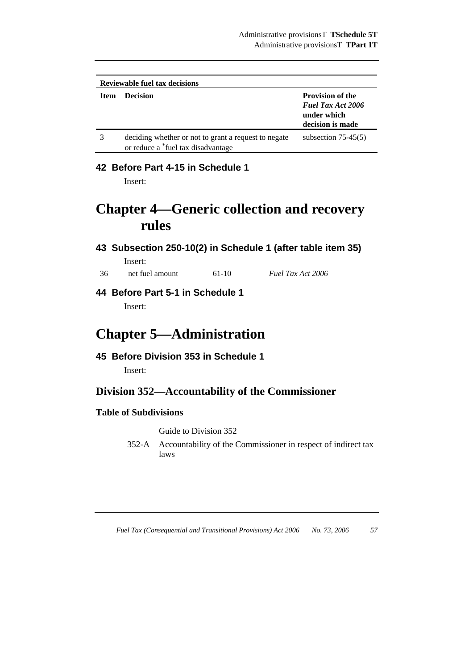| <b>Reviewable fuel tax decisions</b> |                                                                                            |                                                                                        |  |
|--------------------------------------|--------------------------------------------------------------------------------------------|----------------------------------------------------------------------------------------|--|
| <b>Item</b>                          | <b>Decision</b>                                                                            | <b>Provision of the</b><br><b>Fuel Tax Act 2006</b><br>under which<br>decision is made |  |
|                                      | deciding whether or not to grant a request to negate<br>or reduce a *fuel tax disadvantage | subsection $75-45(5)$                                                                  |  |

# **42 Before Part 4-15 in Schedule 1**

Insert:

# **Chapter 4—Generic collection and recovery rules**

# **43 Subsection 250-10(2) in Schedule 1 (after table item 35)**  Insert:

36 net fuel amount 61-10 *Fuel Tax Act 2006*

**44 Before Part 5-1 in Schedule 1** 

Insert:

# **Chapter 5—Administration**

# **45 Before Division 353 in Schedule 1**

Insert:

# **Division 352—Accountability of the Commissioner**

# **Table of Subdivisions**

Guide to Division 352

352-A Accountability of the Commissioner in respect of indirect tax laws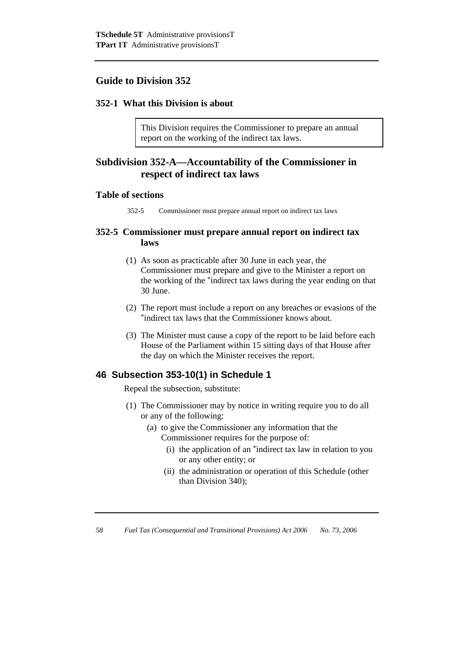# **Guide to Division 352**

### **352-1 What this Division is about**

This Division requires the Commissioner to prepare an annual report on the working of the indirect tax laws.

# **Subdivision 352-A—Accountability of the Commissioner in respect of indirect tax laws**

#### **Table of sections**

352-5 Commissioner must prepare annual report on indirect tax laws

### **352-5 Commissioner must prepare annual report on indirect tax laws**

- (1) As soon as practicable after 30 June in each year, the Commissioner must prepare and give to the Minister a report on the working of the \*indirect tax laws during the year ending on that 30 June.
- (2) The report must include a report on any breaches or evasions of the \*indirect tax laws that the Commissioner knows about.
- (3) The Minister must cause a copy of the report to be laid before each House of the Parliament within 15 sitting days of that House after the day on which the Minister receives the report.

### **46 Subsection 353-10(1) in Schedule 1**

Repeal the subsection, substitute:

- (1) The Commissioner may by notice in writing require you to do all or any of the following:
	- (a) to give the Commissioner any information that the Commissioner requires for the purpose of:
		- (i) the application of an \*indirect tax law in relation to you or any other entity; or
		- (ii) the administration or operation of this Schedule (other than Division 340);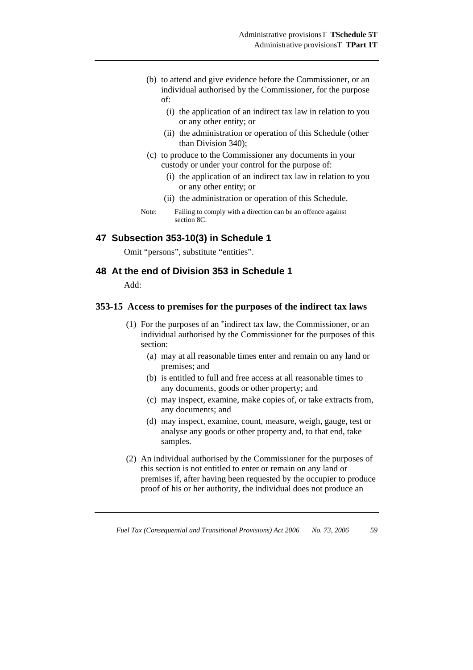- (b) to attend and give evidence before the Commissioner, or an individual authorised by the Commissioner, for the purpose of:
	- (i) the application of an indirect tax law in relation to you or any other entity; or
	- (ii) the administration or operation of this Schedule (other than Division 340);
- (c) to produce to the Commissioner any documents in your custody or under your control for the purpose of:
	- (i) the application of an indirect tax law in relation to you or any other entity; or
	- (ii) the administration or operation of this Schedule.

Note: Failing to comply with a direction can be an offence against section 8C.

### **47 Subsection 353-10(3) in Schedule 1**

Omit "persons", substitute "entities".

### **48 At the end of Division 353 in Schedule 1**

Add:

### **353-15 Access to premises for the purposes of the indirect tax laws**

- (1) For the purposes of an \*indirect tax law, the Commissioner, or an individual authorised by the Commissioner for the purposes of this section:
	- (a) may at all reasonable times enter and remain on any land or premises; and
	- (b) is entitled to full and free access at all reasonable times to any documents, goods or other property; and
	- (c) may inspect, examine, make copies of, or take extracts from, any documents; and
	- (d) may inspect, examine, count, measure, weigh, gauge, test or analyse any goods or other property and, to that end, take samples.
- (2) An individual authorised by the Commissioner for the purposes of this section is not entitled to enter or remain on any land or premises if, after having been requested by the occupier to produce proof of his or her authority, the individual does not produce an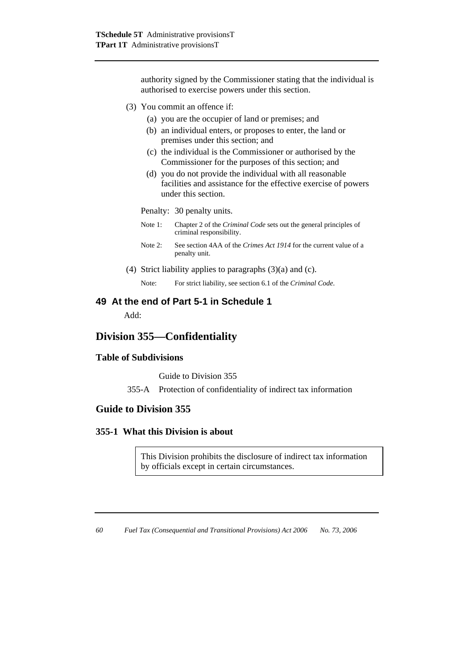authority signed by the Commissioner stating that the individual is authorised to exercise powers under this section.

- (3) You commit an offence if:
	- (a) you are the occupier of land or premises; and
	- (b) an individual enters, or proposes to enter, the land or premises under this section; and
	- (c) the individual is the Commissioner or authorised by the Commissioner for the purposes of this section; and
	- (d) you do not provide the individual with all reasonable facilities and assistance for the effective exercise of powers under this section.

Penalty: 30 penalty units.

- Note 1: Chapter 2 of the *Criminal Code* sets out the general principles of criminal responsibility.
- Note 2: See section 4AA of the *Crimes Act 1914* for the current value of a penalty unit.
- (4) Strict liability applies to paragraphs (3)(a) and (c).

Note: For strict liability, see section 6.1 of the *Criminal Code*.

### **49 At the end of Part 5-1 in Schedule 1**

Add:

# **Division 355—Confidentiality**

### **Table of Subdivisions**

Guide to Division 355

355-A Protection of confidentiality of indirect tax information

### **Guide to Division 355**

### **355-1 What this Division is about**

This Division prohibits the disclosure of indirect tax information by officials except in certain circumstances.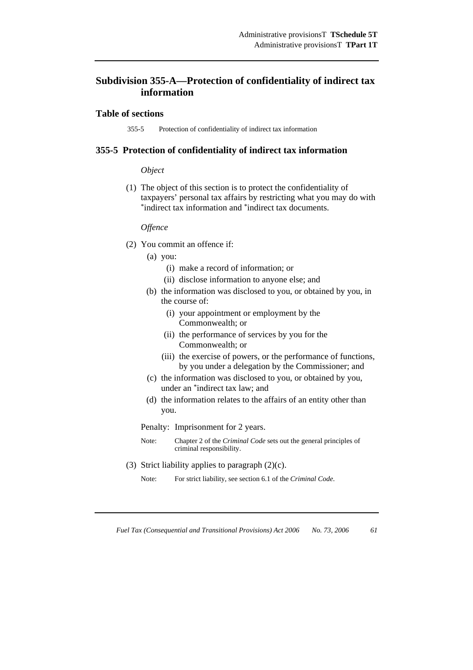# **Subdivision 355-A—Protection of confidentiality of indirect tax information**

### **Table of sections**

355-5 Protection of confidentiality of indirect tax information

#### **355-5 Protection of confidentiality of indirect tax information**

### *Object*

 (1) The object of this section is to protect the confidentiality of taxpayers' personal tax affairs by restricting what you may do with \*indirect tax information and \*indirect tax documents.

#### *Offence*

- (2) You commit an offence if:
	- (a) you:
		- (i) make a record of information; or
		- (ii) disclose information to anyone else; and
	- (b) the information was disclosed to you, or obtained by you, in the course of:
		- (i) your appointment or employment by the Commonwealth; or
		- (ii) the performance of services by you for the Commonwealth; or
		- (iii) the exercise of powers, or the performance of functions, by you under a delegation by the Commissioner; and
	- (c) the information was disclosed to you, or obtained by you, under an \*indirect tax law; and
	- (d) the information relates to the affairs of an entity other than you.

Penalty: Imprisonment for 2 years.

- Note: Chapter 2 of the *Criminal Code* sets out the general principles of criminal responsibility.
- (3) Strict liability applies to paragraph  $(2)(c)$ .
	- Note: For strict liability, see section 6.1 of the *Criminal Code*.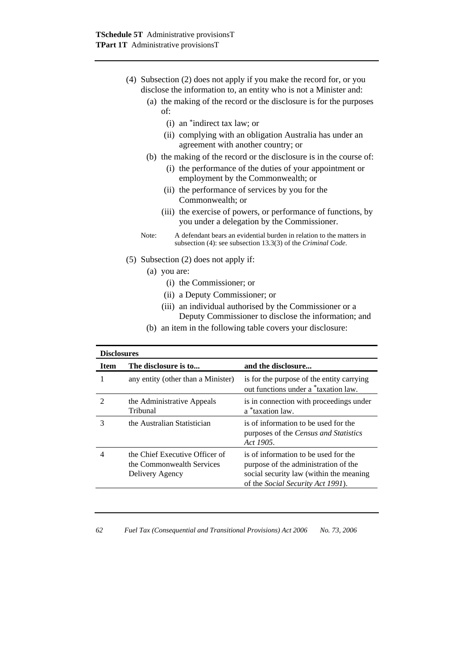- (4) Subsection (2) does not apply if you make the record for, or you disclose the information to, an entity who is not a Minister and:
	- (a) the making of the record or the disclosure is for the purposes of:
		- (i) an \*indirect tax law; or
		- (ii) complying with an obligation Australia has under an agreement with another country; or
	- (b) the making of the record or the disclosure is in the course of:
		- (i) the performance of the duties of your appointment or employment by the Commonwealth; or
		- (ii) the performance of services by you for the Commonwealth; or
		- (iii) the exercise of powers, or performance of functions, by you under a delegation by the Commissioner.
	- Note: A defendant bears an evidential burden in relation to the matters in subsection (4): see subsection 13.3(3) of the *Criminal Code*.
- (5) Subsection (2) does not apply if:
	- (a) you are:
		- (i) the Commissioner; or
		- (ii) a Deputy Commissioner; or
		- (iii) an individual authorised by the Commissioner or a Deputy Commissioner to disclose the information; and
	- (b) an item in the following table covers your disclosure:

| <b>Disclosures</b> |                                                                                |                                                                                                                                                                      |  |  |
|--------------------|--------------------------------------------------------------------------------|----------------------------------------------------------------------------------------------------------------------------------------------------------------------|--|--|
| <b>Item</b>        | The disclosure is to                                                           | and the disclosure                                                                                                                                                   |  |  |
|                    | any entity (other than a Minister)                                             | is for the purpose of the entity carrying<br>out functions under a *taxation law.                                                                                    |  |  |
|                    | the Administrative Appeals<br>Tribunal                                         | is in connection with proceedings under<br>a *taxation law.                                                                                                          |  |  |
| 3                  | the Australian Statistician                                                    | is of information to be used for the<br>purposes of the <i>Census and Statistics</i><br>Act 1905.                                                                    |  |  |
|                    | the Chief Executive Officer of<br>the Commonwealth Services<br>Delivery Agency | is of information to be used for the<br>purpose of the administration of the<br>social security law (within the meaning<br>of the <i>Social Security Act 1991</i> ). |  |  |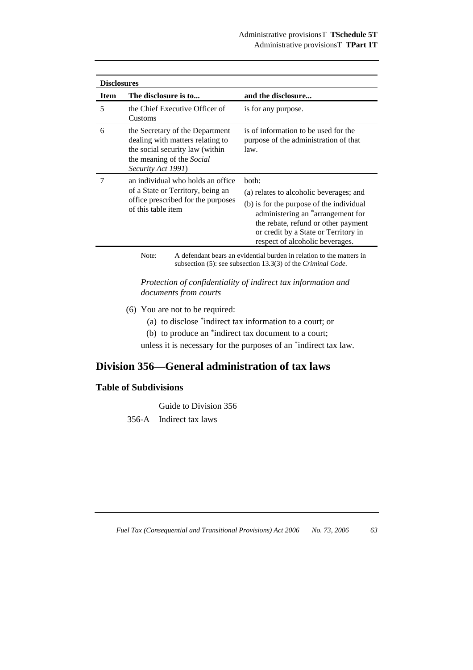| <b>Disclosures</b> |                                                                                                                                                           |                                                                                                                                                                                                                                                                 |  |
|--------------------|-----------------------------------------------------------------------------------------------------------------------------------------------------------|-----------------------------------------------------------------------------------------------------------------------------------------------------------------------------------------------------------------------------------------------------------------|--|
| <b>Item</b>        | The disclosure is to                                                                                                                                      | and the disclosure                                                                                                                                                                                                                                              |  |
| 5                  | the Chief Executive Officer of<br>Customs                                                                                                                 | is for any purpose.                                                                                                                                                                                                                                             |  |
| 6                  | the Secretary of the Department<br>dealing with matters relating to<br>the social security law (within<br>the meaning of the Social<br>Security Act 1991) | is of information to be used for the<br>purpose of the administration of that<br>law.                                                                                                                                                                           |  |
|                    | an individual who holds an office<br>of a State or Territory, being an<br>office prescribed for the purposes<br>of this table item                        | both:<br>(a) relates to alcoholic beverages; and<br>(b) is for the purpose of the individual<br>administering an <sup>*</sup> arrangement for<br>the rebate, refund or other payment<br>or credit by a State or Territory in<br>respect of alcoholic beverages. |  |

Note: A defendant bears an evidential burden in relation to the matters in subsection (5): see subsection 13.3(3) of the *Criminal Code*.

*Protection of confidentiality of indirect tax information and documents from courts* 

- (6) You are not to be required:
	- (a) to disclose \*indirect tax information to a court; or
	- (b) to produce an \*indirect tax document to a court;

unless it is necessary for the purposes of an \*indirect tax law.

# **Division 356—General administration of tax laws**

# **Table of Subdivisions**

Guide to Division 356

356-A Indirect tax laws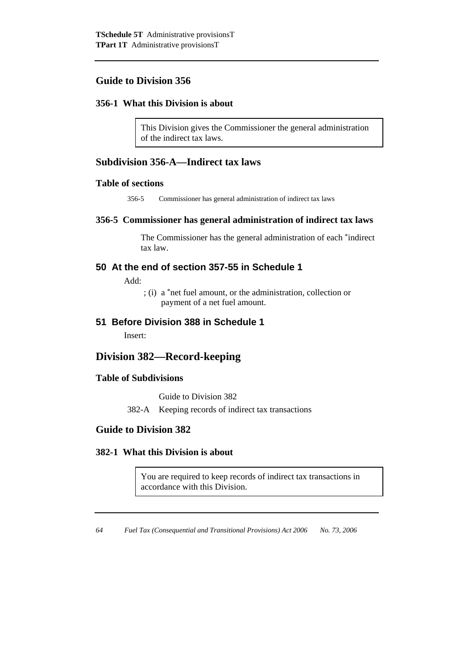# **Guide to Division 356**

# **356-1 What this Division is about**

This Division gives the Commissioner the general administration of the indirect tax laws.

# **Subdivision 356-A—Indirect tax laws**

### **Table of sections**

356-5 Commissioner has general administration of indirect tax laws

### **356-5 Commissioner has general administration of indirect tax laws**

 The Commissioner has the general administration of each \*indirect tax law.

# **50 At the end of section 357-55 in Schedule 1**

Add:

 ; (i) a \*net fuel amount, or the administration, collection or payment of a net fuel amount.

## **51 Before Division 388 in Schedule 1**

Insert:

# **Division 382—Record-keeping**

### **Table of Subdivisions**

Guide to Division 382

382-A Keeping records of indirect tax transactions

# **Guide to Division 382**

### **382-1 What this Division is about**

You are required to keep records of indirect tax transactions in accordance with this Division.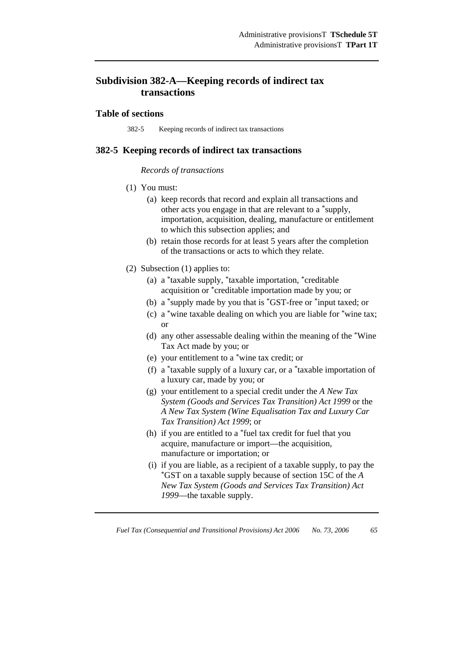# **Subdivision 382-A—Keeping records of indirect tax transactions**

### **Table of sections**

382-5 Keeping records of indirect tax transactions

### **382-5 Keeping records of indirect tax transactions**

#### *Records of transactions*

- (1) You must:
	- (a) keep records that record and explain all transactions and other acts you engage in that are relevant to a \*supply, importation, acquisition, dealing, manufacture or entitlement to which this subsection applies; and
	- (b) retain those records for at least 5 years after the completion of the transactions or acts to which they relate.
- (2) Subsection (1) applies to:
	- (a) a \*taxable supply, \*taxable importation, \*creditable acquisition or \*creditable importation made by you; or
	- (b) a \*supply made by you that is \*GST-free or \*input taxed; or
	- (c) a \*wine taxable dealing on which you are liable for \*wine tax; or
	- (d) any other assessable dealing within the meaning of the \*Wine Tax Act made by you; or
	- (e) your entitlement to a \*wine tax credit; or
	- (f) a \*taxable supply of a luxury car, or a \*taxable importation of a luxury car, made by you; or
	- (g) your entitlement to a special credit under the *A New Tax System (Goods and Services Tax Transition) Act 1999* or the *A New Tax System (Wine Equalisation Tax and Luxury Car Tax Transition) Act 1999*; or
	- (h) if you are entitled to a \*fuel tax credit for fuel that you acquire, manufacture or import—the acquisition, manufacture or importation; or
	- (i) if you are liable, as a recipient of a taxable supply, to pay the \*GST on a taxable supply because of section 15C of the *<sup>A</sup> New Tax System (Goods and Services Tax Transition) Act 1999*—the taxable supply.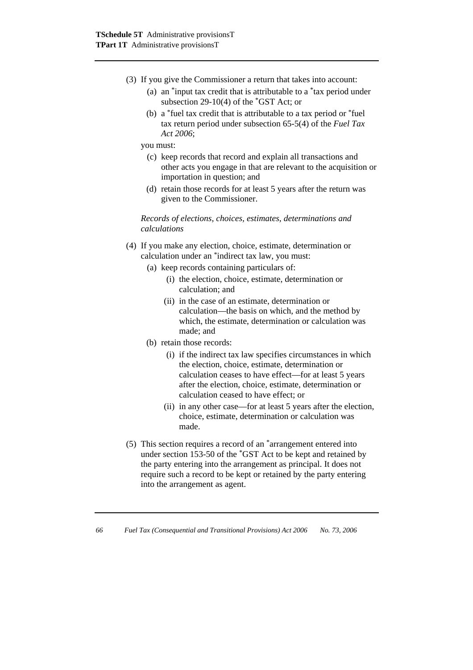- (3) If you give the Commissioner a return that takes into account:
	- (a) an \*input tax credit that is attributable to a \*tax period under subsection 29-10(4) of the \*GST Act; or
	- (b) a \*fuel tax credit that is attributable to a tax period or \*fuel tax return period under subsection 65-5(4) of the *Fuel Tax Act 2006*;

you must:

- (c) keep records that record and explain all transactions and other acts you engage in that are relevant to the acquisition or importation in question; and
- (d) retain those records for at least 5 years after the return was given to the Commissioner.

*Records of elections, choices, estimates, determinations and calculations* 

- (4) If you make any election, choice, estimate, determination or calculation under an \*indirect tax law, you must:
	- (a) keep records containing particulars of:
		- (i) the election, choice, estimate, determination or calculation; and
		- (ii) in the case of an estimate, determination or calculation—the basis on which, and the method by which, the estimate, determination or calculation was made; and
	- (b) retain those records:
		- (i) if the indirect tax law specifies circumstances in which the election, choice, estimate, determination or calculation ceases to have effect—for at least 5 years after the election, choice, estimate, determination or calculation ceased to have effect; or
		- (ii) in any other case—for at least 5 years after the election, choice, estimate, determination or calculation was made.
- (5) This section requires a record of an \*arrangement entered into under section 153-50 of the \*GST Act to be kept and retained by the party entering into the arrangement as principal. It does not require such a record to be kept or retained by the party entering into the arrangement as agent.
- *66 Fuel Tax (Consequential and Transitional Provisions) Act 2006 No. 73, 2006*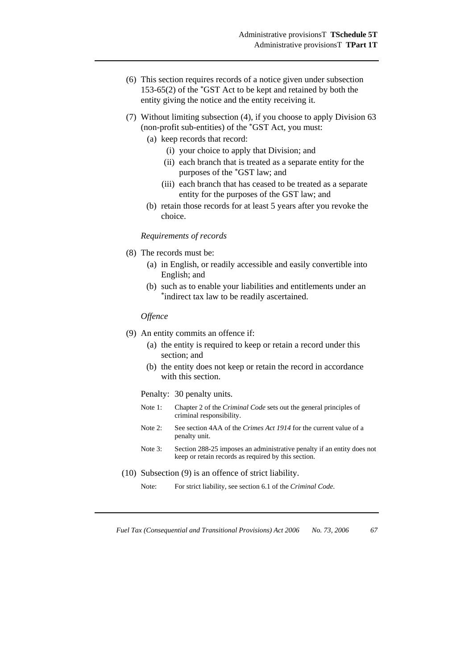- (6) This section requires records of a notice given under subsection 153-65(2) of the \*GST Act to be kept and retained by both the entity giving the notice and the entity receiving it.
- (7) Without limiting subsection (4), if you choose to apply Division 63 (non-profit sub-entities) of the \*GST Act, you must:
	- (a) keep records that record:
		- (i) your choice to apply that Division; and
		- (ii) each branch that is treated as a separate entity for the purposes of the \*GST law; and
		- (iii) each branch that has ceased to be treated as a separate entity for the purposes of the GST law; and
	- (b) retain those records for at least 5 years after you revoke the choice.

#### *Requirements of records*

- (8) The records must be:
	- (a) in English, or readily accessible and easily convertible into English; and
	- (b) such as to enable your liabilities and entitlements under an \*indirect tax law to be readily ascertained.

#### *Offence*

- (9) An entity commits an offence if:
	- (a) the entity is required to keep or retain a record under this section; and
	- (b) the entity does not keep or retain the record in accordance with this section.
	- Penalty: 30 penalty units.
	- Note 1: Chapter 2 of the *Criminal Code* sets out the general principles of criminal responsibility.
	- Note 2: See section 4AA of the *Crimes Act 1914* for the current value of a penalty unit.
	- Note 3: Section 288-25 imposes an administrative penalty if an entity does not keep or retain records as required by this section.
- (10) Subsection (9) is an offence of strict liability.
	- Note: For strict liability, see section 6.1 of the *Criminal Code*.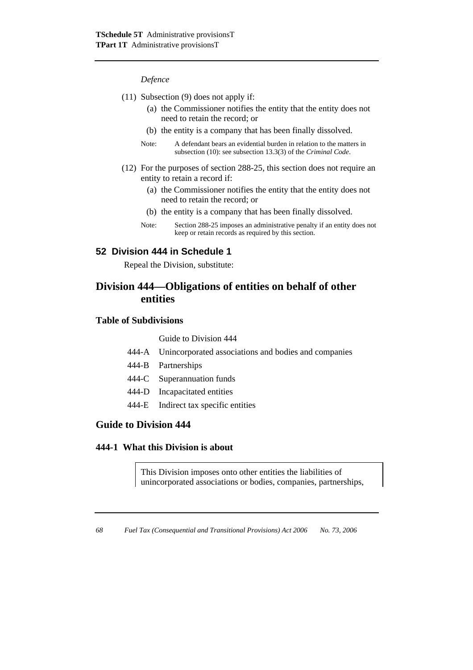#### *Defence*

- (11) Subsection (9) does not apply if:
	- (a) the Commissioner notifies the entity that the entity does not need to retain the record; or
	- (b) the entity is a company that has been finally dissolved.
	- Note: A defendant bears an evidential burden in relation to the matters in subsection (10): see subsection 13.3(3) of the *Criminal Code*.
- (12) For the purposes of section 288-25, this section does not require an entity to retain a record if:
	- (a) the Commissioner notifies the entity that the entity does not need to retain the record; or
	- (b) the entity is a company that has been finally dissolved.
	- Note: Section 288-25 imposes an administrative penalty if an entity does not keep or retain records as required by this section.

# **52 Division 444 in Schedule 1**

Repeal the Division, substitute:

# **Division 444—Obligations of entities on behalf of other entities**

# **Table of Subdivisions**

Guide to Division 444

- 444-A Unincorporated associations and bodies and companies
- 444-B Partnerships
- 444-C Superannuation funds
- 444-D Incapacitated entities
- 444-E Indirect tax specific entities

# **Guide to Division 444**

#### **444-1 What this Division is about**

This Division imposes onto other entities the liabilities of unincorporated associations or bodies, companies, partnerships,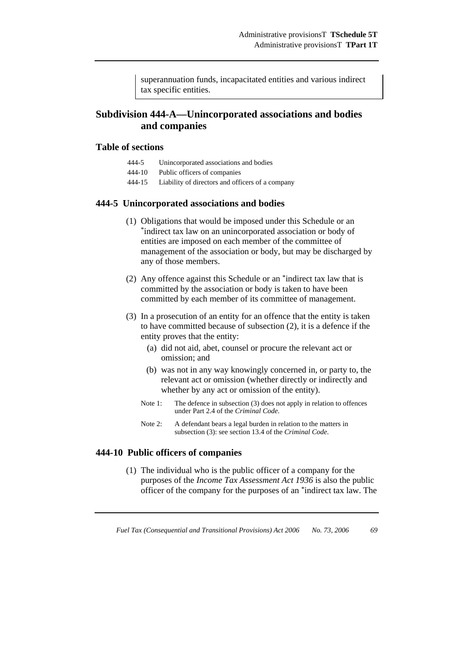superannuation funds, incapacitated entities and various indirect tax specific entities.

# **Subdivision 444-A—Unincorporated associations and bodies and companies**

### **Table of sections**

- 444-5 Unincorporated associations and bodies
- 444-10 Public officers of companies
- 444-15 Liability of directors and officers of a company

#### **444-5 Unincorporated associations and bodies**

- (1) Obligations that would be imposed under this Schedule or an \*indirect tax law on an unincorporated association or body of entities are imposed on each member of the committee of management of the association or body, but may be discharged by any of those members.
- (2) Any offence against this Schedule or an \*indirect tax law that is committed by the association or body is taken to have been committed by each member of its committee of management.
- (3) In a prosecution of an entity for an offence that the entity is taken to have committed because of subsection (2), it is a defence if the entity proves that the entity:
	- (a) did not aid, abet, counsel or procure the relevant act or omission; and
	- (b) was not in any way knowingly concerned in, or party to, the relevant act or omission (whether directly or indirectly and whether by any act or omission of the entity).
	- Note 1: The defence in subsection (3) does not apply in relation to offences under Part 2.4 of the *Criminal Code*.
	- Note 2: A defendant bears a legal burden in relation to the matters in subsection (3): see section 13.4 of the *Criminal Code*.

#### **444-10 Public officers of companies**

 (1) The individual who is the public officer of a company for the purposes of the *Income Tax Assessment Act 1936* is also the public officer of the company for the purposes of an \*indirect tax law. The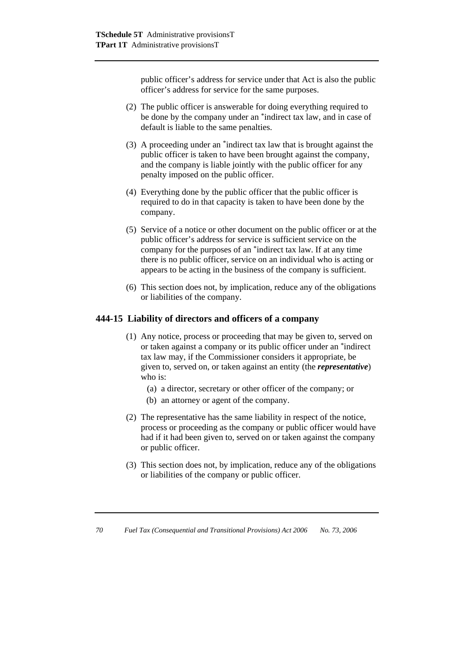public officer's address for service under that Act is also the public officer's address for service for the same purposes.

- (2) The public officer is answerable for doing everything required to be done by the company under an \*indirect tax law, and in case of default is liable to the same penalties.
- (3) A proceeding under an \*indirect tax law that is brought against the public officer is taken to have been brought against the company, and the company is liable jointly with the public officer for any penalty imposed on the public officer.
- (4) Everything done by the public officer that the public officer is required to do in that capacity is taken to have been done by the company.
- (5) Service of a notice or other document on the public officer or at the public officer's address for service is sufficient service on the company for the purposes of an \*indirect tax law. If at any time there is no public officer, service on an individual who is acting or appears to be acting in the business of the company is sufficient.
- (6) This section does not, by implication, reduce any of the obligations or liabilities of the company.

### **444-15 Liability of directors and officers of a company**

- (1) Any notice, process or proceeding that may be given to, served on or taken against a company or its public officer under an \*indirect tax law may, if the Commissioner considers it appropriate, be given to, served on, or taken against an entity (the *representative*) who is:
	- (a) a director, secretary or other officer of the company; or
	- (b) an attorney or agent of the company.
- (2) The representative has the same liability in respect of the notice, process or proceeding as the company or public officer would have had if it had been given to, served on or taken against the company or public officer.
- (3) This section does not, by implication, reduce any of the obligations or liabilities of the company or public officer.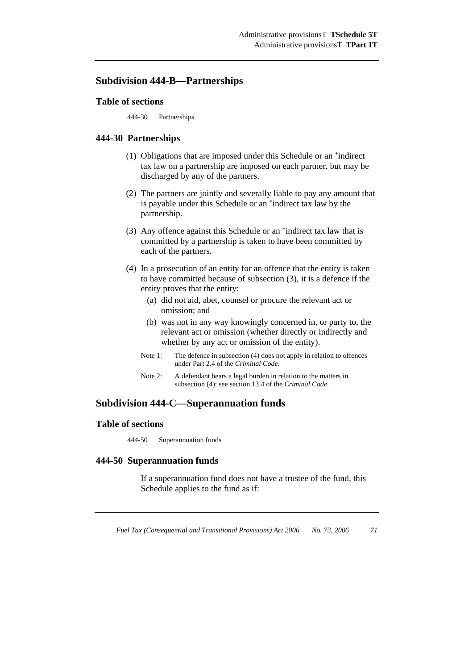# **Subdivision 444-B—Partnerships**

#### **Table of sections**

444-30 Partnerships

#### **444-30 Partnerships**

- (1) Obligations that are imposed under this Schedule or an \*indirect tax law on a partnership are imposed on each partner, but may be discharged by any of the partners.
- (2) The partners are jointly and severally liable to pay any amount that is payable under this Schedule or an \*indirect tax law by the partnership.
- (3) Any offence against this Schedule or an \*indirect tax law that is committed by a partnership is taken to have been committed by each of the partners.
- (4) In a prosecution of an entity for an offence that the entity is taken to have committed because of subsection (3), it is a defence if the entity proves that the entity:
	- (a) did not aid, abet, counsel or procure the relevant act or omission; and
	- (b) was not in any way knowingly concerned in, or party to, the relevant act or omission (whether directly or indirectly and whether by any act or omission of the entity).
	- Note 1: The defence in subsection (4) does not apply in relation to offences under Part 2.4 of the *Criminal Code*.
	- Note 2: A defendant bears a legal burden in relation to the matters in subsection (4): see section 13.4 of the *Criminal Code*.

# **Subdivision 444-C—Superannuation funds**

#### **Table of sections**

444-50 Superannuation funds

#### **444-50 Superannuation funds**

 If a superannuation fund does not have a trustee of the fund, this Schedule applies to the fund as if: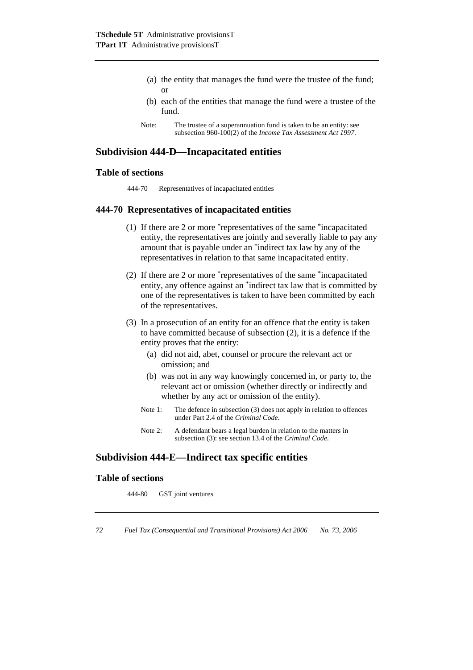- (a) the entity that manages the fund were the trustee of the fund; or
- (b) each of the entities that manage the fund were a trustee of the fund.
- Note: The trustee of a superannuation fund is taken to be an entity: see subsection 960-100(2) of the *Income Tax Assessment Act 1997*.

# **Subdivision 444-D—Incapacitated entities**

### **Table of sections**

444-70 Representatives of incapacitated entities

#### **444-70 Representatives of incapacitated entities**

- (1) If there are 2 or more \*representatives of the same \*incapacitated entity, the representatives are jointly and severally liable to pay any amount that is payable under an \*indirect tax law by any of the representatives in relation to that same incapacitated entity.
- (2) If there are 2 or more \*representatives of the same \*incapacitated entity, any offence against an \*indirect tax law that is committed by one of the representatives is taken to have been committed by each of the representatives.
- (3) In a prosecution of an entity for an offence that the entity is taken to have committed because of subsection (2), it is a defence if the entity proves that the entity:
	- (a) did not aid, abet, counsel or procure the relevant act or omission; and
	- (b) was not in any way knowingly concerned in, or party to, the relevant act or omission (whether directly or indirectly and whether by any act or omission of the entity).
	- Note 1: The defence in subsection (3) does not apply in relation to offences under Part 2.4 of the *Criminal Code*.
	- Note 2: A defendant bears a legal burden in relation to the matters in subsection (3): see section 13.4 of the *Criminal Code*.

# **Subdivision 444-E—Indirect tax specific entities**

#### **Table of sections**

444-80 GST joint ventures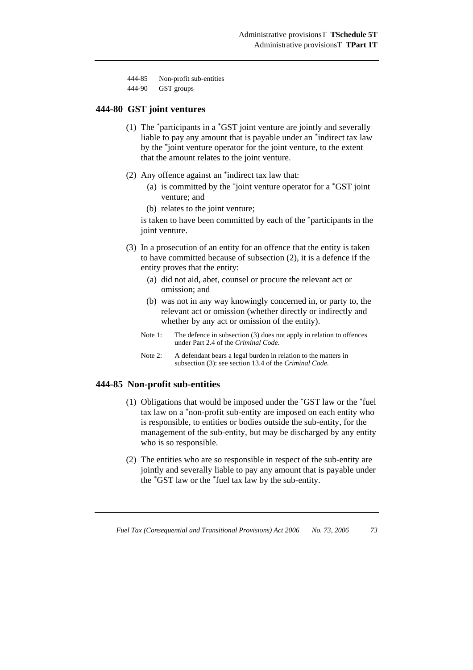| 444-85 | Non-profit sub-entities |
|--------|-------------------------|
|--------|-------------------------|

| 444-90 | GST groups |
|--------|------------|
|--------|------------|

#### **444-80 GST joint ventures**

- (1) The \*participants in a \*GST joint venture are jointly and severally liable to pay any amount that is payable under an \*indirect tax law by the \*joint venture operator for the joint venture, to the extent that the amount relates to the joint venture.
- (2) Any offence against an \*indirect tax law that:
	- (a) is committed by the \*joint venture operator for a \*GST joint venture; and
	- (b) relates to the joint venture;

is taken to have been committed by each of the \*participants in the joint venture.

- (3) In a prosecution of an entity for an offence that the entity is taken to have committed because of subsection (2), it is a defence if the entity proves that the entity:
	- (a) did not aid, abet, counsel or procure the relevant act or omission; and
	- (b) was not in any way knowingly concerned in, or party to, the relevant act or omission (whether directly or indirectly and whether by any act or omission of the entity).
	- Note 1: The defence in subsection (3) does not apply in relation to offences under Part 2.4 of the *Criminal Code*.
	- Note 2: A defendant bears a legal burden in relation to the matters in subsection (3): see section 13.4 of the *Criminal Code*.

#### **444-85 Non-profit sub-entities**

- (1) Obligations that would be imposed under the \*GST law or the \*fuel tax law on a \*non-profit sub-entity are imposed on each entity who is responsible, to entities or bodies outside the sub-entity, for the management of the sub-entity, but may be discharged by any entity who is so responsible.
- (2) The entities who are so responsible in respect of the sub-entity are jointly and severally liable to pay any amount that is payable under the \*GST law or the \*fuel tax law by the sub-entity.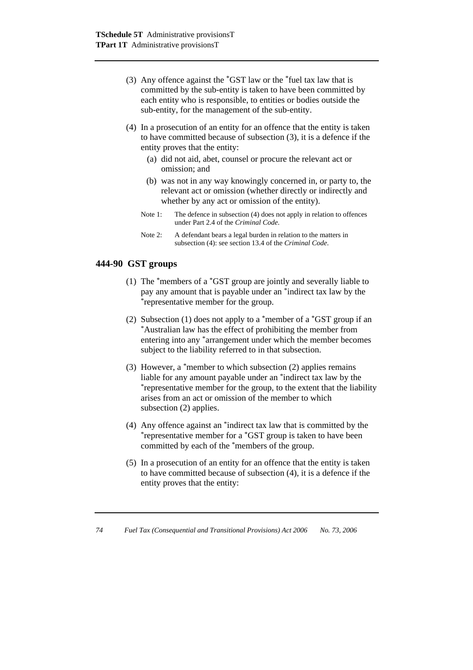- (3) Any offence against the \*GST law or the \*fuel tax law that is committed by the sub-entity is taken to have been committed by each entity who is responsible, to entities or bodies outside the sub-entity, for the management of the sub-entity.
- (4) In a prosecution of an entity for an offence that the entity is taken to have committed because of subsection (3), it is a defence if the entity proves that the entity:
	- (a) did not aid, abet, counsel or procure the relevant act or omission; and
	- (b) was not in any way knowingly concerned in, or party to, the relevant act or omission (whether directly or indirectly and whether by any act or omission of the entity).
	- Note 1: The defence in subsection (4) does not apply in relation to offences under Part 2.4 of the *Criminal Code*.
	- Note 2: A defendant bears a legal burden in relation to the matters in subsection (4): see section 13.4 of the *Criminal Code*.

### **444-90 GST groups**

- (1) The \*members of a \*GST group are jointly and severally liable to pay any amount that is payable under an \*indirect tax law by the \*representative member for the group.
- (2) Subsection (1) does not apply to a \*member of a \*GST group if an \*Australian law has the effect of prohibiting the member from entering into any \*arrangement under which the member becomes subject to the liability referred to in that subsection.
- (3) However, a \*member to which subsection (2) applies remains liable for any amount payable under an \*indirect tax law by the \*representative member for the group, to the extent that the liability arises from an act or omission of the member to which subsection (2) applies.
- (4) Any offence against an  $*$ indirect tax law that is committed by the  $*$ representative member for a  $*$ GST group is taken to have been committed by each of the \*members of the group.
- (5) In a prosecution of an entity for an offence that the entity is taken to have committed because of subsection (4), it is a defence if the entity proves that the entity:

*74 Fuel Tax (Consequential and Transitional Provisions) Act 2006 No. 73, 2006*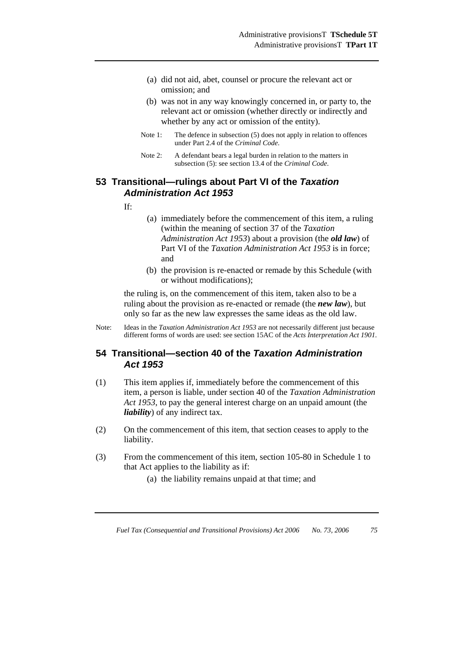- (a) did not aid, abet, counsel or procure the relevant act or omission; and
- (b) was not in any way knowingly concerned in, or party to, the relevant act or omission (whether directly or indirectly and whether by any act or omission of the entity).
- Note 1: The defence in subsection (5) does not apply in relation to offences under Part 2.4 of the *Criminal Code*.
- Note 2: A defendant bears a legal burden in relation to the matters in subsection (5): see section 13.4 of the *Criminal Code*.

# **53 Transitional—rulings about Part VI of the** *Taxation Administration Act 1953*

- If:
- (a) immediately before the commencement of this item, a ruling (within the meaning of section 37 of the *Taxation Administration Act 1953*) about a provision (the *old law*) of Part VI of the *Taxation Administration Act 1953* is in force; and
- (b) the provision is re-enacted or remade by this Schedule (with or without modifications);

the ruling is, on the commencement of this item, taken also to be a ruling about the provision as re-enacted or remade (the *new law*), but only so far as the new law expresses the same ideas as the old law.

Note: Ideas in the *Taxation Administration Act 1953* are not necessarily different just because different forms of words are used: see section 15AC of the *Acts Interpretation Act 1901*.

# **54 Transitional—section 40 of the** *Taxation Administration Act 1953*

- (1) This item applies if, immediately before the commencement of this item, a person is liable, under section 40 of the *Taxation Administration Act 1953*, to pay the general interest charge on an unpaid amount (the *liability*) of any indirect tax.
- (2) On the commencement of this item, that section ceases to apply to the liability.
- (3) From the commencement of this item, section 105-80 in Schedule 1 to that Act applies to the liability as if:
	- (a) the liability remains unpaid at that time; and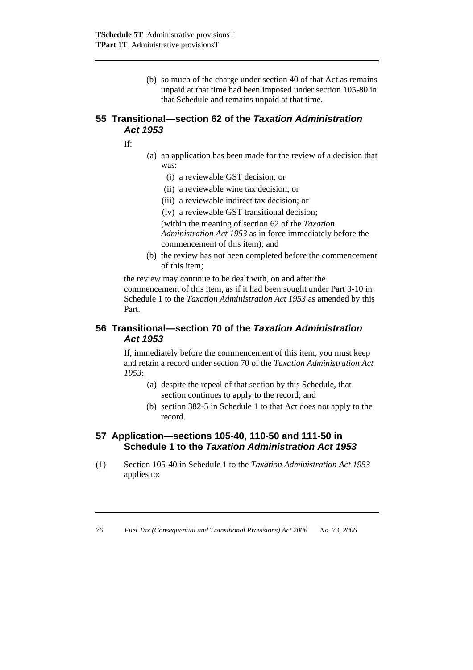(b) so much of the charge under section 40 of that Act as remains unpaid at that time had been imposed under section 105-80 in that Schedule and remains unpaid at that time.

# **55 Transitional—section 62 of the** *Taxation Administration Act 1953*

If:

- (a) an application has been made for the review of a decision that was:
	- (i) a reviewable GST decision; or
	- (ii) a reviewable wine tax decision; or
	- (iii) a reviewable indirect tax decision; or
	- (iv) a reviewable GST transitional decision;

 (within the meaning of section 62 of the *Taxation Administration Act 1953* as in force immediately before the commencement of this item); and

(b) the review has not been completed before the commencement of this item;

the review may continue to be dealt with, on and after the commencement of this item, as if it had been sought under Part 3-10 in Schedule 1 to the *Taxation Administration Act 1953* as amended by this Part.

# **56 Transitional—section 70 of the** *Taxation Administration Act 1953*

If, immediately before the commencement of this item, you must keep and retain a record under section 70 of the *Taxation Administration Act 1953*:

- (a) despite the repeal of that section by this Schedule, that section continues to apply to the record; and
- (b) section 382-5 in Schedule 1 to that Act does not apply to the record.

# **57 Application—sections 105-40, 110-50 and 111-50 in Schedule 1 to the** *Taxation Administration Act 1953*

(1) Section 105-40 in Schedule 1 to the *Taxation Administration Act 1953* applies to: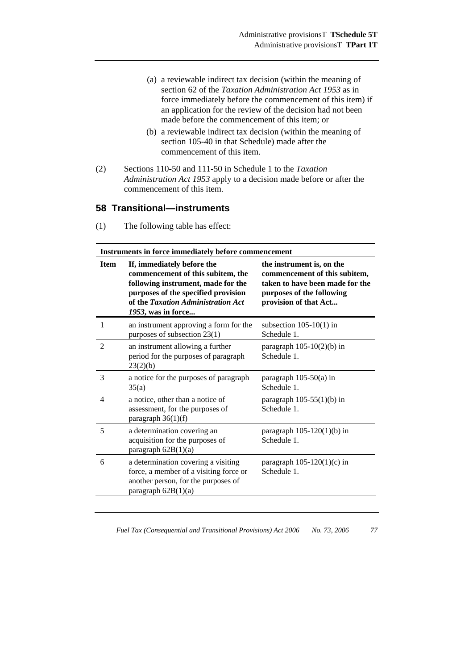- (a) a reviewable indirect tax decision (within the meaning of section 62 of the *Taxation Administration Act 1953* as in force immediately before the commencement of this item) if an application for the review of the decision had not been made before the commencement of this item; or
- (b) a reviewable indirect tax decision (within the meaning of section 105-40 in that Schedule) made after the commencement of this item.
- (2) Sections 110-50 and 111-50 in Schedule 1 to the *Taxation Administration Act 1953* apply to a decision made before or after the commencement of this item.

### **58 Transitional—instruments**

| Instruments in force immediately before commencement |                                                                                                       |                                                                                               |  |
|------------------------------------------------------|-------------------------------------------------------------------------------------------------------|-----------------------------------------------------------------------------------------------|--|
| <b>Item</b>                                          | If, immediately before the<br>commencement of this subitem, the<br>following instrument, made for the | the instrument is, on the<br>commencement of this subitem,<br>taken to have been made for the |  |

|                | following instrument, made for the<br>purposes of the specified provision<br>of the Taxation Administration Act<br>1953, was in force         | taken to have been made for the<br>purposes of the following<br>provision of that Act |
|----------------|-----------------------------------------------------------------------------------------------------------------------------------------------|---------------------------------------------------------------------------------------|
|                | an instrument approving a form for the<br>purposes of subsection 23(1)                                                                        | subsection $105-10(1)$ in<br>Schedule 1.                                              |
| $\mathfrak{D}$ | an instrument allowing a further<br>period for the purposes of paragraph<br>23(2)(b)                                                          | paragraph $105-10(2)(b)$ in<br>Schedule 1.                                            |
| 3              | a notice for the purposes of paragraph<br>35(a)                                                                                               | paragraph $105-50(a)$ in<br>Schedule 1.                                               |
| 4              | a notice, other than a notice of<br>assessment, for the purposes of<br>paragraph 36(1)(f)                                                     | paragraph $105-55(1)(b)$ in<br>Schedule 1.                                            |
| 5              | a determination covering an<br>acquisition for the purposes of<br>paragraph 62B(1)(a)                                                         | paragraph $105-120(1)(b)$ in<br>Schedule 1.                                           |
| 6              | a determination covering a visiting<br>force, a member of a visiting force or<br>another person, for the purposes of<br>paragraph $62B(1)(a)$ | paragraph $105-120(1)(c)$ in<br>Schedule 1.                                           |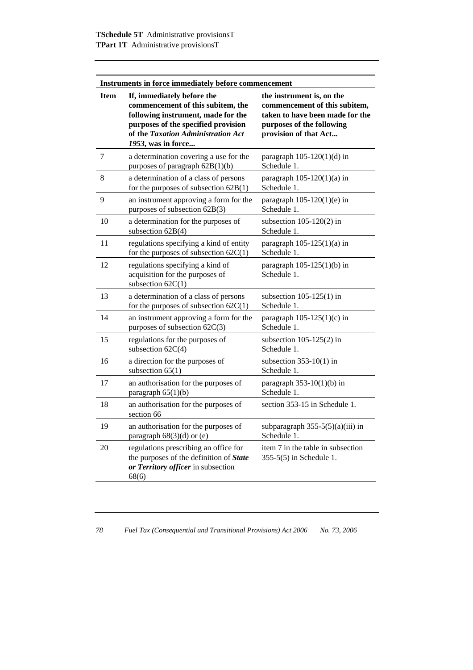| Instruments in force immediately before commencement |                                                                                                                                                                                                          |                                                                                                                                                     |  |
|------------------------------------------------------|----------------------------------------------------------------------------------------------------------------------------------------------------------------------------------------------------------|-----------------------------------------------------------------------------------------------------------------------------------------------------|--|
| <b>Item</b>                                          | If, immediately before the<br>commencement of this subitem, the<br>following instrument, made for the<br>purposes of the specified provision<br>of the Taxation Administration Act<br>1953, was in force | the instrument is, on the<br>commencement of this subitem,<br>taken to have been made for the<br>purposes of the following<br>provision of that Act |  |
| 7                                                    | a determination covering a use for the<br>purposes of paragraph 62B(1)(b)                                                                                                                                | paragraph $105-120(1)(d)$ in<br>Schedule 1.                                                                                                         |  |
| 8                                                    | a determination of a class of persons<br>for the purposes of subsection $62B(1)$                                                                                                                         | paragraph $105-120(1)(a)$ in<br>Schedule 1.                                                                                                         |  |
| 9                                                    | an instrument approving a form for the<br>purposes of subsection 62B(3)                                                                                                                                  | paragraph $105-120(1)(e)$ in<br>Schedule 1.                                                                                                         |  |
| 10                                                   | a determination for the purposes of<br>subsection $62B(4)$                                                                                                                                               | subsection $105-120(2)$ in<br>Schedule 1.                                                                                                           |  |
| 11                                                   | regulations specifying a kind of entity<br>for the purposes of subsection $62C(1)$                                                                                                                       | paragraph $105-125(1)(a)$ in<br>Schedule 1.                                                                                                         |  |
| 12                                                   | regulations specifying a kind of<br>acquisition for the purposes of<br>subsection $62C(1)$                                                                                                               | paragraph $105-125(1)(b)$ in<br>Schedule 1.                                                                                                         |  |
| 13                                                   | a determination of a class of persons<br>for the purposes of subsection $62C(1)$                                                                                                                         | subsection $105-125(1)$ in<br>Schedule 1.                                                                                                           |  |
| 14                                                   | an instrument approving a form for the<br>purposes of subsection 62C(3)                                                                                                                                  | paragraph $105-125(1)(c)$ in<br>Schedule 1.                                                                                                         |  |
| 15                                                   | regulations for the purposes of<br>subsection $62C(4)$                                                                                                                                                   | subsection $105-125(2)$ in<br>Schedule 1.                                                                                                           |  |
| 16                                                   | a direction for the purposes of<br>subsection $65(1)$                                                                                                                                                    | subsection $353-10(1)$ in<br>Schedule 1                                                                                                             |  |
| 17                                                   | an authorisation for the purposes of<br>paragraph 65(1)(b)                                                                                                                                               | paragraph $353-10(1)(b)$ in<br>Schedule 1                                                                                                           |  |
| 18                                                   | an authorisation for the purposes of<br>section 66                                                                                                                                                       | section 353-15 in Schedule 1.                                                                                                                       |  |
| 19                                                   | an authorisation for the purposes of<br>paragraph $68(3)(d)$ or (e)                                                                                                                                      | subparagraph $355-5(5)(a)(iii)$ in<br>Schedule 1.                                                                                                   |  |
| 20                                                   | regulations prescribing an office for<br>the purposes of the definition of State<br>or Territory officer in subsection<br>68(6)                                                                          | item 7 in the table in subsection<br>355-5(5) in Schedule 1.                                                                                        |  |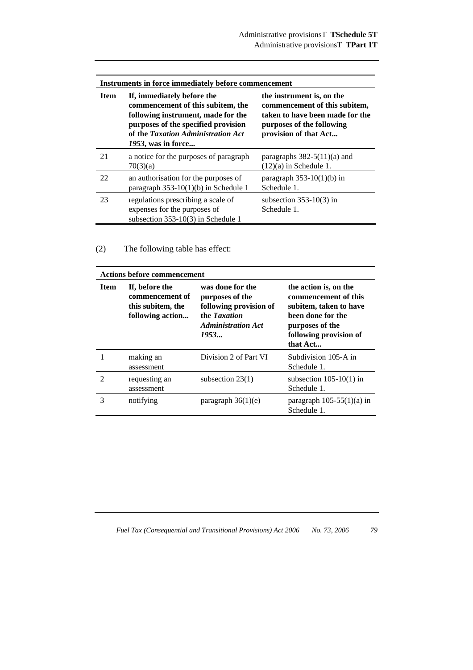| Instruments in force immediately before commencement |                                                                                                                                                                                                          |                                                                                                                                                     |  |
|------------------------------------------------------|----------------------------------------------------------------------------------------------------------------------------------------------------------------------------------------------------------|-----------------------------------------------------------------------------------------------------------------------------------------------------|--|
| <b>Item</b>                                          | If, immediately before the<br>commencement of this subitem, the<br>following instrument, made for the<br>purposes of the specified provision<br>of the Taxation Administration Act<br>1953, was in force | the instrument is, on the<br>commencement of this subitem,<br>taken to have been made for the<br>purposes of the following<br>provision of that Act |  |
| 21                                                   | a notice for the purposes of paragraph<br>70(3)(a)                                                                                                                                                       | paragraphs $382-5(11)(a)$ and<br>$(12)(a)$ in Schedule 1.                                                                                           |  |
| 22                                                   | an authorisation for the purposes of<br>paragraph $353-10(1)(b)$ in Schedule 1                                                                                                                           | paragraph $353-10(1)(b)$ in<br>Schedule 1.                                                                                                          |  |
| 23                                                   | regulations prescribing a scale of<br>expenses for the purposes of<br>subsection 353-10(3) in Schedule 1                                                                                                 | subsection $353-10(3)$ in<br>Schedule 1.                                                                                                            |  |

(2) The following table has effect:

| <b>Actions before commencement</b> |                                                                            |                                                                                                                    |                                                                                                                                                       |
|------------------------------------|----------------------------------------------------------------------------|--------------------------------------------------------------------------------------------------------------------|-------------------------------------------------------------------------------------------------------------------------------------------------------|
| Item                               | If, before the<br>commencement of<br>this subitem, the<br>following action | was done for the<br>purposes of the<br>following provision of<br>the Taxation<br><b>Administration Act</b><br>1953 | the action is, on the<br>commencement of this<br>subitem, taken to have<br>been done for the<br>purposes of the<br>following provision of<br>that Act |
|                                    | making an<br>assessment                                                    | Division 2 of Part VI                                                                                              | Subdivision 105-A in<br>Schedule 1.                                                                                                                   |
| $\mathfrak{D}$                     | requesting an<br>assessment                                                | subsection $23(1)$                                                                                                 | subsection $105-10(1)$ in<br>Schedule 1.                                                                                                              |
| 3                                  | notifying                                                                  | paragraph $36(1)(e)$                                                                                               | paragraph $105-55(1)(a)$ in<br>Schedule 1.                                                                                                            |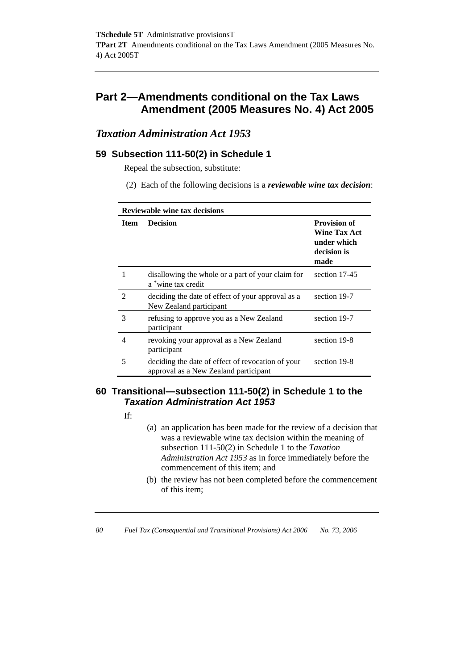# **Part 2—Amendments conditional on the Tax Laws Amendment (2005 Measures No. 4) Act 2005**

# *Taxation Administration Act 1953*

# **59 Subsection 111-50(2) in Schedule 1**

Repeal the subsection, substitute:

(2) Each of the following decisions is a *reviewable wine tax decision*:

| <b>Reviewable wine tax decisions</b> |                                                                                            |                                                                                  |  |
|--------------------------------------|--------------------------------------------------------------------------------------------|----------------------------------------------------------------------------------|--|
| <b>Item</b>                          | <b>Decision</b>                                                                            | <b>Provision of</b><br><b>Wine Tax Act</b><br>under which<br>decision is<br>made |  |
|                                      | disallowing the whole or a part of your claim for<br>a *wine tax credit                    | section 17-45                                                                    |  |
| $\mathfrak{D}$                       | deciding the date of effect of your approval as a<br>New Zealand participant               | section 19-7                                                                     |  |
| 3                                    | refusing to approve you as a New Zealand<br>participant                                    | section 19-7                                                                     |  |
| 4                                    | revoking your approval as a New Zealand<br>participant                                     | section 19-8                                                                     |  |
| 5                                    | deciding the date of effect of revocation of your<br>approval as a New Zealand participant | section 19-8                                                                     |  |

# **60 Transitional—subsection 111-50(2) in Schedule 1 to the**  *Taxation Administration Act 1953*

If:

- (a) an application has been made for the review of a decision that was a reviewable wine tax decision within the meaning of subsection 111-50(2) in Schedule 1 to the *Taxation Administration Act 1953* as in force immediately before the commencement of this item; and
- (b) the review has not been completed before the commencement of this item;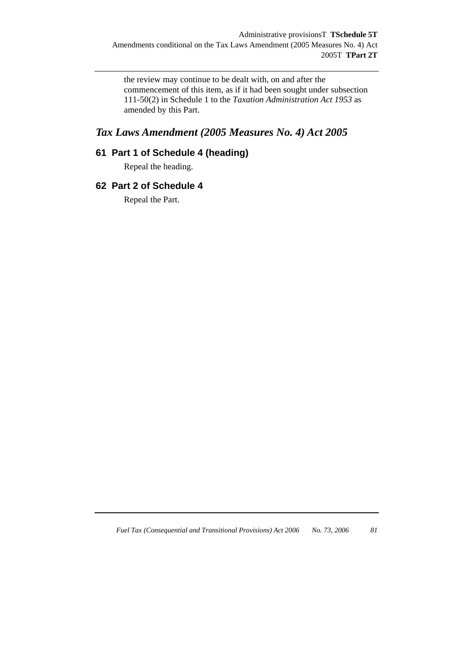the review may continue to be dealt with, on and after the commencement of this item, as if it had been sought under subsection 111-50(2) in Schedule 1 to the *Taxation Administration Act 1953* as amended by this Part.

# *Tax Laws Amendment (2005 Measures No. 4) Act 2005*

# **61 Part 1 of Schedule 4 (heading)**

Repeal the heading.

# **62 Part 2 of Schedule 4**

Repeal the Part.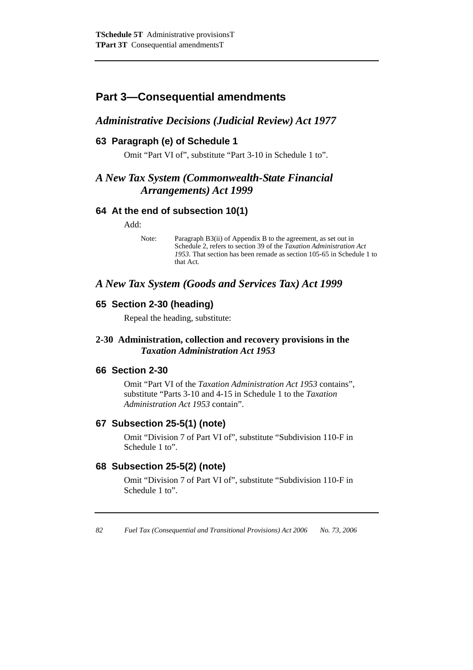# **Part 3—Consequential amendments**

# *Administrative Decisions (Judicial Review) Act 1977*

# **63 Paragraph (e) of Schedule 1**

Omit "Part VI of", substitute "Part 3-10 in Schedule 1 to".

# *A New Tax System (Commonwealth-State Financial Arrangements) Act 1999*

# **64 At the end of subsection 10(1)**

Add:

Note: Paragraph B3(ii) of Appendix B to the agreement, as set out in Schedule 2, refers to section 39 of the *Taxation Administration Act 1953*. That section has been remade as section 105-65 in Schedule 1 to that Act.

# *A New Tax System (Goods and Services Tax) Act 1999*

# **65 Section 2-30 (heading)**

Repeal the heading, substitute:

# **2-30 Administration, collection and recovery provisions in the**  *Taxation Administration Act 1953*

# **66 Section 2-30**

Omit "Part VI of the *Taxation Administration Act 1953* contains", substitute "Parts 3-10 and 4-15 in Schedule 1 to the *Taxation Administration Act 1953* contain".

# **67 Subsection 25-5(1) (note)**

Omit "Division 7 of Part VI of", substitute "Subdivision 110-F in Schedule 1 to".

# **68 Subsection 25-5(2) (note)**

Omit "Division 7 of Part VI of", substitute "Subdivision 110-F in Schedule 1 to".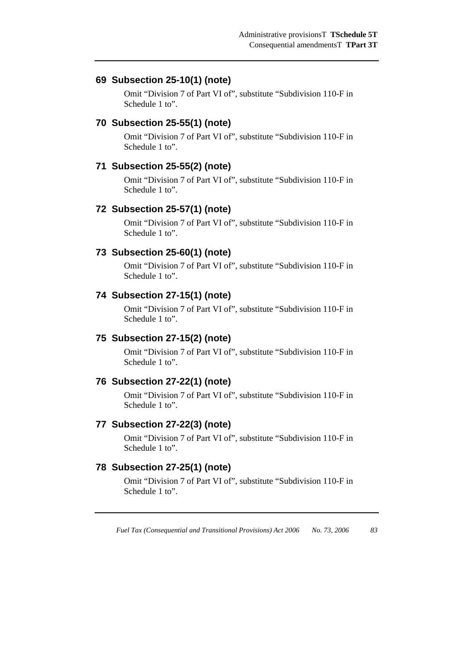# **69 Subsection 25-10(1) (note)**

Omit "Division 7 of Part VI of", substitute "Subdivision 110-F in Schedule 1 to".

### **70 Subsection 25-55(1) (note)**

Omit "Division 7 of Part VI of", substitute "Subdivision 110-F in Schedule 1 to".

# **71 Subsection 25-55(2) (note)**

Omit "Division 7 of Part VI of", substitute "Subdivision 110-F in Schedule 1 to".

# **72 Subsection 25-57(1) (note)**

Omit "Division 7 of Part VI of", substitute "Subdivision 110-F in Schedule 1 to".

# **73 Subsection 25-60(1) (note)**

Omit "Division 7 of Part VI of", substitute "Subdivision 110-F in Schedule 1 to".

# **74 Subsection 27-15(1) (note)**

Omit "Division 7 of Part VI of", substitute "Subdivision 110-F in Schedule 1 to".

### **75 Subsection 27-15(2) (note)**

Omit "Division 7 of Part VI of", substitute "Subdivision 110-F in Schedule 1 to".

# **76 Subsection 27-22(1) (note)**

Omit "Division 7 of Part VI of", substitute "Subdivision 110-F in Schedule 1 to".

#### **77 Subsection 27-22(3) (note)**

Omit "Division 7 of Part VI of", substitute "Subdivision 110-F in Schedule 1 to".

# **78 Subsection 27-25(1) (note)**

Omit "Division 7 of Part VI of", substitute "Subdivision 110-F in Schedule 1 to".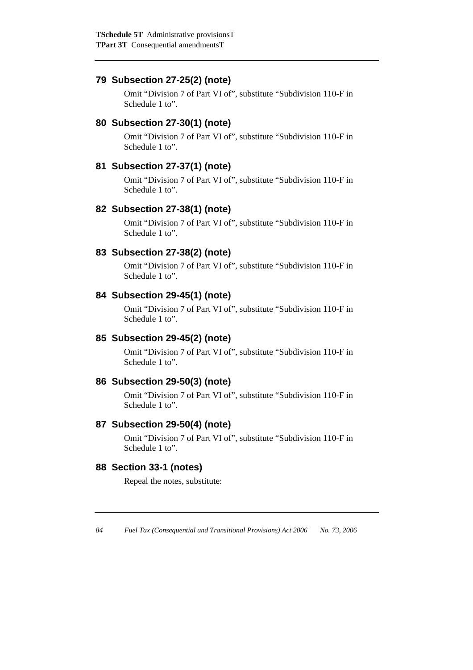# **79 Subsection 27-25(2) (note)**

Omit "Division 7 of Part VI of", substitute "Subdivision 110-F in Schedule 1 to".

# **80 Subsection 27-30(1) (note)**

Omit "Division 7 of Part VI of", substitute "Subdivision 110-F in Schedule 1 to".

# **81 Subsection 27-37(1) (note)**

Omit "Division 7 of Part VI of", substitute "Subdivision 110-F in Schedule 1 to".

# **82 Subsection 27-38(1) (note)**

Omit "Division 7 of Part VI of", substitute "Subdivision 110-F in Schedule 1 to".

# **83 Subsection 27-38(2) (note)**

Omit "Division 7 of Part VI of", substitute "Subdivision 110-F in Schedule 1 to".

# **84 Subsection 29-45(1) (note)**

Omit "Division 7 of Part VI of", substitute "Subdivision 110-F in Schedule 1 to".

# **85 Subsection 29-45(2) (note)**

Omit "Division 7 of Part VI of", substitute "Subdivision 110-F in Schedule 1 to".

# **86 Subsection 29-50(3) (note)**

Omit "Division 7 of Part VI of", substitute "Subdivision 110-F in Schedule 1 to".

# **87 Subsection 29-50(4) (note)**

Omit "Division 7 of Part VI of", substitute "Subdivision 110-F in Schedule 1 to".

# **88 Section 33-1 (notes)**

Repeal the notes, substitute: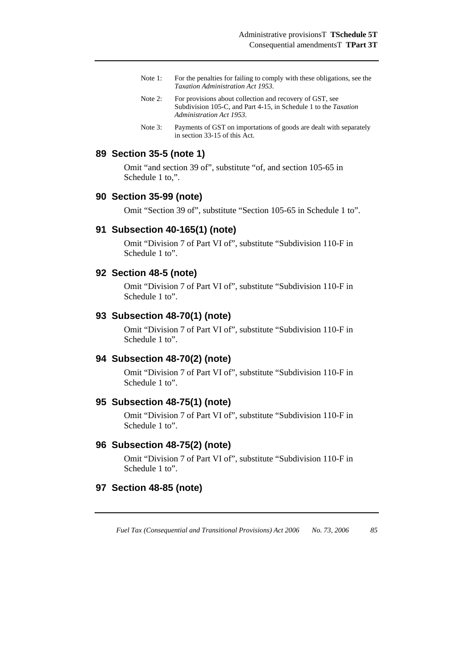- Note 1: For the penalties for failing to comply with these obligations, see the *Taxation Administration Act 1953*.
- Note 2: For provisions about collection and recovery of GST, see Subdivision 105-C, and Part 4-15, in Schedule 1 to the *Taxation Administration Act 1953*.
- Note 3: Payments of GST on importations of goods are dealt with separately in section 33-15 of this Act.

# **89 Section 35-5 (note 1)**

Omit "and section 39 of", substitute "of, and section 105-65 in Schedule 1 to.".

#### **90 Section 35-99 (note)**

Omit "Section 39 of", substitute "Section 105-65 in Schedule 1 to".

#### **91 Subsection 40-165(1) (note)**

Omit "Division 7 of Part VI of", substitute "Subdivision 110-F in Schedule 1 to".

#### **92 Section 48-5 (note)**

Omit "Division 7 of Part VI of", substitute "Subdivision 110-F in Schedule 1 to".

#### **93 Subsection 48-70(1) (note)**

Omit "Division 7 of Part VI of", substitute "Subdivision 110-F in Schedule 1 to".

#### **94 Subsection 48-70(2) (note)**

Omit "Division 7 of Part VI of", substitute "Subdivision 110-F in Schedule 1 to".

#### **95 Subsection 48-75(1) (note)**

Omit "Division 7 of Part VI of", substitute "Subdivision 110-F in Schedule 1 to".

#### **96 Subsection 48-75(2) (note)**

Omit "Division 7 of Part VI of", substitute "Subdivision 110-F in Schedule 1 to".

# **97 Section 48-85 (note)**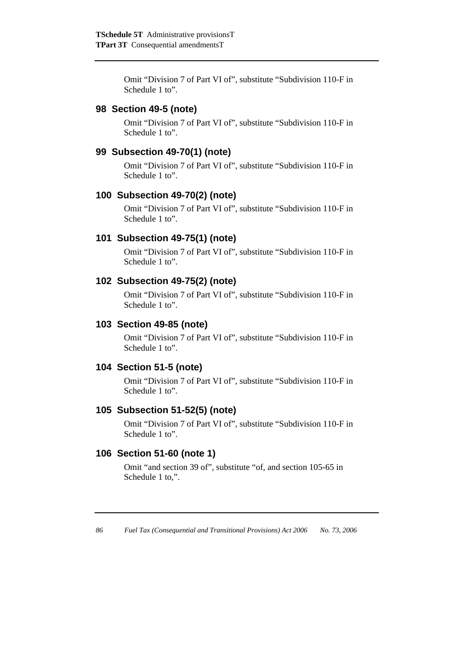Omit "Division 7 of Part VI of", substitute "Subdivision 110-F in Schedule 1 to".

# **98 Section 49-5 (note)**

Omit "Division 7 of Part VI of", substitute "Subdivision 110-F in Schedule 1 to".

# **99 Subsection 49-70(1) (note)**

Omit "Division 7 of Part VI of", substitute "Subdivision 110-F in Schedule 1 to".

### **100 Subsection 49-70(2) (note)**

Omit "Division 7 of Part VI of", substitute "Subdivision 110-F in Schedule 1 to".

### **101 Subsection 49-75(1) (note)**

Omit "Division 7 of Part VI of", substitute "Subdivision 110-F in Schedule 1 to".

### **102 Subsection 49-75(2) (note)**

Omit "Division 7 of Part VI of", substitute "Subdivision 110-F in Schedule 1 to".

### **103 Section 49-85 (note)**

Omit "Division 7 of Part VI of", substitute "Subdivision 110-F in Schedule 1 to".

# **104 Section 51-5 (note)**

Omit "Division 7 of Part VI of", substitute "Subdivision 110-F in Schedule 1 to".

### **105 Subsection 51-52(5) (note)**

Omit "Division 7 of Part VI of", substitute "Subdivision 110-F in Schedule 1 to".

### **106 Section 51-60 (note 1)**

Omit "and section 39 of", substitute "of, and section 105-65 in Schedule 1 to,".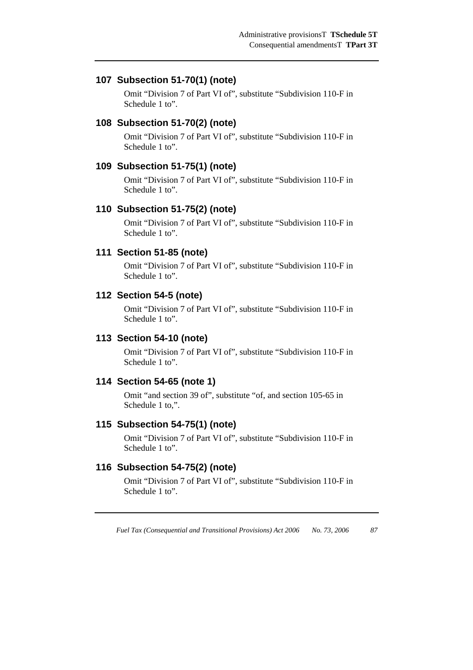# **107 Subsection 51-70(1) (note)**

Omit "Division 7 of Part VI of", substitute "Subdivision 110-F in Schedule 1 to".

### **108 Subsection 51-70(2) (note)**

Omit "Division 7 of Part VI of", substitute "Subdivision 110-F in Schedule 1 to".

### **109 Subsection 51-75(1) (note)**

Omit "Division 7 of Part VI of", substitute "Subdivision 110-F in Schedule 1 to".

# **110 Subsection 51-75(2) (note)**

Omit "Division 7 of Part VI of", substitute "Subdivision 110-F in Schedule 1 to".

### **111 Section 51-85 (note)**

Omit "Division 7 of Part VI of", substitute "Subdivision 110-F in Schedule 1 to".

### **112 Section 54-5 (note)**

Omit "Division 7 of Part VI of", substitute "Subdivision 110-F in Schedule 1 to".

### **113 Section 54-10 (note)**

Omit "Division 7 of Part VI of", substitute "Subdivision 110-F in Schedule 1 to".

### **114 Section 54-65 (note 1)**

Omit "and section 39 of", substitute "of, and section 105-65 in Schedule 1 to,".

# **115 Subsection 54-75(1) (note)**

Omit "Division 7 of Part VI of", substitute "Subdivision 110-F in Schedule 1 to".

# **116 Subsection 54-75(2) (note)**

Omit "Division 7 of Part VI of", substitute "Subdivision 110-F in Schedule 1 to".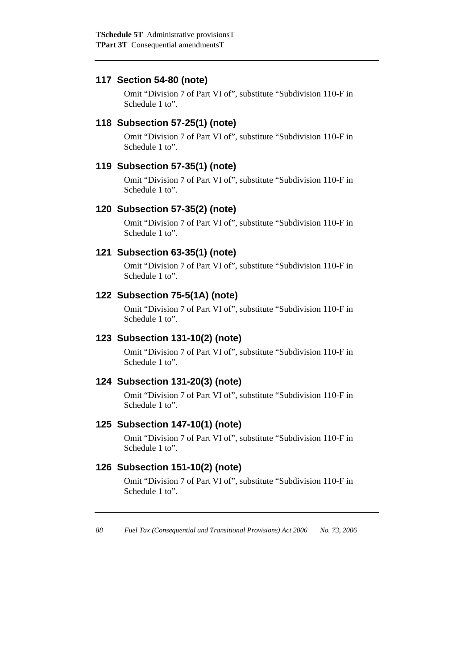# **117 Section 54-80 (note)**

Omit "Division 7 of Part VI of", substitute "Subdivision 110-F in Schedule 1 to".

### **118 Subsection 57-25(1) (note)**

Omit "Division 7 of Part VI of", substitute "Subdivision 110-F in Schedule 1 to".

# **119 Subsection 57-35(1) (note)**

Omit "Division 7 of Part VI of", substitute "Subdivision 110-F in Schedule 1 to".

# **120 Subsection 57-35(2) (note)**

Omit "Division 7 of Part VI of", substitute "Subdivision 110-F in Schedule 1 to".

# **121 Subsection 63-35(1) (note)**

Omit "Division 7 of Part VI of", substitute "Subdivision 110-F in Schedule 1 to".

# **122 Subsection 75-5(1A) (note)**

Omit "Division 7 of Part VI of", substitute "Subdivision 110-F in Schedule 1 to".

### **123 Subsection 131-10(2) (note)**

Omit "Division 7 of Part VI of", substitute "Subdivision 110-F in Schedule 1 to".

### **124 Subsection 131-20(3) (note)**

Omit "Division 7 of Part VI of", substitute "Subdivision 110-F in Schedule 1 to".

# **125 Subsection 147-10(1) (note)**

Omit "Division 7 of Part VI of", substitute "Subdivision 110-F in Schedule 1 to".

# **126 Subsection 151-10(2) (note)**

Omit "Division 7 of Part VI of", substitute "Subdivision 110-F in Schedule 1 to".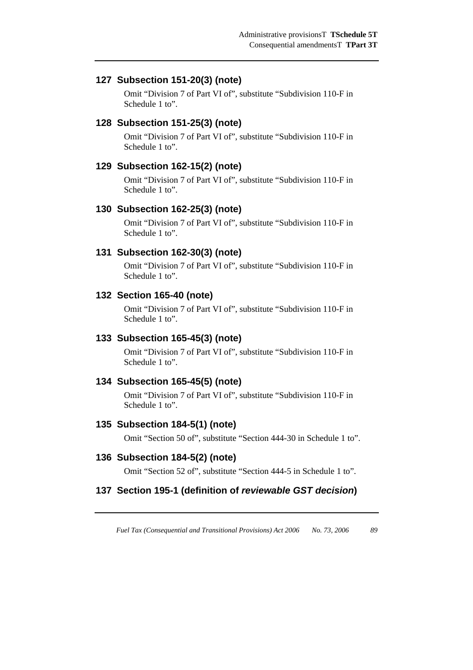### **127 Subsection 151-20(3) (note)**

Omit "Division 7 of Part VI of", substitute "Subdivision 110-F in Schedule 1 to".

### **128 Subsection 151-25(3) (note)**

Omit "Division 7 of Part VI of", substitute "Subdivision 110-F in Schedule 1 to".

#### **129 Subsection 162-15(2) (note)**

Omit "Division 7 of Part VI of", substitute "Subdivision 110-F in Schedule 1 to".

#### **130 Subsection 162-25(3) (note)**

Omit "Division 7 of Part VI of", substitute "Subdivision 110-F in Schedule 1 to".

#### **131 Subsection 162-30(3) (note)**

Omit "Division 7 of Part VI of", substitute "Subdivision 110-F in Schedule 1 to".

#### **132 Section 165-40 (note)**

Omit "Division 7 of Part VI of", substitute "Subdivision 110-F in Schedule 1 to".

#### **133 Subsection 165-45(3) (note)**

Omit "Division 7 of Part VI of", substitute "Subdivision 110-F in Schedule 1 to".

#### **134 Subsection 165-45(5) (note)**

Omit "Division 7 of Part VI of", substitute "Subdivision 110-F in Schedule 1 to".

#### **135 Subsection 184-5(1) (note)**

Omit "Section 50 of", substitute "Section 444-30 in Schedule 1 to".

#### **136 Subsection 184-5(2) (note)**

Omit "Section 52 of", substitute "Section 444-5 in Schedule 1 to".

### **137 Section 195-1 (definition of** *reviewable GST decision***)**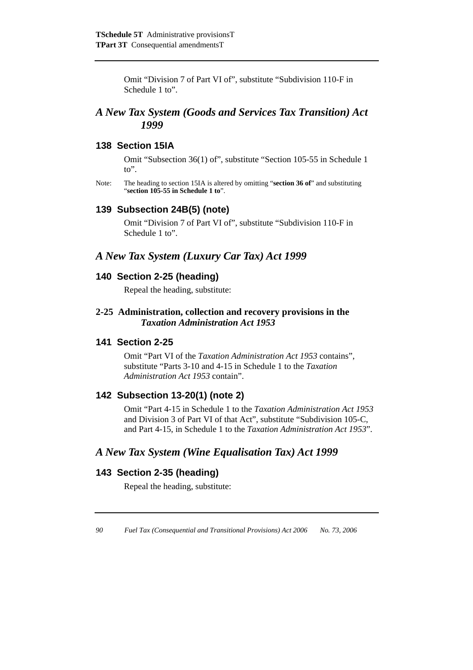Omit "Division 7 of Part VI of", substitute "Subdivision 110-F in Schedule 1 to".

# *A New Tax System (Goods and Services Tax Transition) Act 1999*

### **138 Section 15IA**

Omit "Subsection 36(1) of", substitute "Section 105-55 in Schedule 1 to".

Note: The heading to section 15IA is altered by omitting "**section 36 of**" and substituting "**section 105-55 in Schedule 1 to**".

#### **139 Subsection 24B(5) (note)**

Omit "Division 7 of Part VI of", substitute "Subdivision 110-F in Schedule 1 to".

# *A New Tax System (Luxury Car Tax) Act 1999*

# **140 Section 2-25 (heading)**

Repeal the heading, substitute:

### **2-25 Administration, collection and recovery provisions in the**  *Taxation Administration Act 1953*

#### **141 Section 2-25**

Omit "Part VI of the *Taxation Administration Act 1953* contains", substitute "Parts 3-10 and 4-15 in Schedule 1 to the *Taxation Administration Act 1953* contain".

# **142 Subsection 13-20(1) (note 2)**

Omit "Part 4-15 in Schedule 1 to the *Taxation Administration Act 1953* and Division 3 of Part VI of that Act", substitute "Subdivision 105-C, and Part 4-15, in Schedule 1 to the *Taxation Administration Act 1953*".

# *A New Tax System (Wine Equalisation Tax) Act 1999*

#### **143 Section 2-35 (heading)**

Repeal the heading, substitute: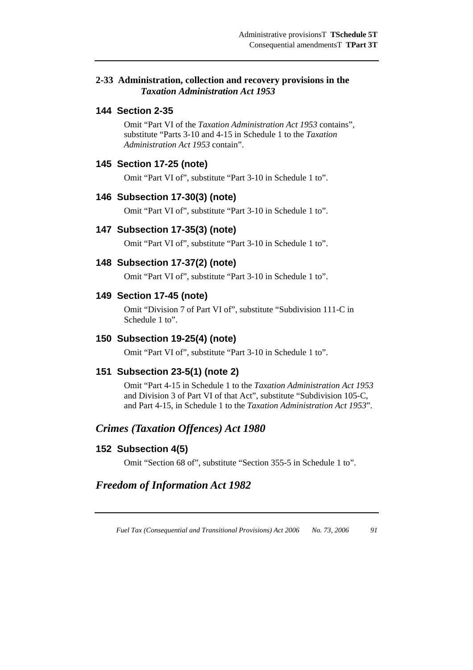### **2-33 Administration, collection and recovery provisions in the**  *Taxation Administration Act 1953*

## **144 Section 2-35**

Omit "Part VI of the *Taxation Administration Act 1953* contains", substitute "Parts 3-10 and 4-15 in Schedule 1 to the *Taxation Administration Act 1953* contain".

# **145 Section 17-25 (note)**

Omit "Part VI of", substitute "Part 3-10 in Schedule 1 to".

#### **146 Subsection 17-30(3) (note)**

Omit "Part VI of", substitute "Part 3-10 in Schedule 1 to".

#### **147 Subsection 17-35(3) (note)**

Omit "Part VI of", substitute "Part 3-10 in Schedule 1 to".

#### **148 Subsection 17-37(2) (note)**

Omit "Part VI of", substitute "Part 3-10 in Schedule 1 to".

#### **149 Section 17-45 (note)**

Omit "Division 7 of Part VI of", substitute "Subdivision 111-C in Schedule 1 to".

### **150 Subsection 19-25(4) (note)**

Omit "Part VI of", substitute "Part 3-10 in Schedule 1 to".

### **151 Subsection 23-5(1) (note 2)**

Omit "Part 4-15 in Schedule 1 to the *Taxation Administration Act 1953* and Division 3 of Part VI of that Act", substitute "Subdivision 105-C, and Part 4-15, in Schedule 1 to the *Taxation Administration Act 1953*".

# *Crimes (Taxation Offences) Act 1980*

### **152 Subsection 4(5)**

Omit "Section 68 of", substitute "Section 355-5 in Schedule 1 to".

# *Freedom of Information Act 1982*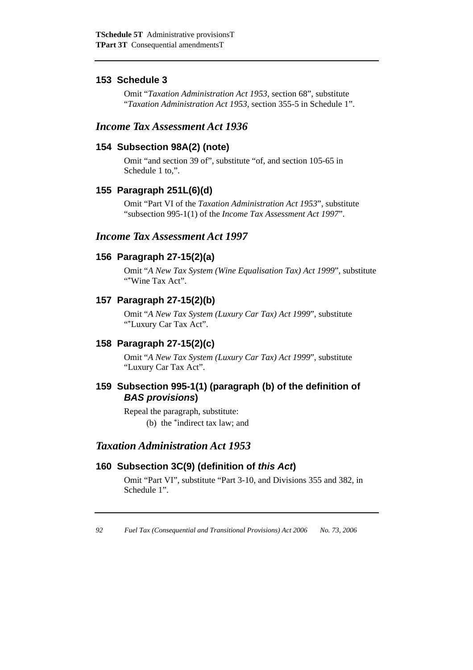# **153 Schedule 3**

Omit "*Taxation Administration Act 1953*, section 68", substitute "*Taxation Administration Act 1953*, section 355-5 in Schedule 1".

# *Income Tax Assessment Act 1936*

# **154 Subsection 98A(2) (note)**

Omit "and section 39 of", substitute "of, and section 105-65 in Schedule 1 to,".

# **155 Paragraph 251L(6)(d)**

Omit "Part VI of the *Taxation Administration Act 1953*", substitute "subsection 995-1(1) of the *Income Tax Assessment Act 1997*".

# *Income Tax Assessment Act 1997*

# **156 Paragraph 27-15(2)(a)**

Omit "*A New Tax System (Wine Equalisation Tax) Act 1999*", substitute "\*Wine Tax Act".

# **157 Paragraph 27-15(2)(b)**

Omit "*A New Tax System (Luxury Car Tax) Act 1999*", substitute "\*Luxury Car Tax Act".

# **158 Paragraph 27-15(2)(c)**

Omit "*A New Tax System (Luxury Car Tax) Act 1999*", substitute "Luxury Car Tax Act".

# **159 Subsection 995-1(1) (paragraph (b) of the definition of**  *BAS provisions***)**

Repeal the paragraph, substitute:

(b) the \*indirect tax law; and

# *Taxation Administration Act 1953*

# **160 Subsection 3C(9) (definition of** *this Act***)**

Omit "Part VI", substitute "Part 3-10, and Divisions 355 and 382, in Schedule 1".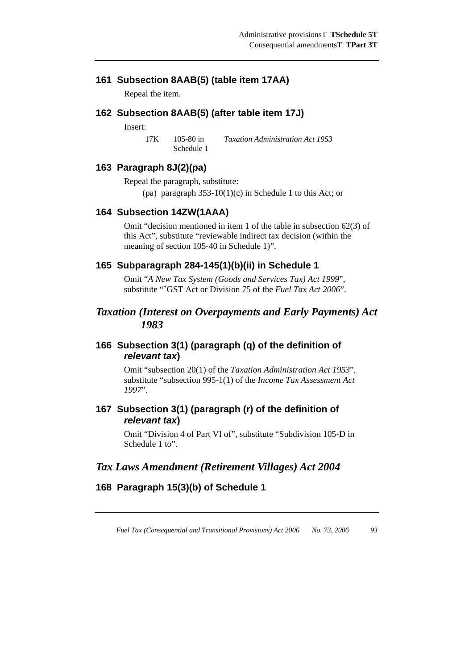# **161 Subsection 8AAB(5) (table item 17AA)**

Repeal the item.

### **162 Subsection 8AAB(5) (after table item 17J)**

Insert:

17K 105-80 in Schedule 1 *Taxation Administration Act 1953*

### **163 Paragraph 8J(2)(pa)**

Repeal the paragraph, substitute: (pa) paragraph  $353-10(1)(c)$  in Schedule 1 to this Act; or

#### **164 Subsection 14ZW(1AAA)**

Omit "decision mentioned in item 1 of the table in subsection 62(3) of this Act", substitute "reviewable indirect tax decision (within the meaning of section 105-40 in Schedule 1)".

### **165 Subparagraph 284-145(1)(b)(ii) in Schedule 1**

Omit "*A New Tax System (Goods and Services Tax) Act 1999*", substitute "\*GST Act or Division 75 of the *Fuel Tax Act 2006*".

# *Taxation (Interest on Overpayments and Early Payments) Act 1983*

# **166 Subsection 3(1) (paragraph (q) of the definition of**  *relevant tax***)**

Omit "subsection 20(1) of the *Taxation Administration Act 1953*", substitute "subsection 995-1(1) of the *Income Tax Assessment Act 1997*".

# **167 Subsection 3(1) (paragraph (r) of the definition of**  *relevant tax***)**

Omit "Division 4 of Part VI of", substitute "Subdivision 105-D in Schedule 1 to".

# *Tax Laws Amendment (Retirement Villages) Act 2004*

# **168 Paragraph 15(3)(b) of Schedule 1**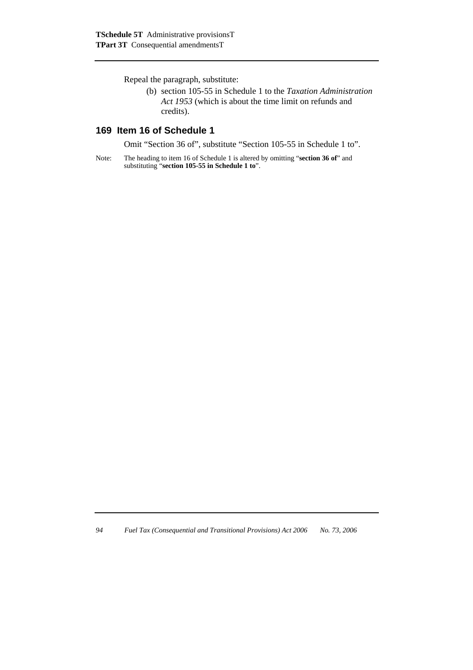Repeal the paragraph, substitute:

(b) section 105-55 in Schedule 1 to the *Taxation Administration Act 1953* (which is about the time limit on refunds and credits).

# **169 Item 16 of Schedule 1**

Omit "Section 36 of", substitute "Section 105-55 in Schedule 1 to".

Note: The heading to item 16 of Schedule 1 is altered by omitting "**section 36 of**" and substituting "**section 105-55 in Schedule 1 to**".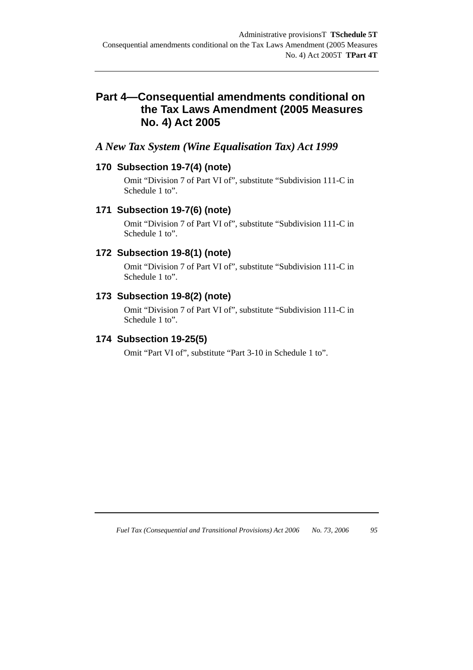# **Part 4—Consequential amendments conditional on the Tax Laws Amendment (2005 Measures No. 4) Act 2005**

# *A New Tax System (Wine Equalisation Tax) Act 1999*

# **170 Subsection 19-7(4) (note)**

Omit "Division 7 of Part VI of", substitute "Subdivision 111-C in Schedule 1 to".

# **171 Subsection 19-7(6) (note)**

Omit "Division 7 of Part VI of", substitute "Subdivision 111-C in Schedule 1 to".

# **172 Subsection 19-8(1) (note)**

Omit "Division 7 of Part VI of", substitute "Subdivision 111-C in Schedule 1 to".

# **173 Subsection 19-8(2) (note)**

Omit "Division 7 of Part VI of", substitute "Subdivision 111-C in Schedule 1 to".

# **174 Subsection 19-25(5)**

Omit "Part VI of", substitute "Part 3-10 in Schedule 1 to".